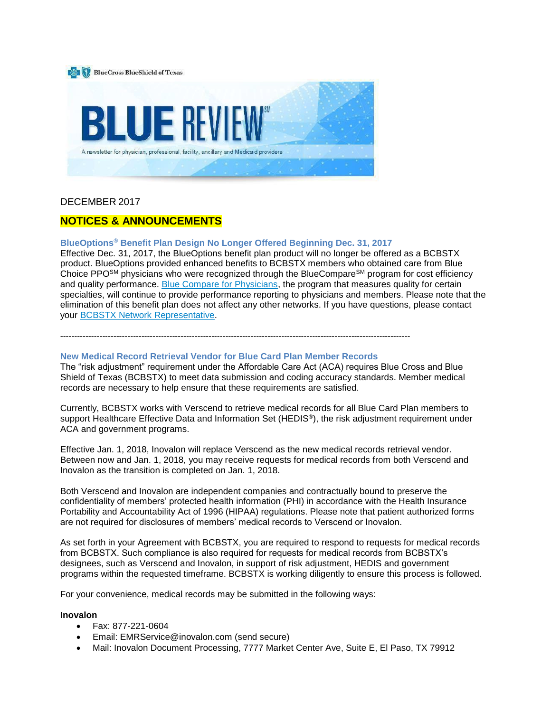

# DECEMBER 2017

# **NOTICES & ANNOUNCEMENTS**

# **BlueOptions® Benefit Plan Design No Longer Offered Beginning Dec. 31, 2017**

Effective Dec. 31, 2017, the BlueOptions benefit plan product will no longer be offered as a BCBSTX product. BlueOptions provided enhanced benefits to BCBSTX members who obtained care from Blue Choice PPO<sup>SM</sup> physicians who were recognized through the BlueCompare<sup>SM</sup> program for cost efficiency and quality performance. [Blue Compare for Physicians,](https://www.bcbstx.com/provider/training/bluecompare.html) the program that measures quality for certain specialties, will continue to provide performance reporting to physicians and members. Please note that the elimination of this benefit plan does not affect any other networks. If you have questions, please contact your [BCBSTX Network Representative.](https://www.bcbstx.com/provider/contact_us.html)

-----------------------------------------------------------------------------------------------------------------------------

#### **New Medical Record Retrieval Vendor for Blue Card Plan Member Records**

The "risk adjustment" requirement under the Affordable Care Act (ACA) requires Blue Cross and Blue Shield of Texas (BCBSTX) to meet data submission and coding accuracy standards. Member medical records are necessary to help ensure that these requirements are satisfied.

Currently, BCBSTX works with Verscend to retrieve medical records for all Blue Card Plan members to support Healthcare Effective Data and Information Set (HEDIS<sup>®</sup>), the risk adjustment requirement under ACA and government programs.

Effective Jan. 1, 2018, Inovalon will replace Verscend as the new medical records retrieval vendor. Between now and Jan. 1, 2018, you may receive requests for medical records from both Verscend and Inovalon as the transition is completed on Jan. 1, 2018.

Both Verscend and Inovalon are independent companies and contractually bound to preserve the confidentiality of members' protected health information (PHI) in accordance with the Health Insurance Portability and Accountability Act of 1996 (HIPAA) regulations. Please note that patient authorized forms are not required for disclosures of members' medical records to Verscend or Inovalon.

As set forth in your Agreement with BCBSTX, you are required to respond to requests for medical records from BCBSTX. Such compliance is also required for requests for medical records from BCBSTX's designees, such as Verscend and Inovalon, in support of risk adjustment, HEDIS and government programs within the requested timeframe. BCBSTX is working diligently to ensure this process is followed.

For your convenience, medical records may be submitted in the following ways:

#### **Inovalon**

- Fax: 877-221-0604
- Email: EMRService@inovalon.com (send secure)
- Mail: Inovalon Document Processing, 7777 Market Center Ave, Suite E, El Paso, TX 79912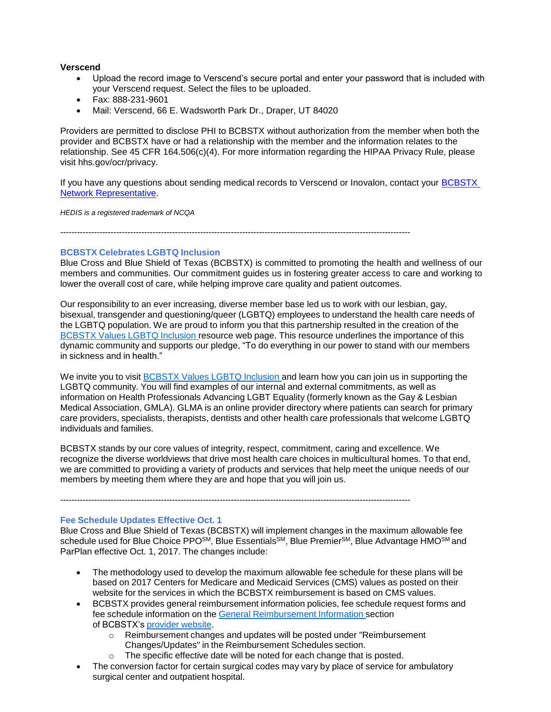# **Verscend**

- Upload the record image to Verscend's secure portal and enter your password that is included with your Verscend request. Select the files to be uploaded.
- Fax: 888-231-9601
- Mail: Verscend, 66 E. Wadsworth Park Dr., Draper, UT 84020

Providers are permitted to disclose PHI to BCBSTX without authorization from the member when both the provider and BCBSTX have or had a relationship with the member and the information relates to the relationship. See 45 CFR 164.506(c)(4). For more information regarding the HIPAA Privacy Rule, please visit hhs.gov/ocr/privacy.

If you have any questions about sending medical records to Verscend or Inovalon, contact your [BCBSTX](https://www.bcbstx.com/provider/contact_us.html)  [Network Representative.](https://www.bcbstx.com/provider/contact_us.html)

*HEDIS is a registered trademark of NCQA*

-----------------------------------------------------------------------------------------------------------------------------

### **BCBSTX Celebrates LGBTQ Inclusion**

Blue Cross and Blue Shield of Texas (BCBSTX) is committed to promoting the health and wellness of our members and communities. Our commitment guides us in fostering greater access to care and working to lower the overall cost of care, while helping improve care quality and patient outcomes.

Our responsibility to an ever increasing, diverse member base led us to work with our lesbian, gay, bisexual, transgender and questioning/queer (LGBTQ) employees to understand the health care needs of the LGBTQ population. We are proud to inform you that this partnership resulted in the creation of the [BCBSTX](https://www.bcbstx.com/member/advantages-of-membership/lgbtq-inclusion) Values LGBTQ Inclusion resource web page. This resource underlines the importance of this dynamic community and supports our pledge, "To do everything in our power to stand with our members in sickness and in health."

We invite you to visit [BCBSTX](https://www.bcbstx.com/member/advantages-of-membership/lgbtq-inclusion) Values LGBTQ Inclusion and learn how you can join us in supporting the LGBTQ community. You will find examples of our internal and external commitments, as well as information on Health Professionals Advancing LGBT Equality (formerly known as the Gay & Lesbian Medical Association, GMLA). GLMA is an online provider directory where patients can search for primary care providers, specialists, therapists, dentists and other health care professionals that welcome LGBTQ individuals and families.

BCBSTX stands by our core values of integrity, respect, commitment, caring and excellence. We recognize the diverse worldviews that drive most health care choices in multicultural homes. To that end, we are committed to providing a variety of products and services that help meet the unique needs of our members by meeting them where they are and hope that you will join us.

-----------------------------------------------------------------------------------------------------------------------------

# **Fee Schedule Updates Effective Oct. 1**

Blue Cross and Blue Shield of Texas (BCBSTX) will implement changes in the maximum allowable fee schedule used for Blue Choice PPO<sup>SM</sup>, Blue Essentials<sup>SM</sup>, Blue Premier<sup>SM</sup>, Blue Advantage HMO<sup>SM</sup> and ParPlan effective Oct. 1, 2017. The changes include:

- The methodology used to develop the maximum allowable fee schedule for these plans will be based on 2017 Centers for Medicare and Medicaid Services (CMS) values as posted on their website for the services in which the BCBSTX reimbursement is based on CMS values.
- BCBSTX provides general reimbursement information policies, fee schedule request forms and fee schedule information on the General [Reimbursement](https://www.bcbstx.com/provider/gri/index.html) Information section of BCBSTX's [provider](https://www.bcbstx.com/provider/) website.
	- o Reimbursement changes and updates will be posted under "Reimbursement Changes/Updates" in the Reimbursement Schedules section.
	- o The specific effective date will be noted for each change that is posted.
- The conversion factor for certain surgical codes may vary by place of service for ambulatory surgical center and outpatient hospital.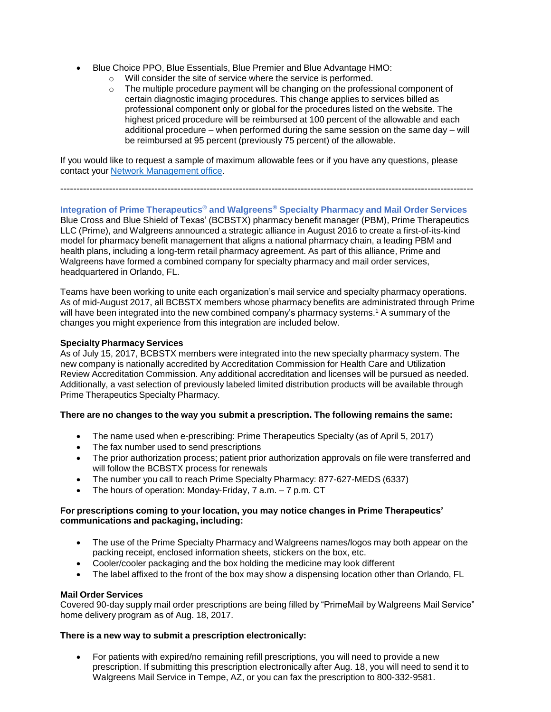- Blue Choice PPO, Blue Essentials, Blue Premier and Blue Advantage HMO:
	- o Will consider the site of service where the service is performed.
	- $\circ$  The multiple procedure payment will be changing on the professional component of certain diagnostic imaging procedures. This change applies to services billed as professional component only or global for the procedures listed on the website. The highest priced procedure will be reimbursed at 100 percent of the allowable and each additional procedure – when performed during the same session on the same day – will be reimbursed at 95 percent (previously 75 percent) of the allowable.

If you would like to request a sample of maximum allowable fees or if you have any questions, please contact your Network [Management](https://www.bcbstx.com/provider/contact_us.html) office.

-------------------------------------------------------------------------------------------------------------------------------

# **Integration of Prime Therapeutics® and Walgreens® Specialty Pharmacy and Mail Order Services**

Blue Cross and Blue Shield of Texas' (BCBSTX) pharmacy benefit manager (PBM), Prime Therapeutics LLC (Prime), and Walgreens announced a strategic alliance in August 2016 to create a first-of-its-kind model for pharmacy benefit management that aligns a national pharmacy chain, a leading PBM and health plans, including a long-term retail pharmacy agreement. As part of this alliance, Prime and Walgreens have formed a combined company for specialty pharmacy and mail order services, headquartered in Orlando, FL.

Teams have been working to unite each organization's mail service and specialty pharmacy operations. As of mid-August 2017, all BCBSTX members whose pharmacy benefits are administrated through Prime will have been integrated into the new combined company's pharmacy systems.<sup>1</sup> A summary of the changes you might experience from this integration are included below.

# **Specialty Pharmacy Services**

As of July 15, 2017, BCBSTX members were integrated into the new specialty pharmacy system. The new company is nationally accredited by Accreditation Commission for Health Care and Utilization Review Accreditation Commission. Any additional accreditation and licenses will be pursued as needed. Additionally, a vast selection of previously labeled limited distribution products will be available through Prime Therapeutics Specialty Pharmacy.

# **There are no changes to the way you submit a prescription. The following remains the same:**

- The name used when e-prescribing: Prime Therapeutics Specialty (as of April 5, 2017)
- The fax number used to send prescriptions
- The prior authorization process; patient prior authorization approvals on file were transferred and will follow the BCBSTX process for renewals
- The number you call to reach Prime Specialty Pharmacy: 877-627-MEDS (6337)
- The hours of operation: Monday-Friday, 7 a.m. 7 p.m. CT

# **For prescriptions coming to your location, you may notice changes in Prime Therapeutics' communications and packaging, including:**

- The use of the Prime Specialty Pharmacy and Walgreens names/logos may both appear on the packing receipt, enclosed information sheets, stickers on the box, etc.
- Cooler/cooler packaging and the box holding the medicine may look different
- The label affixed to the front of the box may show a dispensing location other than Orlando, FL

#### **Mail Order Services**

Covered 90-day supply mail order prescriptions are being filled by "PrimeMail by Walgreens Mail Service" home delivery program as of Aug. 18, 2017.

#### **There is a new way to submit a prescription electronically:**

• For patients with expired/no remaining refill prescriptions, you will need to provide a new prescription. If submitting this prescription electronically after Aug. 18, you will need to send it to Walgreens Mail Service in Tempe, AZ, or you can fax the prescription to 800-332-9581.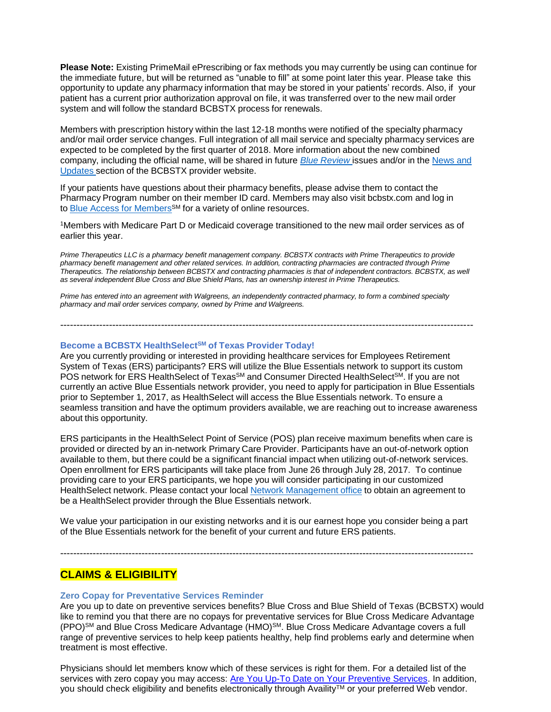**Please Note:** Existing PrimeMail ePrescribing or fax methods you may currently be using can continue for the immediate future, but will be returned as "unable to fill" at some point later this year. Please take this opportunity to update any pharmacy information that may be stored in your patients' records. Also, if your patient has a current prior authorization approval on file, it was transferred over to the new mail order system and will follow the standard BCBSTX process for renewals.

Members with prescription history within the last 12-18 months were notified of the specialty pharmacy and/or mail order service changes. Full integration of all mail service and specialty pharmacy services are expected to be completed by the first quarter of 2018. More information about the new combined company, including the official name, will be shared in future *Blue [Review](https://www.bcbstx.com/provider/news/bluereview.html)* issues and/or in the [News](https://www.bcbstx.com/provider/news/index.html) and [Updates](https://www.bcbstx.com/provider/news/index.html) section of the BCBSTX provider website.

If your patients have questions about their pharmacy benefits, please advise them to contact the Pharmacy Program number on their member ID card. Members may also visit bcbstx.com and log in to Blue Access for [Members](https://www.bcbstx.com/member)SM for a variety of online resources.

<sup>1</sup>Members with Medicare Part D or Medicaid coverage transitioned to the new mail order services as of earlier this year.

*Prime Therapeutics LLC is a pharmacy benefit management company. BCBSTX contracts with Prime Therapeutics to provide pharmacy benefit management and other related services. In addition, contracting pharmacies are contracted through Prime Therapeutics. The relationship between BCBSTX and contracting pharmacies is that of independent contractors. BCBSTX, as well as several independent Blue Cross and Blue Shield Plans, has an ownership interest in Prime Therapeutics.*

-------------------------------------------------------------------------------------------------------------------------------

*Prime has entered into an agreement with Walgreens, an independently contracted pharmacy, to form a combined specialty pharmacy and mail order services company, owned by Prime and Walgreens.*

**Become a BCBSTX HealthSelectSM of Texas Provider Today!** 

Are you currently providing or interested in providing healthcare services for Employees Retirement System of Texas (ERS) participants? ERS will utilize the Blue Essentials network to support its custom POS network for ERS HealthSelect of Texas<sup>SM</sup> and Consumer Directed HealthSelect<sup>sM</sup>. If you are not currently an active Blue Essentials network provider, you need to apply for participation in Blue Essentials prior to September 1, 2017, as HealthSelect will access the Blue Essentials network. To ensure a seamless transition and have the optimum providers available, we are reaching out to increase awareness about this opportunity.

ERS participants in the HealthSelect Point of Service (POS) plan receive maximum benefits when care is provided or directed by an in-network Primary Care Provider. Participants have an out-of-network option available to them, but there could be a significant financial impact when utilizing out-of-network services. Open enrollment for ERS participants will take place from June 26 through July 28, 2017. To continue providing care to your ERS participants, we hope you will consider participating in our customized HealthSelect network. Please contact your local Network [Management](https://www.bcbstx.com/provider/contact_us.html) office to obtain an agreement to be a HealthSelect provider through the Blue Essentials network.

We value your participation in our existing networks and it is our earnest hope you consider being a part of the Blue Essentials network for the benefit of your current and future ERS patients.

-------------------------------------------------------------------------------------------------------------------------------

# **CLAIMS & ELIGIBILITY**

#### **Zero Copay for Preventative Services Reminder**

Are you up to date on preventive services benefits? Blue Cross and Blue Shield of Texas (BCBSTX) would like to remind you that there are no copays for preventative services for Blue Cross Medicare Advantage (PPO)SM and Blue Cross Medicare Advantage (HMO)SM. Blue Cross Medicare Advantage covers a full range of preventive services to help keep patients healthy, help find problems early and determine when treatment is most effective.

Physicians should let members know which of these services is right for them. For a detailed list of the services with zero copay you may access: [Are You Up-To Date on Your Preventive Services.](https://www.medicare.gov/Pubs/pdf/11420-Preventive-Services-Card.pdf) In addition, you should check eligibility and benefits electronically through Availity™ or your preferred Web vendor.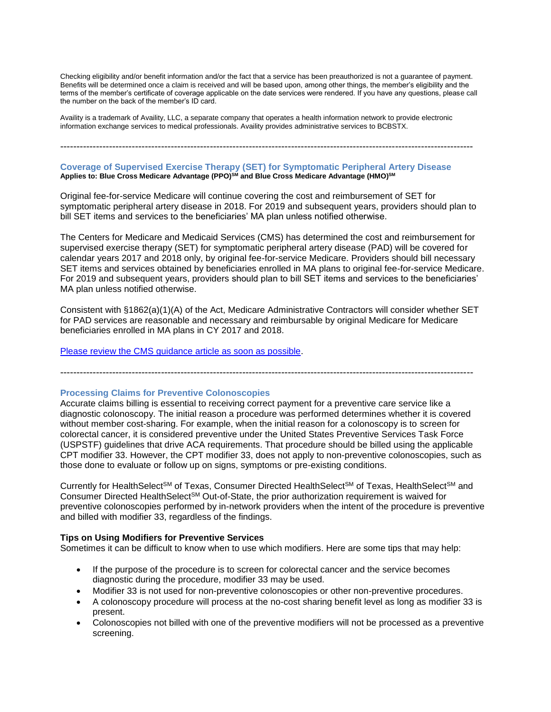Checking eligibility and/or benefit information and/or the fact that a service has been preauthorized is not a guarantee of payment. Benefits will be determined once a claim is received and will be based upon, among other things, the member's eligibility and the terms of the member's certificate of coverage applicable on the date services were rendered. If you have any questions, please call the number on the back of the member's ID card.

Availity is a trademark of Availity, LLC, a separate company that operates a health information network to provide electronic information exchange services to medical professionals. Availity provides administrative services to BCBSTX.

# -------------------------------------------------------------------------------------------------------------------------------

#### **Coverage of Supervised Exercise Therapy (SET) for Symptomatic Peripheral Artery Disease Applies to: Blue Cross Medicare Advantage (PPO)SM and Blue Cross Medicare Advantage (HMO)SM**

Original fee-for-service Medicare will continue covering the cost and reimbursement of SET for symptomatic peripheral artery disease in 2018. For 2019 and subsequent years, providers should plan to bill SET items and services to the beneficiaries' MA plan unless notified otherwise.

The Centers for Medicare and Medicaid Services (CMS) has determined the cost and reimbursement for supervised exercise therapy (SET) for symptomatic peripheral artery disease (PAD) will be covered for calendar years 2017 and 2018 only, by original fee-for-service Medicare. Providers should bill necessary SET items and services obtained by beneficiaries enrolled in MA plans to original fee-for-service Medicare. For 2019 and subsequent years, providers should plan to bill SET items and services to the beneficiaries' MA plan unless notified otherwise.

Consistent with §1862(a)(1)(A) of the Act, Medicare Administrative Contractors will consider whether SET for PAD services are reasonable and necessary and reimbursable by original Medicare for Medicare beneficiaries enrolled in MA plans in CY 2017 and 2018.

[Please review the CMS guidance article as soon as possible.](https://www.cms.gov/Outreach-and-Education/Medicare-Learning-Network-%20MLN/MLNMattersArticles/Downloads/MM10236.pdf)

-------------------------------------------------------------------------------------------------------------------------------

#### **Processing Claims for Preventive Colonoscopies**

Accurate claims billing is essential to receiving correct payment for a preventive care service like a diagnostic colonoscopy. The initial reason a procedure was performed determines whether it is covered without member cost-sharing. For example, when the initial reason for a colonoscopy is to screen for colorectal cancer, it is considered preventive under the United States Preventive Services Task Force (USPSTF) guidelines that drive ACA requirements. That procedure should be billed using the applicable CPT modifier 33. However, the CPT modifier 33, does not apply to non-preventive colonoscopies, such as those done to evaluate or follow up on signs, symptoms or pre-existing conditions.

Currently for HealthSelect<sup>SM</sup> of Texas, Consumer Directed HealthSelect<sup>SM</sup> of Texas, HealthSelect<sup>SM</sup> and Consumer Directed HealthSelect<sup>SM</sup> Out-of-State, the prior authorization requirement is waived for preventive colonoscopies performed by in-network providers when the intent of the procedure is preventive and billed with modifier 33, regardless of the findings.

#### **Tips on Using Modifiers for Preventive Services**

Sometimes it can be difficult to know when to use which modifiers. Here are some tips that may help:

- If the purpose of the procedure is to screen for colorectal cancer and the service becomes diagnostic during the procedure, modifier 33 may be used.
- Modifier 33 is not used for non-preventive colonoscopies or other non-preventive procedures.
- A colonoscopy procedure will process at the no-cost sharing benefit level as long as modifier 33 is present.
- Colonoscopies not billed with one of the preventive modifiers will not be processed as a preventive screening.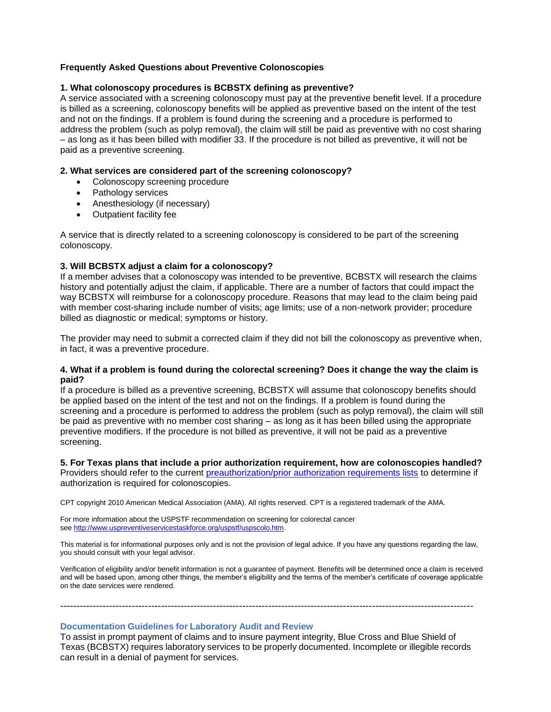# **Frequently Asked Questions about Preventive Colonoscopies**

#### **1. What colonoscopy procedures is BCBSTX defining as preventive?**

A service associated with a screening colonoscopy must pay at the preventive benefit level. If a procedure is billed as a screening, colonoscopy benefits will be applied as preventive based on the intent of the test and not on the findings. If a problem is found during the screening and a procedure is performed to address the problem (such as polyp removal), the claim will still be paid as preventive with no cost sharing – as long as it has been billed with modifier 33. If the procedure is not billed as preventive, it will not be paid as a preventive screening.

#### **2. What services are considered part of the screening colonoscopy?**

- Colonoscopy screening procedure
- Pathology services
- Anesthesiology (if necessary)
- Outpatient facility fee

A service that is directly related to a screening colonoscopy is considered to be part of the screening colonoscopy.

#### **3. Will BCBSTX adjust a claim for a colonoscopy?**

If a member advises that a colonoscopy was intended to be preventive, BCBSTX will research the claims history and potentially adjust the claim, if applicable. There are a number of factors that could impact the way BCBSTX will reimburse for a colonoscopy procedure. Reasons that may lead to the claim being paid with member cost-sharing include number of visits; age limits; use of a non-network provider; procedure billed as diagnostic or medical; symptoms or history.

The provider may need to submit a corrected claim if they did not bill the colonoscopy as preventive when, in fact, it was a preventive procedure.

#### **4. What if a problem is found during the colorectal screening? Does it change the way the claim is paid?**

If a procedure is billed as a preventive screening, BCBSTX will assume that colonoscopy benefits should be applied based on the intent of the test and not on the findings. If a problem is found during the screening and a procedure is performed to address the problem (such as polyp removal), the claim will still be paid as preventive with no member cost sharing – as long as it has been billed using the appropriate preventive modifiers. If the procedure is not billed as preventive, it will not be paid as a preventive screening.

#### **5. For Texas plans that include a prior authorization requirement, how are colonoscopies handled?** Providers should refer to the current [preauthorization/prior authorization requirements lists](https://www.bcbstx.com/provider/clinical/index.html) to determine if

authorization is required for colonoscopies.

CPT copyright 2010 American Medical Association (AMA). All rights reserved. CPT is a registered trademark of the AMA.

For more information about the USPSTF recommendation on screening for colorectal cancer see [http://www.uspreventiveservicestaskforce.org/uspstf/uspscolo.htm.](https://www.uspreventiveservicestaskforce.org/Page/Document/UpdateSummaryFinal/colorectal-cancer-screening)

This material is for informational purposes only and is not the provision of legal advice. If you have any questions regarding the law, you should consult with your legal advisor.

Verification of eligibility and/or benefit information is not a guarantee of payment. Benefits will be determined once a claim is received and will be based upon, among other things, the member's eligibility and the terms of the member's certificate of coverage applicable on the date services were rendered.

# **Documentation Guidelines for Laboratory Audit and Review**

To assist in prompt payment of claims and to insure payment integrity, Blue Cross and Blue Shield of Texas (BCBSTX) requires laboratory services to be properly documented. Incomplete or illegible records can result in a denial of payment for services.

-------------------------------------------------------------------------------------------------------------------------------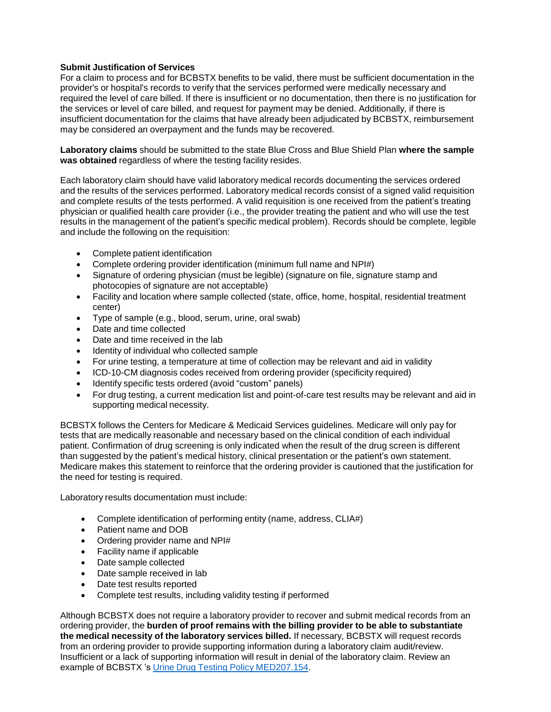# **Submit Justification of Services**

For a claim to process and for BCBSTX benefits to be valid, there must be sufficient documentation in the provider's or hospital's records to verify that the services performed were medically necessary and required the level of care billed. If there is insufficient or no documentation, then there is no justification for the services or level of care billed, and request for payment may be denied. Additionally, if there is insufficient documentation for the claims that have already been adjudicated by BCBSTX, reimbursement may be considered an overpayment and the funds may be recovered.

**Laboratory claims** should be submitted to the state Blue Cross and Blue Shield Plan **where the sample was obtained** regardless of where the testing facility resides.

Each laboratory claim should have valid laboratory medical records documenting the services ordered and the results of the services performed. Laboratory medical records consist of a signed valid requisition and complete results of the tests performed. A valid requisition is one received from the patient's treating physician or qualified health care provider (i.e., the provider treating the patient and who will use the test results in the management of the patient's specific medical problem). Records should be complete, legible and include the following on the requisition:

- Complete patient identification
- Complete ordering provider identification (minimum full name and NPI#)
- Signature of ordering physician (must be legible) (signature on file, signature stamp and photocopies of signature are not acceptable)
- Facility and location where sample collected (state, office, home, hospital, residential treatment center)
- Type of sample (e.g., blood, serum, urine, oral swab)
- Date and time collected
- Date and time received in the lab
- Identity of individual who collected sample
- For urine testing, a temperature at time of collection may be relevant and aid in validity
- ICD-10-CM diagnosis codes received from ordering provider (specificity required)
- Identify specific tests ordered (avoid "custom" panels)
- For drug testing, a current medication list and point-of-care test results may be relevant and aid in supporting medical necessity.

BCBSTX follows the Centers for Medicare & Medicaid Services guidelines. Medicare will only pay for tests that are medically reasonable and necessary based on the clinical condition of each individual patient. Confirmation of drug screening is only indicated when the result of the drug screen is different than suggested by the patient's medical history, clinical presentation or the patient's own statement. Medicare makes this statement to reinforce that the ordering provider is cautioned that the justification for the need for testing is required.

Laboratory results documentation must include:

- Complete identification of performing entity (name, address, CLIA#)
- Patient name and DOB
- Ordering provider name and NPI#
- Facility name if applicable
- Date sample collected
- Date sample received in lab
- Date test results reported
- Complete test results, including validity testing if performed

Although BCBSTX does not require a laboratory provider to recover and submit medical records from an ordering provider, the **burden of proof remains with the billing provider to be able to substantiate the medical necessity of the laboratory services billed.** If necessary, BCBSTX will request records from an ordering provider to provide supporting information during a laboratory claim audit/review. Insufficient or a lack of supporting information will result in denial of the laboratory claim. Review an example of BCBSTX 's Urine Drug Testing Policy [MED207.154.](http://www.medicalpolicy.hcsc.net/medicalpolicy/activePolicyPage?lid=j0s5sl7f&corpEntCd=TX1)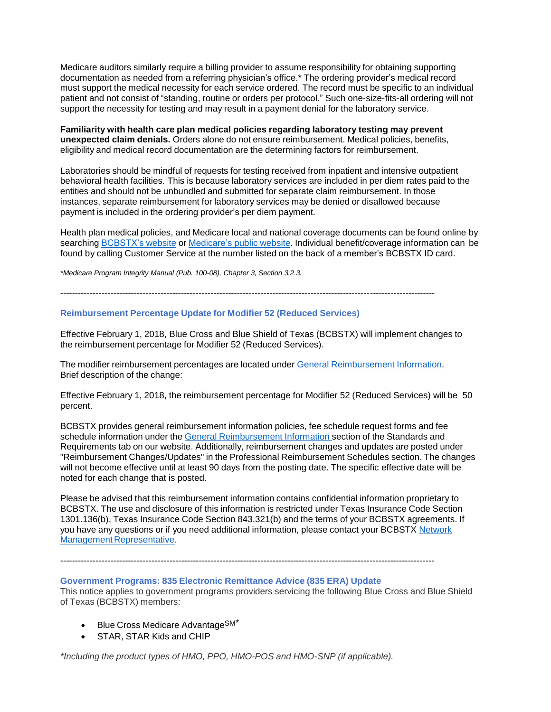Medicare auditors similarly require a billing provider to assume responsibility for obtaining supporting documentation as needed from a referring physician's office.\* The ordering provider's medical record must support the medical necessity for each service ordered. The record must be specific to an individual patient and not consist of "standing, routine or orders per protocol." Such one-size-fits-all ordering will not support the necessity for testing and may result in a payment denial for the laboratory service.

**Familiarity with health care plan medical policies regarding laboratory testing may prevent unexpected claim denials.** Orders alone do not ensure reimbursement. Medical policies, benefits, eligibility and medical record documentation are the determining factors for reimbursement.

Laboratories should be mindful of requests for testing received from inpatient and intensive outpatient behavioral health facilities. This is because laboratory services are included in per diem rates paid to the entities and should not be unbundled and submitted for separate claim reimbursement. In those instances, separate reimbursement for laboratory services may be denied or disallowed because payment is included in the ordering provider's per diem payment.

Health plan medical policies, and Medicare local and national coverage documents can be found online by searching [BCBSTX's](https://www.bcbstx.com/provider/) website or [Medicare's](https://www.cms.gov/) public website. Individual benefit/coverage information can be found by calling Customer Service at the number listed on the back of a member's BCBSTX ID card.

*\*Medicare Program Integrity Manual (Pub. 100-08), Chapter 3, Section 3.2.3.*

-------------------------------------------------------------------------------------------------------------------------------

#### **Reimbursement Percentage Update for Modifier 52 (Reduced Services)**

Effective February 1, 2018, Blue Cross and Blue Shield of Texas (BCBSTX) will implement changes to the reimbursement percentage for Modifier 52 (Reduced Services).

The modifier reimbursement percentages are located under General [Reimbursement](https://www.bcbstx.com/provider/gri/index.html) Information. Brief description of the change:

Effective February 1, 2018, the reimbursement percentage for Modifier 52 (Reduced Services) will be 50 percent.

BCBSTX provides general reimbursement information policies, fee schedule request forms and fee schedule information under the General [Reimbursement](https://www.bcbstx.com/provider/gri/index.html) Information section of the Standards and Requirements tab on our website. Additionally, reimbursement changes and updates are posted under "Reimbursement Changes/Updates" in the Professional Reimbursement Schedules section. The changes will not become effective until at least 90 days from the posting date. The specific effective date will be noted for each change that is posted.

Please be advised that this reimbursement information contains confidential information proprietary to BCBSTX. The use and disclosure of this information is restricted under Texas Insurance Code Section 1301.136(b), Texas Insurance Code Section 843.321(b) and the terms of your BCBSTX agreements. If you have any questions or if you need additional information, please contact your BCBSTX [Network](https://www.bcbstx.com/provider/contact_us.html#localnetwork) Management [Representative.](https://www.bcbstx.com/provider/contact_us.html#localnetwork)

-------------------------------------------------------------------------------------------------------------------------------

#### **Government Programs: 835 Electronic Remittance Advice (835 ERA) Update**

This notice applies to government programs providers servicing the following Blue Cross and Blue Shield of Texas (BCBSTX) members:

- Blue Cross Medicare Advantage<sup>SM\*</sup>
- STAR, STAR Kids and CHIP

*\*Including the product types of HMO, PPO, HMO-POS and HMO-SNP (if applicable).*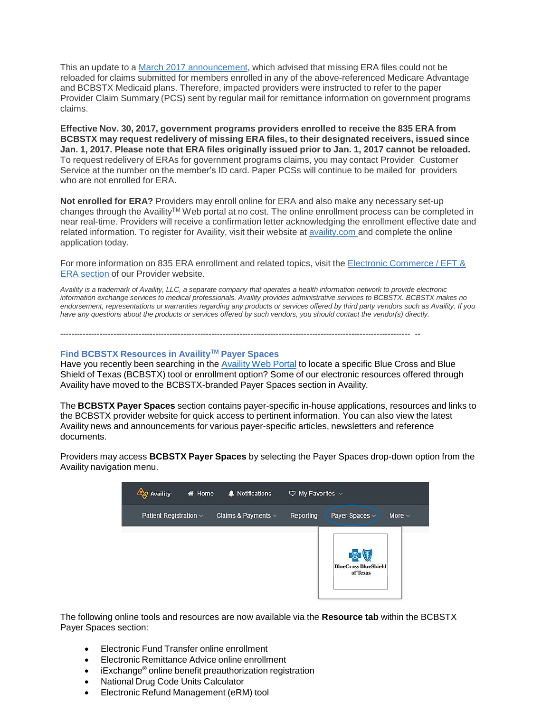This an update to a March 2017 [announcement,](https://www.bcbstx.com/provider/news/2017_03_10.html) which advised that missing ERA files could not be reloaded for claims submitted for members enrolled in any of the above-referenced Medicare Advantage and BCBSTX Medicaid plans. Therefore, impacted providers were instructed to refer to the paper Provider Claim Summary (PCS) sent by regular mail for remittance information on government programs claims.

**Effective Nov. 30, 2017, government programs providers enrolled to receive the 835 ERA from BCBSTX may request redelivery of missing ERA files, to their designated receivers, issued since** Jan. 1, 2017. Please note that ERA files originally issued prior to Jan. 1, 2017 cannot be reloaded. To request redelivery of ERAs for government programs claims, you may contact Provider Customer Service at the number on the member's ID card. Paper PCSs will continue to be mailed for providers who are not enrolled for ERA.

**Not enrolled for ERA?** Providers may enroll online for ERA and also make any necessary set-up changes through the Availity™ Web portal at no cost. The online enrollment process can be completed in near real-time. Providers will receive a confirmation letter acknowledging the enrollment effective date and related information. To register for Availity, visit their website at [availity.com](http://www.availity.com/) and complete the online application today.

For more information on 835 ERA enrollment and related topics, visit the Electronic [Commerce](https://www.bcbstx.com/provider/claims/era.html) / EFT & ERA [section](https://www.bcbstx.com/provider/claims/era.html) of our Provider website.

Availity is a trademark of Availity, LLC, a separate company that operates a health information network to provide electronic *information exchange services to medical professionals. Availity provides administrative services to BCBSTX. BCBSTX makes no endorsement, representations or warranties regarding any products or services offered by third party vendors such as Availity. If you have any questions about the products or services offered by such vendors, you should contact the vendor(s) directly.*

**Find BCBSTX Resources in AvailityTM Payer Spaces**

Have you recently been searching in the [Availity](https://apps.availity.com/availity/web/public.elegant.login) Web Portal to locate a specific Blue Cross and Blue Shield of Texas (BCBSTX) tool or enrollment option? Some of our electronic resources offered through Availity have moved to the BCBSTX-branded Payer Spaces section in Availity.

----------------------------------------------------------------------------------------------------------------------------- --

The **BCBSTX Payer Spaces** section contains payer-specific in-house applications, resources and links to the BCBSTX provider website for quick access to pertinent information. You can also view the latest Availity news and announcements for various payer-specific articles, newsletters and reference documents.

Providers may access **BCBSTX Payer Spaces** by selecting the Payer Spaces drop-down option from the Availity navigation menu.

| <b>Availity</b>             | <del></del> Home | A Notifications          | $\heartsuit$ My Favorites $\vee$ |                                         |
|-----------------------------|------------------|--------------------------|----------------------------------|-----------------------------------------|
| Patient Registration $\vee$ |                  | Claims & Payments $\vee$ | Reporting                        | Payer Spaces v<br>More $\sim$           |
|                             |                  |                          |                                  | <b>BlueCross BlueShield</b><br>of Texas |

The following online tools and resources are now available via the **Resource tab** within the BCBSTX Payer Spaces section:

- Electronic Fund Transfer online enrollment
- Electronic Remittance Advice online enrollment
- iExchange**®** online benefit preauthorization registration
- National Drug Code Units Calculator
- Electronic Refund Management (eRM) tool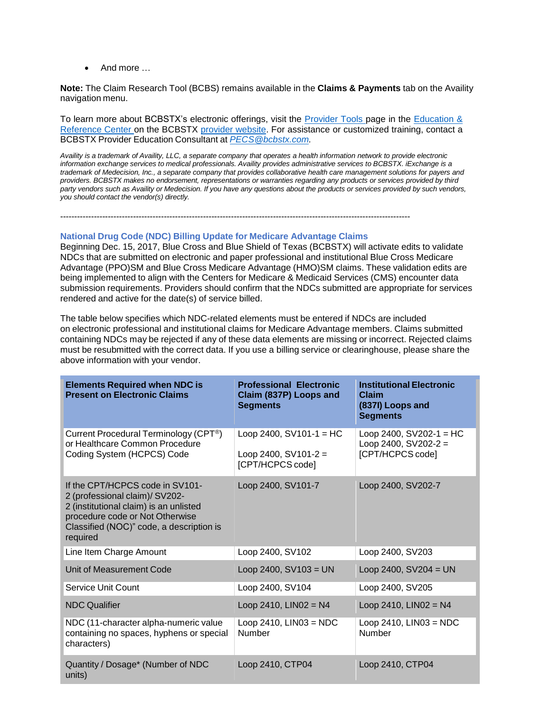$\bullet$  And more

**Note:** The Claim Research Tool (BCBS) remains available in the **Claims & Payments** tab on the Availity navigation menu.

To learn more about BCBSTX's electronic offerings, visit the [Provider](https://www.bcbstx.com/provider/tools/index.html) Tools page in the [Education](https://www.bcbstx.com/provider/education_reference.html) & [Reference](https://www.bcbstx.com/provider/education_reference.html) Center on the BCBSTX provider [website.](https://www.bcbstx.com/provider/) For assistance or customized training, contact a BCBSTX Provider Education Consultant at *[PECS@bcbstx.com.](mailto:PECS@bcbstx.com)*

Availity is a trademark of Availity, LLC, a separate company that operates a health information network to provide electronic *information exchange services to medical professionals. Availity provides administrative services to BCBSTX. iExchange is a trademark of Medecision, Inc., a separate company that provides collaborative health care management solutions for payers and providers. BCBSTX makes no endorsement, representations or warranties regarding any products or services provided by third party vendors such as Availity or Medecision. If you have any questions about the products or services provided by such vendors, you should contact the vendor(s) directly.*

-----------------------------------------------------------------------------------------------------------------------------

# **National Drug Code (NDC) Billing Update for Medicare Advantage Claims**

Beginning Dec. 15, 2017, Blue Cross and Blue Shield of Texas (BCBSTX) will activate edits to validate NDCs that are submitted on electronic and paper professional and institutional Blue Cross Medicare Advantage (PPO)SM and Blue Cross Medicare Advantage (HMO)SM claims. These validation edits are being implemented to align with the Centers for Medicare & Medicaid Services (CMS) encounter data submission requirements. Providers should confirm that the NDCs submitted are appropriate for services rendered and active for the date(s) of service billed.

The table below specifies which NDC-related elements must be entered if NDCs are included on electronic professional and institutional claims for Medicare Advantage members. Claims submitted containing NDCs may be rejected if any of these data elements are missing or incorrect. Rejected claims must be resubmitted with the correct data. If you use a billing service or clearinghouse, please share the above information with your vendor.

| <b>Elements Required when NDC is</b><br><b>Present on Electronic Claims</b>                                                                                                                            | <b>Professional Electronic</b><br>Claim (837P) Loops and<br><b>Segments</b> | <b>Institutional Electronic</b><br>Claim<br>(837I) Loops and<br><b>Segments</b> |
|--------------------------------------------------------------------------------------------------------------------------------------------------------------------------------------------------------|-----------------------------------------------------------------------------|---------------------------------------------------------------------------------|
| Current Procedural Terminology (CPT®)<br>or Healthcare Common Procedure<br>Coding System (HCPCS) Code                                                                                                  | Loop 2400, $SV101-1 = HC$<br>Loop 2400, SV101-2 =<br>[CPT/HCPCS code]       | Loop 2400, $SV202-1 = HC$<br>Loop 2400, $SV202-2 =$<br>[CPT/HCPCS code]         |
| If the CPT/HCPCS code in SV101-<br>2 (professional claim)/ SV202-<br>2 (institutional claim) is an unlisted<br>procedure code or Not Otherwise<br>Classified (NOC)" code, a description is<br>required | Loop 2400, SV101-7                                                          | Loop 2400, SV202-7                                                              |
| Line Item Charge Amount                                                                                                                                                                                | Loop 2400, SV102                                                            | Loop 2400, SV203                                                                |
| Unit of Measurement Code                                                                                                                                                                               | Loop 2400, $SV103 = UN$                                                     | Loop 2400, $SV204 = UN$                                                         |
| Service Unit Count                                                                                                                                                                                     | Loop 2400, SV104                                                            | Loop 2400, SV205                                                                |
| <b>NDC Qualifier</b>                                                                                                                                                                                   | Loop 2410, $LINO2 = N4$                                                     | Loop 2410, $LINO2 = N4$                                                         |
| NDC (11-character alpha-numeric value<br>containing no spaces, hyphens or special<br>characters)                                                                                                       | Loop 2410, $LINO3 = NDC$<br><b>Number</b>                                   | Loop 2410, $LINO3 = NDC$<br><b>Number</b>                                       |
| Quantity / Dosage* (Number of NDC<br>units)                                                                                                                                                            | Loop 2410, CTP04                                                            | Loop 2410, CTP04                                                                |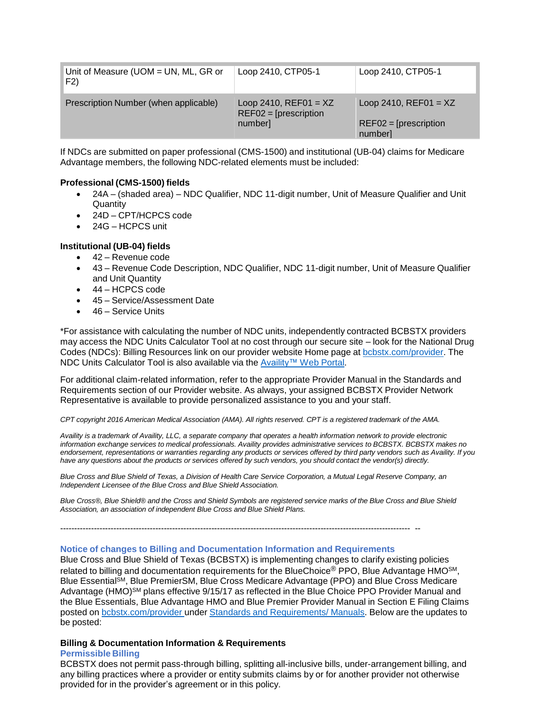| Unit of Measure (UOM = UN, ML, GR or<br>F2) | Loop 2410, CTP05-1                                             | Loop 2410, CTP05-1                                            |
|---------------------------------------------|----------------------------------------------------------------|---------------------------------------------------------------|
| Prescription Number (when applicable)       | Loop 2410, $REF01 = XZ$<br>$REF02 = [prescription]$<br>number] | Loop 2410, $REF01 = XZ$<br>$REF02 = [prescription]$<br>number |

If NDCs are submitted on paper professional (CMS-1500) and institutional (UB-04) claims for Medicare Advantage members, the following NDC-related elements must be included:

# **Professional (CMS-1500) fields**

- 24A (shaded area) NDC Qualifier, NDC 11-digit number, Unit of Measure Qualifier and Unit **Quantity**
- 24D CPT/HCPCS code
- 24G HCPCS unit

# **Institutional (UB-04) fields**

- 42 Revenue code
- 43 Revenue Code Description, NDC Qualifier, NDC 11-digit number, Unit of Measure Qualifier and Unit Quantity
- 44 HCPCS code
- 45 Service/Assessment Date
- 46 Service Units

\*For assistance with calculating the number of NDC units, independently contracted BCBSTX providers may access the NDC Units Calculator Tool at no cost through our secure site – look for the National Drug Codes (NDCs): Billing Resources link on our provider website Home page at [bcbstx.com/provider.](https://www.bcbstx.com/provider) The NDC Units Calculator Tool is also available via the [Availity™](http://www.availity.com/) Web Portal.

For additional claim-related information, refer to the appropriate Provider Manual in the Standards and Requirements section of our Provider website. As always, your assigned BCBSTX Provider Network Representative is available to provide personalized assistance to you and your staff.

*CPT copyright 2016 American Medical Association (AMA). All rights reserved. CPT is a registered trademark of the AMA.*

Availity is a trademark of Availity, LLC, a separate company that operates a health information network to provide electronic *information exchange services to medical professionals. Availity provides administrative services to BCBSTX. BCBSTX makes no endorsement, representations or warranties regarding any products or services offered by third party vendors such as Availity. If you have any questions about the products or services offered by such vendors, you should contact the vendor(s) directly.*

*Blue Cross and Blue Shield of Texas, a Division of Health Care Service Corporation, a Mutual Legal Reserve Company, an Independent Licensee of the Blue Cross and Blue Shield Association.*

Blue Cross®, Blue Shield® and the Cross and Shield Symbols are registered service marks of the Blue Cross and Blue Shield *Association, an association of independent Blue Cross and Blue Shield Plans.*

----------------------------------------------------------------------------------------------------------------------------- --

# **Notice of changes to Billing and Documentation Information and Requirements**

Blue Cross and Blue Shield of Texas (BCBSTX) is implementing changes to clarify existing policies related to billing and documentation requirements for the BlueChoice® PPO, Blue Advantage HMO<sup>SM</sup>, Blue Essential<sup>SM</sup>, Blue PremierSM, Blue Cross Medicare Advantage (PPO) and Blue Cross Medicare Advantage (HMO)<sup>SM</sup> plans effective 9/15/17 as reflected in the Blue Choice PPO Provider Manual and the Blue Essentials, Blue Advantage HMO and Blue Premier Provider Manual in Section E Filing Claims posted on [bcbstx.com/provider](https://www.bcbstx.com/provider/) under Standards and [Requirements/](https://www.bcbstx.com/provider/gri/index.html) Manuals. Below are the updates to be posted:

# **Billing & Documentation Information & Requirements**

#### **Permissible Billing**

BCBSTX does not permit pass-through billing, splitting all-inclusive bills, under-arrangement billing, and any billing practices where a provider or entity submits claims by or for another provider not otherwise provided for in the provider's agreement or in this policy.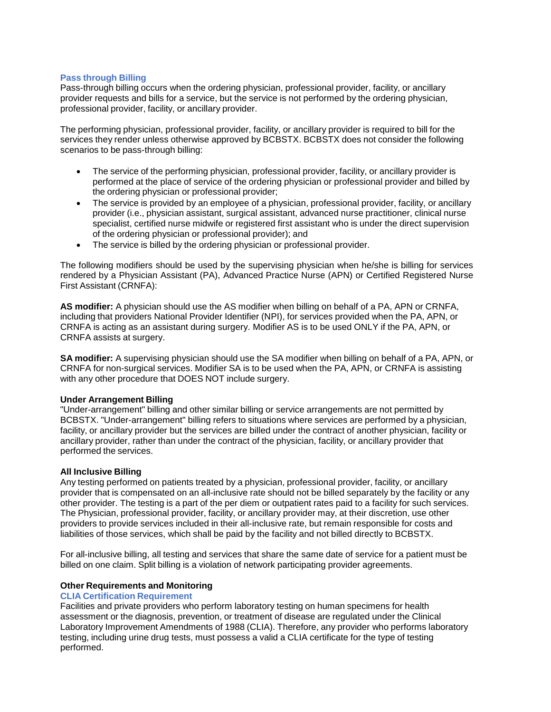#### **Pass through Billing**

Pass-through billing occurs when the ordering physician, professional provider, facility, or ancillary provider requests and bills for a service, but the service is not performed by the ordering physician, professional provider, facility, or ancillary provider.

The performing physician, professional provider, facility, or ancillary provider is required to bill for the services they render unless otherwise approved by BCBSTX. BCBSTX does not consider the following scenarios to be pass-through billing:

- The service of the performing physician, professional provider, facility, or ancillary provider is performed at the place of service of the ordering physician or professional provider and billed by the ordering physician or professional provider;
- The service is provided by an employee of a physician, professional provider, facility, or ancillary provider (i.e., physician assistant, surgical assistant, advanced nurse practitioner, clinical nurse specialist, certified nurse midwife or registered first assistant who is under the direct supervision of the ordering physician or professional provider); and
- The service is billed by the ordering physician or professional provider.

The following modifiers should be used by the supervising physician when he/she is billing for services rendered by a Physician Assistant (PA), Advanced Practice Nurse (APN) or Certified Registered Nurse First Assistant (CRNFA):

**AS modifier:** A physician should use the AS modifier when billing on behalf of a PA, APN or CRNFA, including that providers National Provider Identifier (NPI), for services provided when the PA, APN, or CRNFA is acting as an assistant during surgery. Modifier AS is to be used ONLY if the PA, APN, or CRNFA assists at surgery.

**SA modifier:** A supervising physician should use the SA modifier when billing on behalf of a PA, APN, or CRNFA for non-surgical services. Modifier SA is to be used when the PA, APN, or CRNFA is assisting with any other procedure that DOES NOT include surgery.

#### **Under Arrangement Billing**

"Under-arrangement" billing and other similar billing or service arrangements are not permitted by BCBSTX. "Under-arrangement" billing refers to situations where services are performed by a physician, facility, or ancillary provider but the services are billed under the contract of another physician, facility or ancillary provider, rather than under the contract of the physician, facility, or ancillary provider that performed the services.

#### **All Inclusive Billing**

Any testing performed on patients treated by a physician, professional provider, facility, or ancillary provider that is compensated on an all-inclusive rate should not be billed separately by the facility or any other provider. The testing is a part of the per diem or outpatient rates paid to a facility for such services. The Physician, professional provider, facility, or ancillary provider may, at their discretion, use other providers to provide services included in their all-inclusive rate, but remain responsible for costs and liabilities of those services, which shall be paid by the facility and not billed directly to BCBSTX.

For all-inclusive billing, all testing and services that share the same date of service for a patient must be billed on one claim. Split billing is a violation of network participating provider agreements.

#### **Other Requirements and Monitoring**

#### **CLIA Certification Requirement**

Facilities and private providers who perform laboratory testing on human specimens for health assessment or the diagnosis, prevention, or treatment of disease are regulated under the Clinical Laboratory Improvement Amendments of 1988 (CLIA). Therefore, any provider who performs laboratory testing, including urine drug tests, must possess a valid a CLIA certificate for the type of testing performed.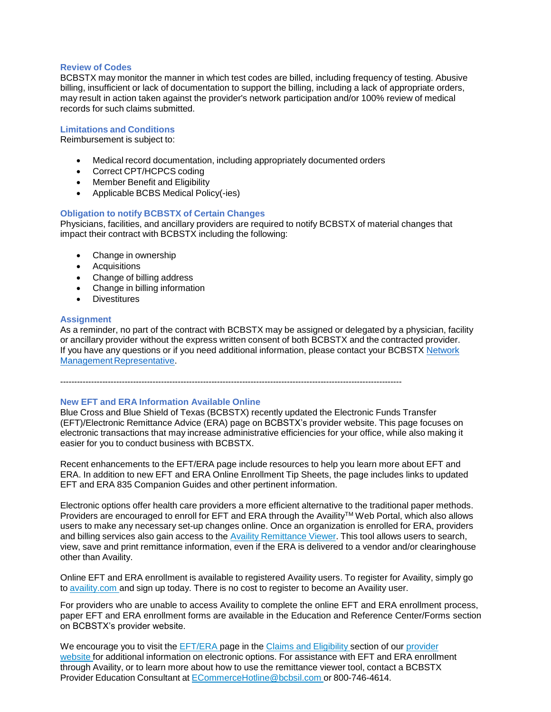#### **Review of Codes**

BCBSTX may monitor the manner in which test codes are billed, including frequency of testing. Abusive billing, insufficient or lack of documentation to support the billing, including a lack of appropriate orders, may result in action taken against the provider's network participation and/or 100% review of medical records for such claims submitted.

### **Limitations and Conditions**

Reimbursement is subject to:

- Medical record documentation, including appropriately documented orders
- Correct CPT/HCPCS coding
- Member Benefit and Eligibility
- Applicable BCBS Medical Policy(-ies)

#### **Obligation to notify BCBSTX of Certain Changes**

Physicians, facilities, and ancillary providers are required to notify BCBSTX of material changes that impact their contract with BCBSTX including the following:

- Change in ownership
- Acquisitions
- Change of billing address
- Change in billing information
- **Divestitures**

#### **Assignment**

As a reminder, no part of the contract with BCBSTX may be assigned or delegated by a physician, facility or ancillary provider without the express written consent of both BCBSTX and the contracted provider. If you have any questions or if you need additional information, please contact your BCBSTX [Network](https://www.bcbstx.com/provider/contact_us.html) Management [Representative.](https://www.bcbstx.com/provider/contact_us.html)

--------------------------------------------------------------------------------------------------------------------------

# **New EFT and ERA Information Available Online**

Blue Cross and Blue Shield of Texas (BCBSTX) recently updated the Electronic Funds Transfer (EFT)/Electronic Remittance Advice (ERA) page on BCBSTX's provider website. This page focuses on electronic transactions that may increase administrative efficiencies for your office, while also making it easier for you to conduct business with BCBSTX.

Recent enhancements to the EFT/ERA page include resources to help you learn more about EFT and ERA. In addition to new EFT and ERA Online Enrollment Tip Sheets, the page includes links to updated EFT and ERA 835 Companion Guides and other pertinent information.

Electronic options offer health care providers a more efficient alternative to the traditional paper methods. Providers are encouraged to enroll for EFT and ERA through the Availity™ Web Portal, which also allows users to make any necessary set-up changes online. Once an organization is enrolled for ERA, providers and billing services also gain access to the Availity [Remittance](https://www.bcbstx.com/provider/tools/remittance_viewer_webinars.html) Viewer. This tool allows users to search, view, save and print remittance information, even if the ERA is delivered to a vendor and/or clearinghouse other than Availity.

Online EFT and ERA enrollment is available to registered Availity users. To register for Availity, simply go to [availity.com](https://www.availity.com/) and sign up today. There is no cost to register to become an Availity user.

For providers who are unable to access Availity to complete the online EFT and ERA enrollment process, paper EFT and ERA enrollment forms are available in the Education and Reference Center/Forms section on BCBSTX's provider website.

We encourage you to visit the **[EFT/ERA](https://www.bcbstx.com/provider/claims/era.html)** page in the **Claims and [Eligibility](https://www.bcbstx.com/provider/claims/index.html)** section of our [provider](https://www.bcbstx.com/provider/) [website](https://www.bcbstx.com/provider/) for additional information on electronic options. For assistance with EFT and ERA enrollment through Availity, or to learn more about how to use the remittance viewer tool, contact a BCBSTX Provider Education Consultant at [ECommerceHotline@bcbsil.com](https://www.bcbsil.com/provider/claims/electronic_commerce.html) or 800-746-4614.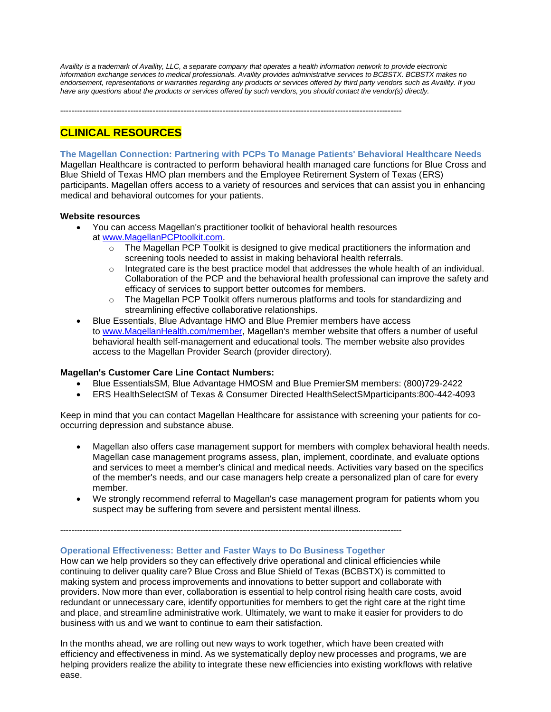Availity is a trademark of Availity, LLC, a separate company that operates a health information network to provide electronic *information exchange services to medical professionals. Availity provides administrative services to BCBSTX. BCBSTX makes no endorsement, representations or warranties regarding any products or services offered by third party vendors such as Availity. If you have any questions about the products or services offered by such vendors, you should contact the vendor(s) directly.*

--------------------------------------------------------------------------------------------------------------------------

# **CLINICAL RESOURCES**

#### **The Magellan Connection: Partnering with PCPs To Manage Patients' Behavioral Healthcare Needs**

Magellan Healthcare is contracted to perform behavioral health managed care functions for Blue Cross and Blue Shield of Texas HMO plan members and the Employee Retirement System of Texas (ERS) participants. Magellan offers access to a variety of resources and services that can assist you in enhancing medical and behavioral outcomes for your patients.

#### **Website resources**

- You can access Magellan's practitioner toolkit of behavioral health resources at [www.MagellanPCPtoolkit.com.](http://www.magellanpcptoolkit.com/)
	- o The Magellan PCP Toolkit is designed to give medical practitioners the information and screening tools needed to assist in making behavioral health referrals.
	- $\circ$  Integrated care is the best practice model that addresses the whole health of an individual. Collaboration of the PCP and the behavioral health professional can improve the safety and efficacy of services to support better outcomes for members.
	- o The Magellan PCP Toolkit offers numerous platforms and tools for standardizing and streamlining effective collaborative relationships.
- Blue Essentials, Blue Advantage HMO and Blue Premier members have access to [www.MagellanHealth.com/member,](http://www.magellanhealth.com/member) Magellan's member website that offers a number of useful behavioral health self-management and educational tools. The member website also provides access to the Magellan Provider Search (provider directory).

#### **Magellan's Customer Care Line Contact Numbers:**

- Blue EssentialsSM, Blue Advantage HMOSM and Blue PremierSM members: (800)729-2422
- ERS HealthSelectSM of Texas & Consumer Directed HealthSelectSMparticipants:800-442-4093

Keep in mind that you can contact Magellan Healthcare for assistance with screening your patients for cooccurring depression and substance abuse.

- Magellan also offers case management support for members with complex behavioral health needs. Magellan case management programs assess, plan, implement, coordinate, and evaluate options and services to meet a member's clinical and medical needs. Activities vary based on the specifics of the member's needs, and our case managers help create a personalized plan of care for every member.
- We strongly recommend referral to Magellan's case management program for patients whom you suspect may be suffering from severe and persistent mental illness.

--------------------------------------------------------------------------------------------------------------------------

#### **Operational Effectiveness: Better and Faster Ways to Do Business Together**

How can we help providers so they can effectively drive operational and clinical efficiencies while continuing to deliver quality care? Blue Cross and Blue Shield of Texas (BCBSTX) is committed to making system and process improvements and innovations to better support and collaborate with providers. Now more than ever, collaboration is essential to help control rising health care costs, avoid redundant or unnecessary care, identify opportunities for members to get the right care at the right time and place, and streamline administrative work. Ultimately, we want to make it easier for providers to do business with us and we want to continue to earn their satisfaction.

In the months ahead, we are rolling out new ways to work together, which have been created with efficiency and effectiveness in mind. As we systematically deploy new processes and programs, we are helping providers realize the ability to integrate these new efficiencies into existing workflows with relative ease.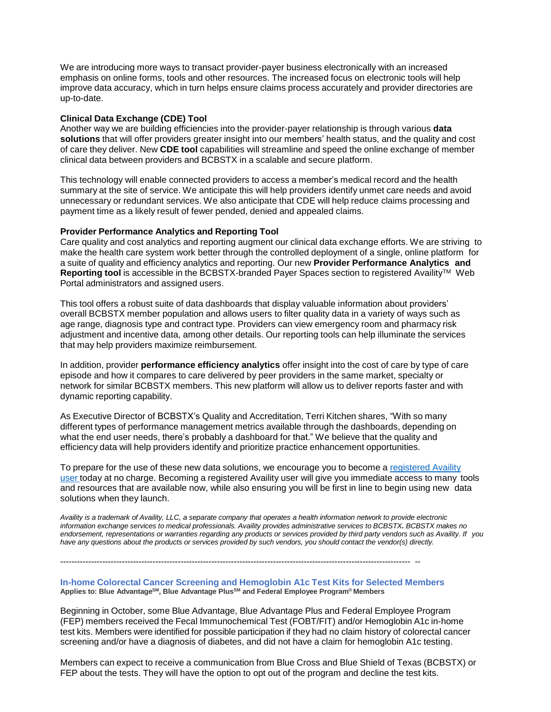We are introducing more ways to transact provider-payer business electronically with an increased emphasis on online forms, tools and other resources. The increased focus on electronic tools will help improve data accuracy, which in turn helps ensure claims process accurately and provider directories are up-to-date.

# **Clinical Data Exchange (CDE) Tool**

Another way we are building efficiencies into the provider-payer relationship is through various **data solutions** that will offer providers greater insight into our members' health status, and the quality and cost of care they deliver. New **CDE tool** capabilities will streamline and speed the online exchange of member clinical data between providers and BCBSTX in a scalable and secure platform.

This technology will enable connected providers to access a member's medical record and the health summary at the site of service. We anticipate this will help providers identify unmet care needs and avoid unnecessary or redundant services. We also anticipate that CDE will help reduce claims processing and payment time as a likely result of fewer pended, denied and appealed claims.

#### **Provider Performance Analytics and Reporting Tool**

Care quality and cost analytics and reporting augment our clinical data exchange efforts. We are striving to make the health care system work better through the controlled deployment of a single, online platform for a suite of quality and efficiency analytics and reporting. Our new **Provider Performance Analytics and** Reporting tool is accessible in the BCBSTX-branded Payer Spaces section to registered Availity™ Web Portal administrators and assigned users.

This tool offers a robust suite of data dashboards that display valuable information about providers' overall BCBSTX member population and allows users to filter quality data in a variety of ways such as age range, diagnosis type and contract type. Providers can view emergency room and pharmacy risk adjustment and incentive data, among other details. Our reporting tools can help illuminate the services that may help providers maximize reimbursement.

In addition, provider **performance efficiency analytics** offer insight into the cost of care by type of care episode and how it compares to care delivered by peer providers in the same market, specialty or network for similar BCBSTX members. This new platform will allow us to deliver reports faster and with dynamic reporting capability.

As Executive Director of BCBSTX's Quality and Accreditation, Terri Kitchen shares, "With so many different types of performance management metrics available through the dashboards, depending on what the end user needs, there's probably a dashboard for that." We believe that the quality and efficiency data will help providers identify and prioritize practice enhancement opportunities.

To prepare for the use of these new data solutions, we encourage you to become a [registered](http://www.availity.com/) Availity [user](http://www.availity.com/) today at no charge. Becoming a registered Availity user will give you immediate access to many tools and resources that are available now, while also ensuring you will be first in line to begin using new data solutions when they launch.

Availity is a trademark of Availity, LLC, a separate company that operates a health information network to provide electronic *information exchange services to medical professionals. Availity provides administrative services to BCBSTX. BCBSTX makes no endorsement, representations or warranties regarding any products or services provided by third party vendors such as Availity. If you have any questions about the products or services provided by such vendors, you should contact the vendor(s) directly.*

----------------------------------------------------------------------------------------------------------------------------- --

**In-home Colorectal Cancer Screening and Hemoglobin A1c Test Kits for Selected Members Applies to: Blue AdvantageSM, Blue Advantage PlusSM and Federal Employee Program**® **Members**

Beginning in October, some Blue Advantage, Blue Advantage Plus and Federal Employee Program (FEP) members received the Fecal Immunochemical Test (FOBT/FIT) and/or Hemoglobin A1c in-home test kits. Members were identified for possible participation if they had no claim history of colorectal cancer screening and/or have a diagnosis of diabetes, and did not have a claim for hemoglobin A1c testing.

Members can expect to receive a communication from Blue Cross and Blue Shield of Texas (BCBSTX) or FEP about the tests. They will have the option to opt out of the program and decline the test kits.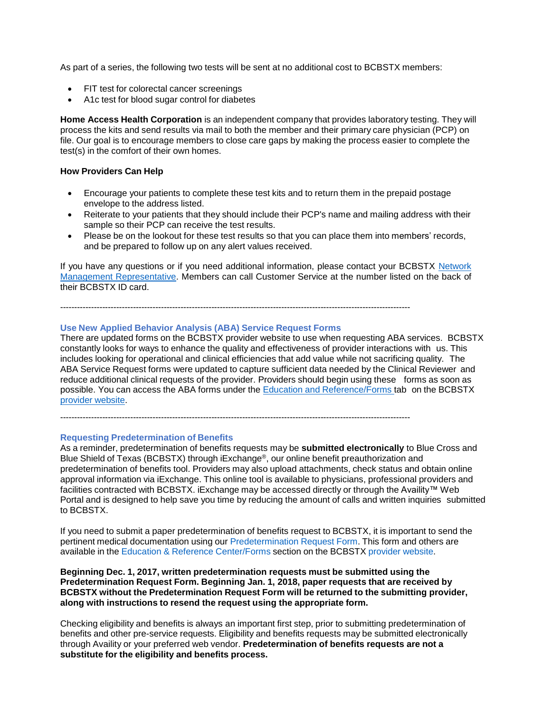As part of a series, the following two tests will be sent at no additional cost to BCBSTX members:

- FIT test for colorectal cancer screenings
- A1c test for blood sugar control for diabetes

**Home Access Health Corporation** is an independent company that provides laboratory testing. They will process the kits and send results via mail to both the member and their primary care physician (PCP) on file. Our goal is to encourage members to close care gaps by making the process easier to complete the test(s) in the comfort of their own homes.

#### **How Providers Can Help**

- Encourage your patients to complete these test kits and to return them in the prepaid postage envelope to the address listed.
- Reiterate to your patients that they should include their PCP's name and mailing address with their sample so their PCP can receive the test results.
- Please be on the lookout for these test results so that you can place them into members' records, and be prepared to follow up on any alert values received.

If you have any questions or if you need additional information, please contact your BCBSTX [Network](https://www.bcbstx.com/provider/contact_us.html) Management [Representative.](https://www.bcbstx.com/provider/contact_us.html) Members can call Customer Service at the number listed on the back of their BCBSTX ID card.

-----------------------------------------------------------------------------------------------------------------------------

#### **Use New Applied Behavior Analysis (ABA) Service Request Forms**

There are updated forms on the BCBSTX provider website to use when requesting ABA services. BCBSTX constantly looks for ways to enhance the quality and effectiveness of provider interactions with us. This includes looking for operational and clinical efficiencies that add value while not sacrificing quality. The ABA Service Request forms were updated to capture sufficient data needed by the Clinical Reviewer and reduce additional clinical requests of the provider. Providers should begin using these forms as soon as possible. You can access the ABA forms under the Education and [Reference/Forms](https://www.bcbstx.com/provider/forms/index.html) tab on the BCBSTX provider [website.](https://www.bcbstx.com/provider/index.html)

-----------------------------------------------------------------------------------------------------------------------------

#### **Requesting Predetermination of Benefits**

As a reminder, predetermination of benefits requests may be **submitted electronically** to Blue Cross and Blue Shield of Texas (BCBSTX) through iExchange®, our online benefit preauthorization and predetermination of benefits tool. Providers may also upload attachments, check status and obtain online approval information via iExchange. This online tool is available to physicians, professional providers and facilities contracted with BCBSTX. iExchange may be accessed directly or through the Availity™ Web Portal and is designed to help save you time by reducing the amount of calls and written inquiries submitted to BCBSTX.

If you need to submit a paper predetermination of benefits request to BCBSTX, it is important to send the pertinent medical documentation using our [Predetermination](https://www.bcbstx.com/provider/pdf/predeterminationform.pdf) Request Form. This form and others are available in the Education & Reference [Center/Forms](https://www.bcbstx.com/provider/forms/index.html) section on the BCBSTX provider [website.](https://www.bcbstx.com/provider/)

**Beginning Dec. 1, 2017, written predetermination requests must be submitted using the Predetermination Request Form. Beginning Jan. 1, 2018, paper requests that are received by BCBSTX without the Predetermination Request Form will be returned to the submitting provider, along with instructions to resend the request using the appropriate form.**

Checking eligibility and benefits is always an important first step, prior to submitting predetermination of benefits and other pre-service requests. Eligibility and benefits requests may be submitted electronically through Availity or your preferred web vendor. **Predetermination of benefits requests are not a substitute for the eligibility and benefits process.**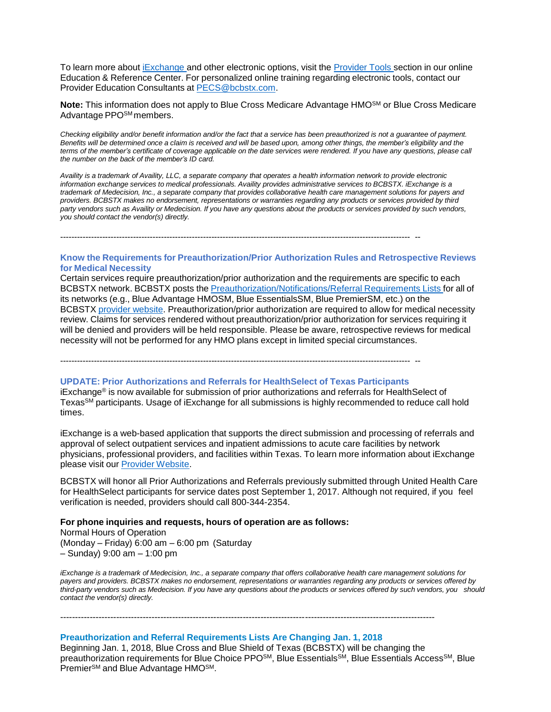To learn more about [iExchange](https://www.bcbstx.com/provider/tools/iexchange_index.html) and other electronic options, visit the [Provider](https://www.bcbstx.com/provider/tools/index.html) Tools section in our online Education & Reference Center. For personalized online training regarding electronic tools, contact our Provider Education Consultants at [PECS@bcbstx.com.](mailto:PECS@bcbstx.com)

**Note:** This information does not apply to Blue Cross Medicare Advantage HMOSM or Blue Cross Medicare Advantage PPO<sup>SM</sup> members.

Checking eligibility and/or benefit information and/or the fact that a service has been preauthorized is not a guarantee of payment. Benefits will be determined once a claim is received and will be based upon, among other things, the member's eligibility and the terms of the member's certificate of coverage applicable on the date services were rendered. If you have any questions, please call *the number on the back of the member's ID card.*

Availity is a trademark of Availity, LLC, a separate company that operates a health information network to provide electronic *information exchange services to medical professionals. Availity provides administrative services to BCBSTX. iExchange is a trademark of Medecision, Inc., a separate company that provides collaborative health care management solutions for payers and providers. BCBSTX makes no endorsement, representations or warranties regarding any products or services provided by third* party vendors such as Availity or Medecision. If you have any questions about the products or services provided by such vendors, *you should contact the vendor(s) directly.*

----------------------------------------------------------------------------------------------------------------------------- --

#### **Know the Requirements for Preauthorization/Prior Authorization Rules and Retrospective Reviews for Medical Necessity**

Certain services require preauthorization/prior authorization and the requirements are specific to each BCBSTX network. BCBSTX posts the [Preauthorization/Notifications/Referral](https://www.bcbstx.com/provider/clinical) Requirements Lists for all of its networks (e.g., Blue Advantage HMOSM, Blue EssentialsSM, Blue PremierSM, etc.) on the BCBSTX provider [website.](https://www.bcbstx.com/provider/) Preauthorization/prior authorization are required to allow for medical necessity review. Claims for services rendered without preauthorization/prior authorization for services requiring it will be denied and providers will be held responsible. Please be aware, retrospective reviews for medical necessity will not be performed for any HMO plans except in limited special circumstances.

----------------------------------------------------------------------------------------------------------------------------- --

#### **UPDATE: Prior Authorizations and Referrals for HealthSelect of Texas Participants**

iExchange® is now available for submission of prior authorizations and referrals for HealthSelect of TexasSM participants. Usage of iExchange for all submissions is highly recommended to reduce call hold times.

iExchange is a web-based application that supports the direct submission and processing of referrals and approval of select outpatient services and inpatient admissions to acute care facilities by network physicians, professional providers, and facilities within Texas. To learn more information about iExchange please visit our Provider [Website.](https://www.bcbstx.com/provider/tools/iexchange_index.html)

BCBSTX will honor all Prior Authorizations and Referrals previously submitted through United Health Care for HealthSelect participants for service dates post September 1, 2017. Although not required, if you feel verification is needed, providers should call 800-344-2354.

#### **For phone inquiries and requests, hours of operation are as follows:**

Normal Hours of Operation (Monday – Friday) 6:00 am – 6:00 pm (Saturday – Sunday) 9:00 am – 1:00 pm

iExchange is a trademark of Medecision, Inc., a separate company that offers collaborative health care management solutions for payers and providers. BCBSTX makes no endorsement, representations or warranties regarding any products or services offered by third-party vendors such as Medecision. If you have any questions about the products or services offered by such vendors, you should *contact the vendor(s) directly.*

#### **Preauthorization and Referral Requirements Lists Are Changing Jan. 1, 2018**

-------------------------------------------------------------------------------------------------------------------------------

Beginning Jan. 1, 2018, Blue Cross and Blue Shield of Texas (BCBSTX) will be changing the preauthorization requirements for Blue Choice PPO<sup>SM</sup>, Blue Essentials<sup>SM</sup>, Blue Essentials Access<sup>SM</sup>, Blue Premier<sup>SM</sup> and Blue Advantage HMO<sup>SM</sup>.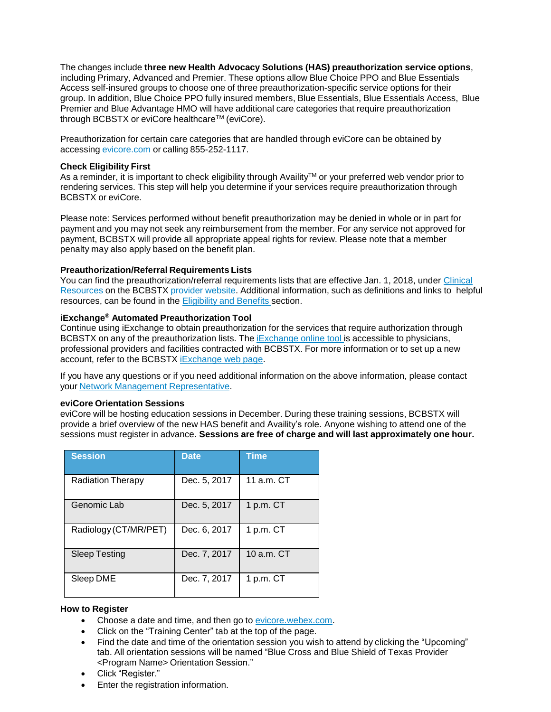The changes include **three new Health Advocacy Solutions (HAS) preauthorization service options**, including Primary, Advanced and Premier. These options allow Blue Choice PPO and Blue Essentials Access self-insured groups to choose one of three preauthorization-specific service options for their group. In addition, Blue Choice PPO fully insured members, Blue Essentials, Blue Essentials Access, Blue Premier and Blue Advantage HMO will have additional care categories that require preauthorization through BCBSTX or eviCore healthcare™ (eviCore).

Preauthorization for certain care categories that are handled through eviCore can be obtained by accessing [evicore.com](https://www.evicore.com/) or calling 855-252-1117.

#### **Check Eligibility First**

As a reminder, it is important to check eligibility through Availity™ or your preferred web vendor prior to rendering services. This step will help you determine if your services require preauthorization through BCBSTX or eviCore.

Please note: Services performed without benefit preauthorization may be denied in whole or in part for payment and you may not seek any reimbursement from the member. For any service not approved for payment, BCBSTX will provide all appropriate appeal rights for review. Please note that a member penalty may also apply based on the benefit plan.

#### **Preauthorization/Referral Requirements Lists**

You can find the preauthorization/referral requirements lists that are effective Jan. 1, 2018, under [Clinical](https://www.bcbstx.com/provider/clinical/index.html) [Resources](https://www.bcbstx.com/provider/clinical/index.html) on the BCBSTX [provider](https://www.bcbstx.com/provider/) website. Additional information, such as definitions and links to helpful resources, can be found in the [Eligibility](https://www.bcbstx.com/provider/claims/eligibility_and_benefits.html) and Benefits section.

#### **iExchange® Automated Preauthorization Tool**

Continue using iExchange to obtain preauthorization for the services that require authorization through BCBSTX on any of the preauthorization lists. The *[iExchange](https://www.bcbstx.com/provider/tools/iexchange_index.html) online tool* is accessible to physicians, professional providers and facilities contracted with BCBSTX. For more information or to set up a new account, refer to the BCBSTX [iExchange](https://www.bcbstx.com/provider/tools/iexchange_index.html) web page.

If you have any questions or if you need additional information on the above information, please contact your Network Management [Representative.](https://www.bcbstx.com/provider/contact_us.html)

#### **eviCore Orientation Sessions**

eviCore will be hosting education sessions in December. During these training sessions, BCBSTX will provide a brief overview of the new HAS benefit and Availity's role. Anyone wishing to attend one of the sessions must register in advance. **Sessions are free of charge and will last approximately one hour.**

| <b>Session</b>           | <b>Date</b>  | <b>Time</b>    |
|--------------------------|--------------|----------------|
| <b>Radiation Therapy</b> | Dec. 5, 2017 | 11 $a.m.$ $CT$ |
| Genomic Lab              | Dec. 5, 2017 | 1 $p.m.$ CT    |
| Radiology (CT/MR/PET)    | Dec. 6, 2017 | 1 $p.m.$ CT    |
| <b>Sleep Testing</b>     | Dec. 7, 2017 | $10a.m.$ CT    |
| Sleep DME                | Dec. 7, 2017 | 1 p.m. CT      |

#### **How to Register**

- Choose a date and time, and then go to [evicore.webex.com.](https://evicore.webex.com/webappng/sites/evicore/dashboard?siteurl=evicore)
- Click on the "Training Center" tab at the top of the page.
- Find the date and time of the orientation session you wish to attend by clicking the "Upcoming" tab. All orientation sessions will be named "Blue Cross and Blue Shield of Texas Provider <Program Name> Orientation Session."
- Click "Register."
- Enter the registration information.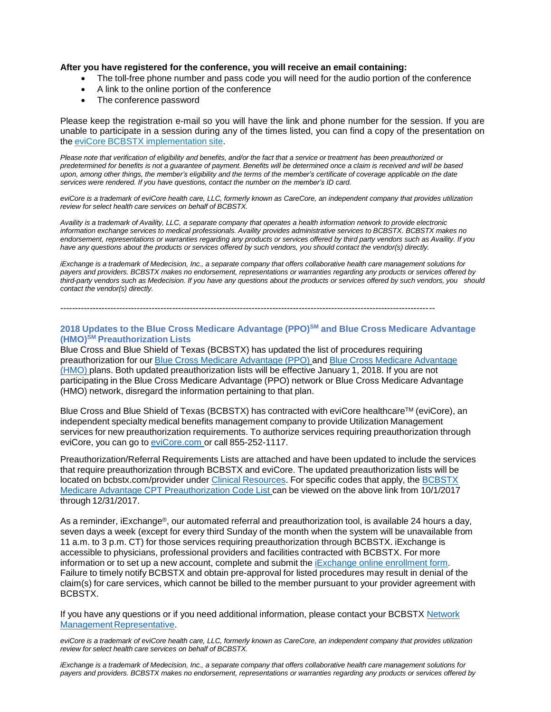#### **After you have registered for the conference, you will receive an email containing:**

- The toll-free phone number and pass code you will need for the audio portion of the conference
- A link to the online portion of the conference
- The conference password

Please keep the registration e-mail so you will have the link and phone number for the session. If you are unable to participate in a session during any of the times listed, you can find a copy of the presentation on the eviCore BCBSTX [implementation](https://www.evicore.com/healthplan/bcbstx_c) site.

Please note that verification of eligibility and benefits, and/or the fact that a service or treatment has been preauthorized or predetermined for benefits is not a guarantee of payment. Benefits will be determined once a claim is received and will be based upon, among other things, the member's eligibility and the terms of the member's certificate of coverage applicable on the date *services were rendered. If you have questions, contact the number on the member's ID card.*

eviCore is a trademark of eviCore health care, LLC, formerly known as CareCore, an independent company that provides utilization *review for select health care services on behalf of BCBSTX.*

Availity is a trademark of Availity, LLC, a separate company that operates a health information network to provide electronic *information exchange services to medical professionals. Availity provides administrative services to BCBSTX. BCBSTX makes no endorsement, representations or warranties regarding any products or services offered by third party vendors such as Availity. If you have any questions about the products or services offered by such vendors, you should contact the vendor(s) directly.*

iExchange is a trademark of Medecision, Inc., a separate company that offers collaborative health care management solutions for *payers and providers. BCBSTX makes no endorsement, representations or warranties regarding any products or services offered by* third-party vendors such as Medecision. If you have any questions about the products or services offered by such vendors, you should *contact the vendor(s) directly.*

-------------------------------------------------------------------------------------------------------------------------------

#### **2018 Updates to the Blue Cross Medicare Advantage (PPO)SM and Blue Cross Medicare Advantage (HMO)SM Preauthorization Lists**

Blue Cross and Blue Shield of Texas (BCBSTX) has updated the list of procedures requiring preauthorization for our Blue Cross Medicare [Advantage](https://www.bcbstx.com/provider/pdf/ma-preauthlist-01012018.pdf) (PPO) and Blue Cross Medicare [Advantage](https://www.bcbstx.com/provider/pdf/ma-preauthlist-01012018.pdf) [\(HMO\)](https://www.bcbstx.com/provider/pdf/ma-preauthlist-01012018.pdf) plans. Both updated preauthorization lists will be effective January 1, 2018. If you are not participating in the Blue Cross Medicare Advantage (PPO) network or Blue Cross Medicare Advantage (HMO) network, disregard the information pertaining to that plan.

Blue Cross and Blue Shield of Texas (BCBSTX) has contracted with eviCore healthcare™ (eviCore), an independent specialty medical benefits management company to provide Utilization Management services for new preauthorization requirements. To authorize services requiring preauthorization through eviCore, you can go to [eviCore.com](https://www.evicore.com/) or call 855-252-1117.

Preauthorization/Referral Requirements Lists are attached and have been updated to include the services that require preauthorization through BCBSTX and eviCore. The updated preauthorization lists will be located on bcbstx.com/provider under Clinical [Resources.](https://www.bcbstx.com/provider/clinical/index.html) For specific codes that apply, the **[BCBSTX](https://www.bcbstx.com/provider/pdf/ma-preauth-cpt-list-01012018.pdf)** Medicare Advantage CPT [Preauthorization](https://www.bcbstx.com/provider/pdf/ma-preauth-cpt-list-01012018.pdf) Code List can be viewed on the above link from 10/1/2017 through 12/31/2017.

As a reminder, iExchange®, our automated referral and preauthorization tool, is available 24 hours a day, seven days a week (except for every third Sunday of the month when the system will be unavailable from 11 a.m. to 3 p.m. CT) for those services requiring preauthorization through BCBSTX. iExchange is accessible to physicians, professional providers and facilities contracted with BCBSTX. For more information or to set up a new account, complete and submit the iExchange online [enrollment](https://www.bcbstx.com/provider/tools/iexchange.html) form. Failure to timely notify BCBSTX and obtain pre-approval for listed procedures may result in denial of the claim(s) for care services, which cannot be billed to the member pursuant to your provider agreement with BCBSTX.

If you have any questions or if you need additional information, please contact your BCBSTX [Network](https://www.bcbstx.com/provider/contact_us.html#localnetwork) Management [Representative.](https://www.bcbstx.com/provider/contact_us.html#localnetwork)

eviCore is a trademark of eviCore health care, LLC, formerly known as CareCore, an independent company that provides utilization *review for select health care services on behalf of BCBSTX.*

iExchange is a trademark of Medecision. Inc., a separate company that offers collaborative health care management solutions for *payers and providers. BCBSTX makes no endorsement, representations or warranties regarding any products or services offered by*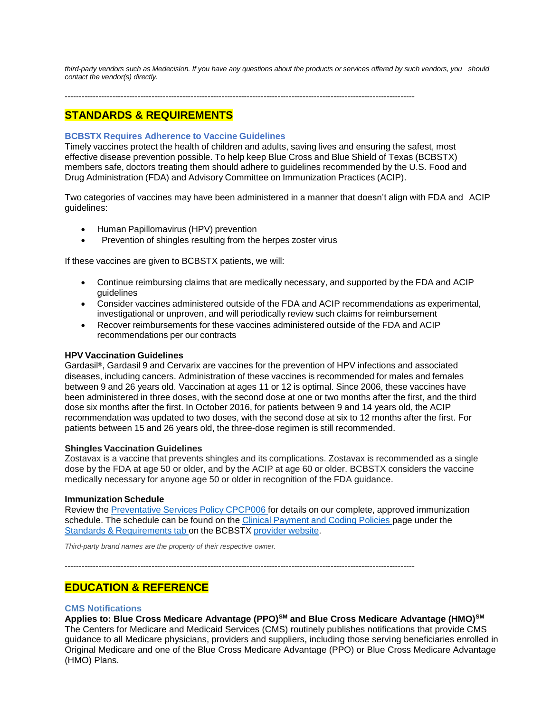third-party vendors such as Medecision. If you have any questions about the products or services offered by such vendors, you should *contact the vendor(s) directly.*

-----------------------------------------------------------------------------------------------------------------------------

# **STANDARDS & REQUIREMENTS**

#### **BCBSTX Requires Adherence to Vaccine Guidelines**

Timely vaccines protect the health of children and adults, saving lives and ensuring the safest, most effective disease prevention possible. To help keep Blue Cross and Blue Shield of Texas (BCBSTX) members safe, doctors treating them should adhere to guidelines recommended by the U.S. Food and Drug Administration (FDA) and Advisory Committee on Immunization Practices (ACIP).

Two categories of vaccines may have been administered in a manner that doesn't align with FDA and ACIP guidelines:

- Human Papillomavirus (HPV) prevention
- Prevention of shingles resulting from the herpes zoster virus

If these vaccines are given to BCBSTX patients, we will:

- Continue reimbursing claims that are medically necessary, and supported by the FDA and ACIP guidelines
- Consider vaccines administered outside of the FDA and ACIP recommendations as experimental, investigational or unproven, and will periodically review such claims for reimbursement
- Recover reimbursements for these vaccines administered outside of the FDA and ACIP recommendations per our contracts

#### **HPV Vaccination Guidelines**

Gardasil®, Gardasil 9 and Cervarix are vaccines for the prevention of HPV infections and associated diseases, including cancers. Administration of these vaccines is recommended for males and females between 9 and 26 years old. Vaccination at ages 11 or 12 is optimal. Since 2006, these vaccines have been administered in three doses, with the second dose at one or two months after the first, and the third dose six months after the first. In October 2016, for patients between 9 and 14 years old, the ACIP recommendation was updated to two doses, with the second dose at six to 12 months after the first. For patients between 15 and 26 years old, the three-dose regimen is still recommended.

#### **Shingles Vaccination Guidelines**

Zostavax is a vaccine that prevents shingles and its complications. Zostavax is recommended as a single dose by the FDA at age 50 or older, and by the ACIP at age 60 or older. BCBSTX considers the vaccine medically necessary for anyone age 50 or older in recognition of the FDA guidance.

#### **Immunization Schedule**

Review the [Preventative](https://www.bcbstx.com/provider/pdf/preventive-services-policy.pdf) Services Policy CPCP006 for details on our complete, approved immunization schedule. The schedule can be found on the Clinical [Payment](https://www.bcbstx.com/provider/standards/cpcp.html) and Coding Policies page under the Standards & [Requirements](https://www.bcbstx.com/provider/standards/index.html) tab on the BCBSTX provider [website.](https://www.bcbstx.com/provider/)

*Third-party brand names are the property of their respective owner.*

-----------------------------------------------------------------------------------------------------------------------------

# **EDUCATION & REFERENCE**

#### **CMS Notifications**

**Applies to: Blue Cross Medicare Advantage (PPO)SM and Blue Cross Medicare Advantage (HMO)SM** The Centers for Medicare and Medicaid Services (CMS) routinely publishes notifications that provide CMS guidance to all Medicare physicians, providers and suppliers, including those serving beneficiaries enrolled in Original Medicare and one of the Blue Cross Medicare Advantage (PPO) or Blue Cross Medicare Advantage (HMO) Plans.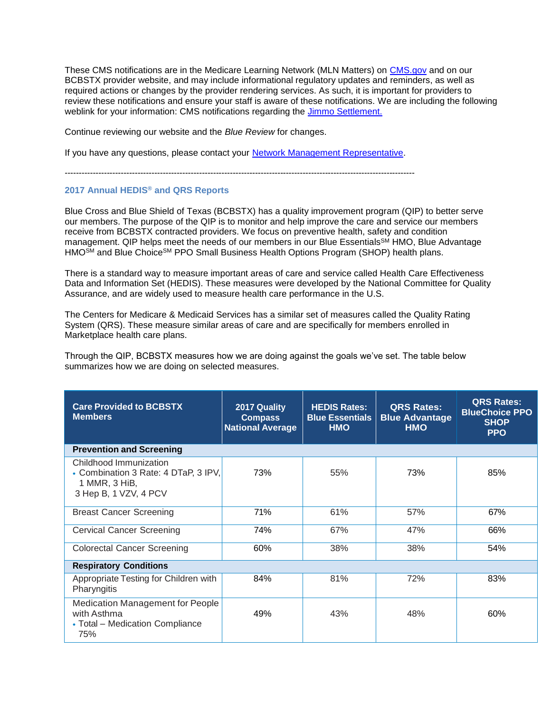These CMS notifications are in the Medicare Learning Network (MLN Matters) on [CMS.gov](https://www.cms.gov/Outreach-and-Education/Medicare-Learning-Network-MLN/MLNGenInfo/Index.html) and on our BCBSTX provider website, and may include informational regulatory updates and reminders, as well as required actions or changes by the provider rendering services. As such, it is important for providers to review these notifications and ensure your staff is aware of these notifications. We are including the following weblink for your information: CMS notifications regarding the [Jimmo Settlement.](https://www.cms.gov/Center/Special-Topic/Jimmo-Center.html)

Continue reviewing our website and the *Blue Review* for changes.

If you have any questions, please contact your [Network Management Representative.](https://www.bcbstx.com/provider/contact_us.html)

-----------------------------------------------------------------------------------------------------------------------------

# **2017 Annual HEDIS® and QRS Reports**

Blue Cross and Blue Shield of Texas (BCBSTX) has a quality improvement program (QIP) to better serve our members. The purpose of the QIP is to monitor and help improve the care and service our members receive from BCBSTX contracted providers. We focus on preventive health, safety and condition management. QIP helps meet the needs of our members in our Blue Essentials<sup>SM</sup> HMO, Blue Advantage HMO<sup>SM</sup> and Blue Choice<sup>SM</sup> PPO Small Business Health Options Program (SHOP) health plans.

There is a standard way to measure important areas of care and service called Health Care Effectiveness Data and Information Set (HEDIS). These measures were developed by the National Committee for Quality Assurance, and are widely used to measure health care performance in the U.S.

The Centers for Medicare & Medicaid Services has a similar set of measures called the Quality Rating System (QRS). These measure similar areas of care and are specifically for members enrolled in Marketplace health care plans.

Through the QIP, BCBSTX measures how we are doing against the goals we've set. The table below summarizes how we are doing on selected measures.

| <b>Care Provided to BCBSTX</b><br><b>Members</b>                                                         | 2017 Quality<br><b>Compass</b><br><b>National Average</b> | <b>HEDIS Rates:</b><br><b>Blue Essentials</b><br><b>HMO</b> | <b>QRS Rates:</b><br><b>Blue Advantage</b><br><b>HMO</b> | <b>QRS Rates:</b><br><b>BlueChoice PPO</b><br><b>SHOP</b><br><b>PPO</b> |
|----------------------------------------------------------------------------------------------------------|-----------------------------------------------------------|-------------------------------------------------------------|----------------------------------------------------------|-------------------------------------------------------------------------|
| <b>Prevention and Screening</b>                                                                          |                                                           |                                                             |                                                          |                                                                         |
| Childhood Immunization<br>• Combination 3 Rate: 4 DTaP, 3 IPV,<br>1 MMR, 3 HiB,<br>3 Hep B, 1 VZV, 4 PCV | 73%                                                       | 55%                                                         | 73%                                                      | 85%                                                                     |
| <b>Breast Cancer Screening</b>                                                                           | 71%                                                       | 61%                                                         | 57%                                                      | 67%                                                                     |
| <b>Cervical Cancer Screening</b>                                                                         | 74%                                                       | 67%                                                         | 47%                                                      | 66%                                                                     |
| <b>Colorectal Cancer Screening</b>                                                                       | 60%                                                       | 38%                                                         | 38%                                                      | 54%                                                                     |
| <b>Respiratory Conditions</b>                                                                            |                                                           |                                                             |                                                          |                                                                         |
| Appropriate Testing for Children with<br>Pharyngitis                                                     | 84%                                                       | 81%                                                         | 72%                                                      | 83%                                                                     |
| <b>Medication Management for People</b><br>with Asthma<br>• Total – Medication Compliance<br>75%         | 49%                                                       | 43%                                                         | 48%                                                      | 60%                                                                     |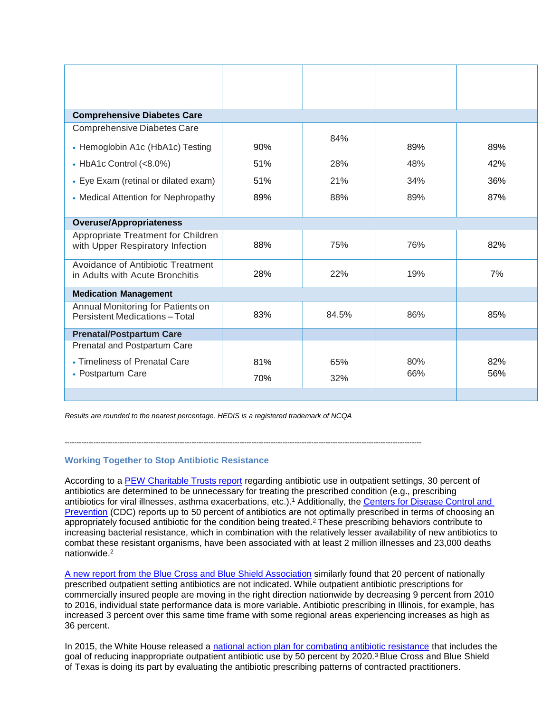| <b>Comprehensive Diabetes Care</b>                                       |     |       |     |     |
|--------------------------------------------------------------------------|-----|-------|-----|-----|
| Comprehensive Diabetes Care                                              |     |       |     |     |
| • Hemoglobin A1c (HbA1c) Testing                                         | 90% | 84%   | 89% | 89% |
| $\bullet$ HbA1c Control (<8.0%)                                          | 51% | 28%   | 48% | 42% |
| • Eye Exam (retinal or dilated exam)                                     | 51% | 21%   | 34% | 36% |
| • Medical Attention for Nephropathy                                      | 89% | 88%   | 89% | 87% |
|                                                                          |     |       |     |     |
| <b>Overuse/Appropriateness</b>                                           |     |       |     |     |
| Appropriate Treatment for Children<br>with Upper Respiratory Infection   | 88% | 75%   | 76% | 82% |
| Avoidance of Antibiotic Treatment<br>in Adults with Acute Bronchitis     | 28% | 22%   | 19% | 7%  |
| <b>Medication Management</b>                                             |     |       |     |     |
| Annual Monitoring for Patients on<br><b>Persistent Medications-Total</b> | 83% | 84.5% | 86% | 85% |
| <b>Prenatal/Postpartum Care</b>                                          |     |       |     |     |
| Prenatal and Postpartum Care                                             |     |       |     |     |
| • Timeliness of Prenatal Care                                            | 81% | 65%   | 80% | 82% |
| • Postpartum Care                                                        | 70% | 32%   | 66% | 56% |
|                                                                          |     |       |     |     |

*Results are rounded to the nearest percentage. HEDIS is a registered trademark of NCQA*

-----------------------------------------------------------------------------------------------------------------------------------------------------

# **Working Together to Stop Antibiotic Resistance**

According to a [PEW Charitable Trusts report](http://www.pewtrusts.org/en/research-and-analysis/reports/2016/05/antibiotic-use-in-outpatient-settings) regarding antibiotic use in outpatient settings, 30 percent of antibiotics are determined to be unnecessary for treating the prescribed condition (e.g., prescribing antibiotics for viral illnesses, asthma exacerbations, etc.).<sup>1</sup> Additionally, the Centers for Disease Control and [Prevention](https://www.cdc.gov/drugresistance/about.html.) (CDC) reports up to 50 percent of antibiotics are not optimally prescribed in terms of choosing an appropriately focused antibiotic for the condition being treated.<sup>2</sup>These prescribing behaviors contribute to increasing bacterial resistance, which in combination with the relatively lesser availability of new antibiotics to combat these resistant organisms, have been associated with at least 2 million illnesses and 23,000 deaths nationwide.<sup>2</sup>

[A new report from the Blue Cross and Blue Shield Association](https://www.bcbs.com/the-health-of-america/reports/antibiotic-prescription-rates-declining-in-the-US) similarly found that 20 percent of nationally prescribed outpatient setting antibiotics are not indicated. While outpatient antibiotic prescriptions for commercially insured people are moving in the right direction nationwide by decreasing 9 percent from 2010 to 2016, individual state performance data is more variable. Antibiotic prescribing in Illinois, for example, has increased 3 percent over this same time frame with some regional areas experiencing increases as high as 36 percent.

In 2015, the White House released a [national action plan for combating antibiotic resistance](https://obamawhitehouse.archives.gov/sites/default/files/docs/national_action_plan_for_combating_antibotic-resistant_bacteria.pdf) that includes the goal of reducing inappropriate outpatient antibiotic use by 50 percent by 2020.<sup>3</sup> Blue Cross and Blue Shield of Texas is doing its part by evaluating the antibiotic prescribing patterns of contracted practitioners.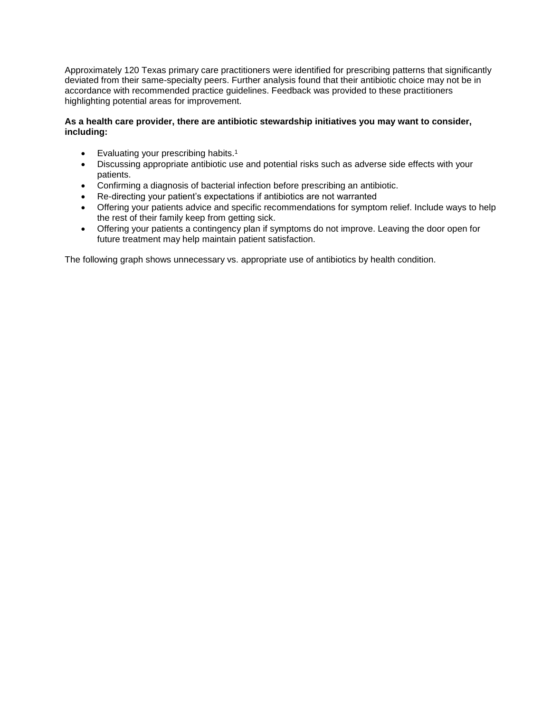Approximately 120 Texas primary care practitioners were identified for prescribing patterns that significantly deviated from their same-specialty peers. Further analysis found that their antibiotic choice may not be in accordance with recommended practice guidelines. Feedback was provided to these practitioners highlighting potential areas for improvement.

# **As a health care provider, there are antibiotic stewardship initiatives you may want to consider, including:**

- Evaluating your prescribing habits.<sup>1</sup>
- Discussing appropriate antibiotic use and potential risks such as adverse side effects with your patients.
- Confirming a diagnosis of bacterial infection before prescribing an antibiotic.
- Re-directing your patient's expectations if antibiotics are not warranted
- Offering your patients advice and specific recommendations for symptom relief. Include ways to help the rest of their family keep from getting sick.
- Offering your patients a contingency plan if symptoms do not improve. Leaving the door open for future treatment may help maintain patient satisfaction.

The following graph shows unnecessary vs. appropriate use of antibiotics by health condition.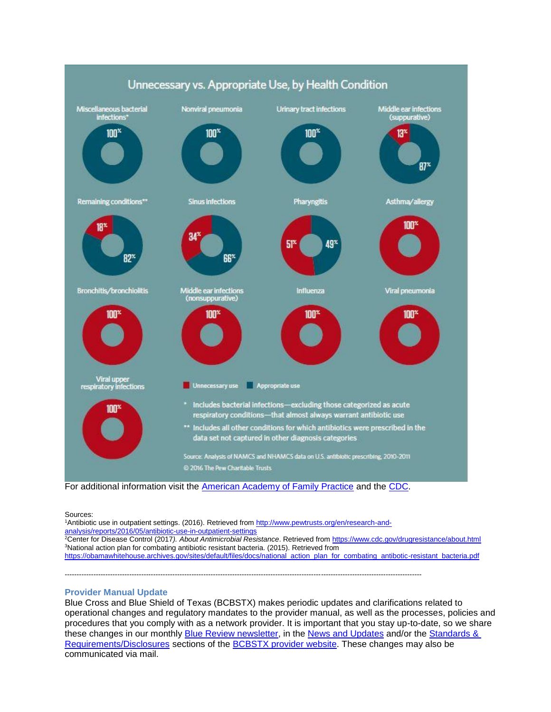

For additional information visit the [American Academy of Family Practice](http://www.aafp.org/afp/2016/0801/p200.html) and the [CDC.](https://www.cdc.gov/antibiotic-use/community/index.html)

-----------------------------------------------------------------------------------------------------------------------------------------------------

Sources:

1Antibiotic use in outpatient settings. (2016). Retrieved from [http://www.pewtrusts.org/en/research-and](http://www.pewtrusts.org/en/research-and-analysis/reports/2016/05/antibiotic-use-in-outpatient-settings)[analysis/reports/2016/05/antibiotic-use-in-outpatient-settings](http://www.pewtrusts.org/en/research-and-analysis/reports/2016/05/antibiotic-use-in-outpatient-settings) <sup>2</sup>Center for Disease Control (2017*). About Antimicrobial Resistance*. Retrieved from<https://www.cdc.gov/drugresistance/about.html> <sup>3</sup>National action plan for combating antibiotic resistant bacteria. (2015). Retrieved from

[https://obamawhitehouse.archives.gov/sites/default/files/docs/national\\_action\\_plan\\_for\\_combating\\_antibotic-resistant\\_bacteria.pdf](https://obamawhitehouse.archives.gov/sites/default/files/docs/national_action_plan_for_combating_antibotic-resistant_bacteria.pdf)

# **Provider Manual Update**

Blue Cross and Blue Shield of Texas (BCBSTX) makes periodic updates and clarifications related to operational changes and regulatory mandates to the provider manual, as well as the processes, policies and procedures that you comply with as a network provider. It is important that you stay up-to-date, so we share these changes in our monthly [Blue Review](https://www.bcbstx.com/provider/news/bluereview.html) newsletter, in the [News and Updates](https://www.bcbstx.com/provider/news/index.html) and/or the Standards & [Requirements/Disclosures](http://www.pages02.net/hcscnosuppression/bluereview_december_2017/LPT.url?kn=1066537&vs=NDIzNTQ5ZjQtNTI0ZC00MTM5LWFhYzYtM2EzNTNjODNmNzYyOzsS1) sections of the [BCBSTX provider website](https://www.bcbstx.com/provider/). These changes may also be communicated via mail.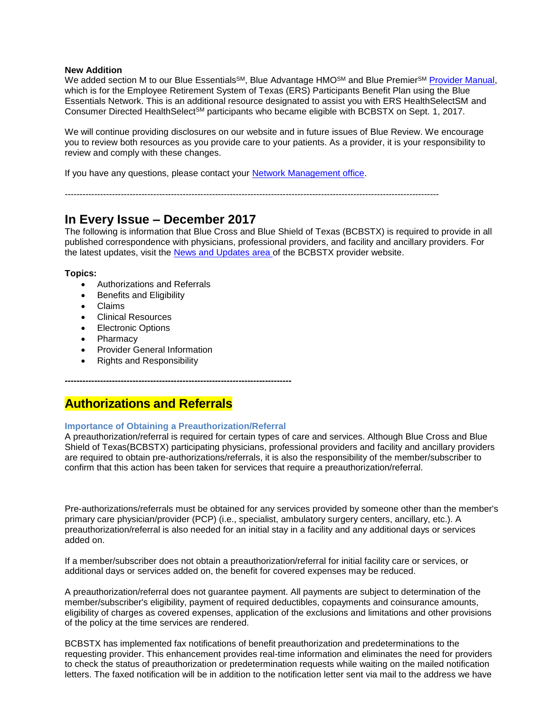#### **New Addition**

We added section M to our Blue Essentials<sup>SM</sup>, Blue Advantage HMO<sup>SM</sup> and Blue Premier<sup>SM</sup> [Provider Manual,](https://www.bcbstx.com/provider/gri/index.html) which is for the Employee Retirement System of Texas (ERS) Participants Benefit Plan using the Blue Essentials Network. This is an additional resource designated to assist you with ERS HealthSelectSM and Consumer Directed HealthSelect<sup>SM</sup> participants who became eligible with BCBSTX on Sept. 1, 2017.

We will continue providing disclosures on our website and in future issues of Blue Review. We encourage you to review both resources as you provide care to your patients. As a provider, it is your responsibility to review and comply with these changes.

If you have any questions, please contact your [Network Management office](https://www.bcbstx.com/provider/contact_us.html).

-------------------------------------------------------------------------------------------------------------------------------

# **In Every Issue – December 2017**

The following is information that Blue Cross and Blue Shield of Texas (BCBSTX) is required to provide in all published correspondence with physicians, professional providers, and facility and ancillary providers. For the latest updates, visit the [News and Updates area](https://www.bcbstx.com/provider/news/index.html) of the BCBSTX provider website.

#### **Topics:**

- Authorizations and Referrals
- **Benefits and Eligibility**
- Claims
- Clinical Resources
- Electronic Options
- Pharmacy
- Provider General Information
- Rights and Responsibility

# **Authorizations and Referrals**

#### **Importance of Obtaining a Preauthorization/Referral**

**-----------------------------------------------------------------------------**

A preauthorization/referral is required for certain types of care and services. Although Blue Cross and Blue Shield of Texas(BCBSTX) participating physicians, professional providers and facility and ancillary providers are required to obtain pre-authorizations/referrals, it is also the responsibility of the member/subscriber to confirm that this action has been taken for services that require a preauthorization/referral.

Pre-authorizations/referrals must be obtained for any services provided by someone other than the member's primary care physician/provider (PCP) (i.e., specialist, ambulatory surgery centers, ancillary, etc.). A preauthorization/referral is also needed for an initial stay in a facility and any additional days or services added on.

If a member/subscriber does not obtain a preauthorization/referral for initial facility care or services, or additional days or services added on, the benefit for covered expenses may be reduced.

A preauthorization/referral does not guarantee payment. All payments are subject to determination of the member/subscriber's eligibility, payment of required deductibles, copayments and coinsurance amounts, eligibility of charges as covered expenses, application of the exclusions and limitations and other provisions of the policy at the time services are rendered.

BCBSTX has implemented fax notifications of benefit preauthorization and predeterminations to the requesting provider. This enhancement provides real-time information and eliminates the need for providers to check the status of preauthorization or predetermination requests while waiting on the mailed notification letters. The faxed notification will be in addition to the notification letter sent via mail to the address we have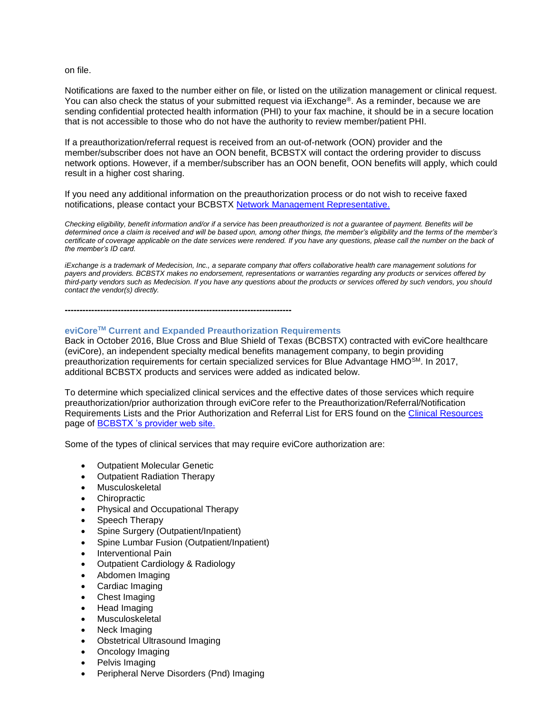on file.

Notifications are faxed to the number either on file, or listed on the utilization management or clinical request. You can also check the status of your submitted request via iExchange®. As a reminder, because we are sending confidential protected health information (PHI) to your fax machine, it should be in a secure location that is not accessible to those who do not have the authority to review member/patient PHI.

If a preauthorization/referral request is received from an out-of-network (OON) provider and the member/subscriber does not have an OON benefit, BCBSTX will contact the ordering provider to discuss network options. However, if a member/subscriber has an OON benefit, OON benefits will apply, which could result in a higher cost sharing.

If you need any additional information on the preauthorization process or do not wish to receive faxed notifications, please contact your BCBSTX [Network Management](https://www.bcbstx.com/provider/contact_us.html) [Representative.](https://www.bcbstx.com/provider/contact_us.html)

*Checking eligibility, benefit information and/or if a service has been preauthorized is not a guarantee of payment. Benefits will be determined once a claim is received and will be based upon, among other things, the member's eligibility and the terms of the member's certificate of coverage applicable on the date services were rendered. If you have any questions, please call the number on the back of the member's ID card.*

*iExchange is a trademark of Medecision, Inc., a separate company that offers collaborative health care management solutions for payers and providers. BCBSTX makes no endorsement, representations or warranties regarding any products or services offered by third-party vendors such as Medecision. If you have any questions about the products or services offered by such vendors, you should contact the vendor(s) directly.*

**-----------------------------------------------------------------------------**

# **eviCoreTM Current and Expanded Preauthorization Requirements**

Back in October 2016, Blue Cross and Blue Shield of Texas (BCBSTX) contracted with eviCore healthcare (eviCore), an independent specialty medical benefits management company, to begin providing preauthorization requirements for certain specialized services for Blue Advantage HMOSM. In 2017, additional BCBSTX products and services were added as indicated below.

To determine which specialized clinical services and the effective dates of those services which require preauthorization/prior authorization through eviCore refer to the Preauthorization/Referral/Notification Requirements Lists and the Prior Authorization and Referral List for ERS found on the [Clinical Resources](https://www.bcbstx.com/provider/clinical/index.html) page of [BCBSTX 's provider web site.](https://www.bcbstx.com/provider/)

Some of the types of clinical services that may require eviCore authorization are:

- Outpatient Molecular Genetic
- Outpatient Radiation Therapy
- Musculoskeletal
- **Chiropractic**
- Physical and Occupational Therapy
- Speech Therapy
- Spine Surgery (Outpatient/Inpatient)
- Spine Lumbar Fusion (Outpatient/Inpatient)
- Interventional Pain
- Outpatient Cardiology & Radiology
- Abdomen Imaging
- Cardiac Imaging
- Chest Imaging
- Head Imaging
- **Musculoskeletal**
- Neck Imaging
- Obstetrical Ultrasound Imaging
- Oncology Imaging
- Pelvis Imaging
- Peripheral Nerve Disorders (Pnd) Imaging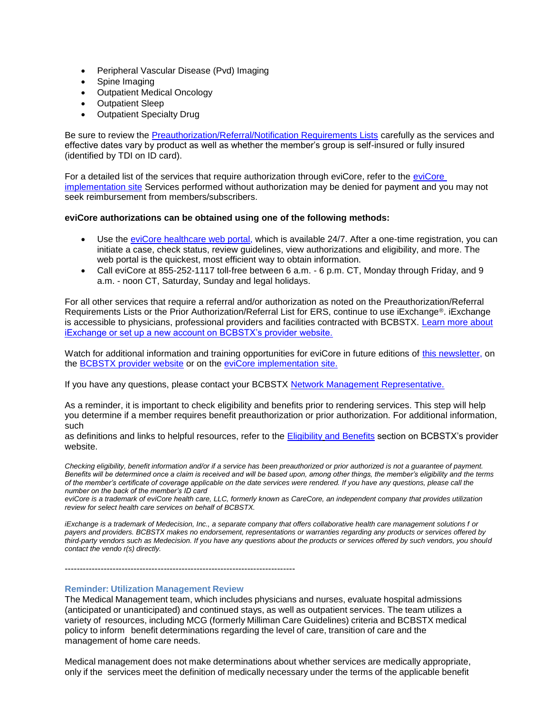- Peripheral Vascular Disease (Pvd) Imaging
- Spine Imaging
- Outpatient Medical Oncology
- Outpatient Sleep
- Outpatient Specialty Drug

Be sure to review the [Preauthorization/Referral/Notification Requirements Lists](https://www.bcbstx.com/provider/clinical/index.html) carefully as the services and effective dates vary by product as well as whether the member's group is self-insured or fully insured (identified by TDI on ID card).

For a detailed list of the services that require authorization through eviCore, refer to the [eviCore](https://www.evicore.com/healthplan/bcbstx)  [implementation site](https://www.evicore.com/healthplan/bcbstx) Services performed without authorization may be denied for payment and you may not seek reimbursement from members/subscribers.

#### **eviCore authorizations can be obtained using one of the following methods:**

- Use the [eviCore healthcare web portal,](https://www.evicore.com/pages/providerlogin.aspx) which is available 24/7. After a one-time registration, you can initiate a case, check status, review guidelines, view authorizations and eligibility, and more. The web portal is the quickest, most efficient way to obtain information.
- Call eviCore at 855-252-1117 toll-free between 6 a.m. 6 p.m. CT, Monday through Friday, and 9 a.m. - noon CT, Saturday, Sunday and legal holidays.

For all other services that require a referral and/or authorization as noted on the Preauthorization/Referral Requirements Lists or the Prior Authorization/Referral List for ERS, continue to use iExchange®. iExchange is accessible to physicians, professional providers and facilities contracted with BCBSTX. [Learn more about](https://www.bcbstx.com/provider/tools/iexchange_index.html) [iExchange or set up a new account on BCBSTX's provider website.](https://www.bcbstx.com/provider/tools/iexchange_index.html)

Watch for additional information and training opportunities for eviCore in future editions of [this newsletter,](https://www.bcbstx.com/provider/news/bluereview.html) on the [BCBSTX provider website](https://www.bcbstx.com/provider/) or on the [eviCore implementation site.](https://www.evicore.com/healthplan/bcbstx)

If you have any questions, please contact your BCBSTX [Network Management Representative](https://www.bcbstx.com/provider/contact_us.html).

As a reminder, it is important to check eligibility and benefits prior to rendering services. This step will help you determine if a member requires benefit preauthorization or prior authorization. For additional information, such

as definitions and links to helpful resources, refer to the [Eligibility](http://www.pages02.net/hcscnosuppression/bluereview_june_2017/LPT.url?kn=1009689&amp%3Bvs=ZDQ4NWExZDgtZjhlNy00N2Q1LWI4NDktZTQyYzE4ZWY4MTU5OzA6MTExNzIwMjA6MTkyODM0MTAxODQwOjExODAxNjg3MjM6MTE4MDE2ODcyMzsS1) [and Benefits](https://www.bcbstx.com/provider/claims/eligibility_and_benefits.html) section on BCBSTX's provider website.

*Checking eligibility, benefit information and/or if a service has been preauthorized or prior authorized is not a guarantee of payment.*  Benefits will be determined once a claim is received and will be based upon, among other things, the member's eligibility and the terms *of the member's certificate of coverage applicable on the date services were rendered. If you have any questions, please call the number on the back of the member's ID card*

*eviCore is a trademark of eviCore health care, LLC, formerly known as CareCore, an independent company that provides utilization review for select health care services on behalf of BCBSTX.*

*iExchange is a trademark of Medecision, Inc., a separate company that offers collaborative health care management solutions f or payers and providers. BCBSTX makes no endorsement, representations or warranties regarding any products or services offered by third-party vendors such as Medecision. If you have any questions about the products or services offered by such vendors, you should contact the vendo r(s) directly.*

-----------------------------------------------------------------------------

#### **Reminder: Utilization Management Review**

The Medical Management team, which includes physicians and nurses, evaluate hospital admissions (anticipated or unanticipated) and continued stays, as well as outpatient services. The team utilizes a variety of resources, including MCG (formerly Milliman Care Guidelines) criteria and BCBSTX medical policy to inform benefit determinations regarding the level of care, transition of care and the management of home care needs.

Medical management does not make determinations about whether services are medically appropriate, only if the services meet the definition of medically necessary under the terms of the applicable benefit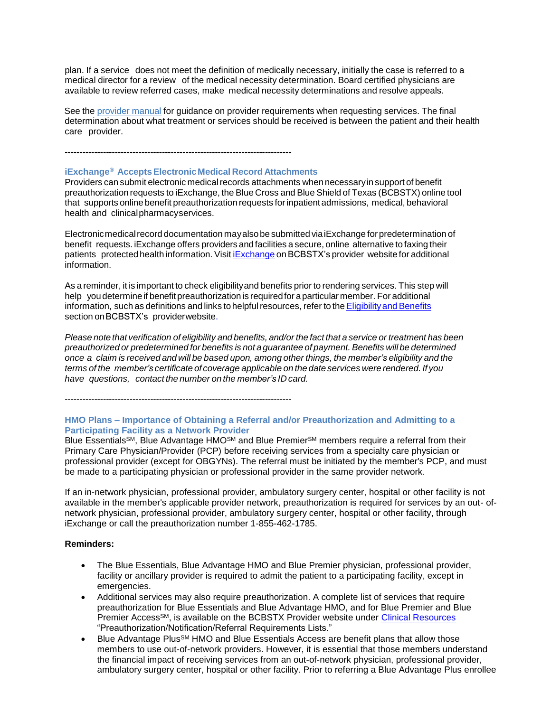plan. If a service does not meet the definition of medically necessary, initially the case is referred to a medical director for a review of the medical necessity determination. Board certified physicians are available to review referred cases, make medical necessity determinations and resolve appeals.

See the [provider](https://www.bcbstx.com/provider/gri/index.html) manual [fo](https://www.bcbstx.com/provider/gri/index.html)r guidance on provider requirements when requesting services. The final determination about what treatment or services should be received is between the patient and their health care provider.

**-----------------------------------------------------------------------------**

#### **iExchange® AcceptsElectronicMedical Record Attachments**

Providers can submit electronic medical records attachments when necessary in support of benefit preauthorization requests to iExchange, the Blue Cross and Blue Shield of Texas (BCBSTX) online tool that supports online benefit preauthorization requests forinpatientadmissions, medical, behavioral health and clinicalpharmacyservices.

Electronic medical record documentation may also be submitted via iExchange for predetermination of benefit requests. iExchange offers providers and facilities a secure, online alternative to faxing their patients protected health information. Visit [iExchange](http://www.bcbstx.com/provider/tools/iexchange_index.html) on BCBSTX's provider website for additional information.

As a reminder, it is important to check eligibilityand benefits prior to rendering services. This step will help you determine if benefit preauthorization is required for a particular member. For additional information, such as definitions and links to helpful resources, refer to the Eligibility and Benefits section on BCBSTX's providerwebsite.

Please note that verification of eligibility and benefits, and/or the fact that a service or treatment has been *preauthorized or predetermined for benefits is not a guarantee of payment. Benefits will be determined* once a claim is received and will be based upon, among other things, the member's eligibility and the *terms of the member's certificate of coverage applicable on the date services were rendered. If you have questions, contact the number on the member's ID card.*

-----------------------------------------------------------------------------

#### **HMO Plans – Importance of Obtaining a Referral and/or Preauthorization and Admitting to a Participating Facility as a Network Provider**

Blue Essentials<sup>SM</sup>, Blue Advantage HMO<sup>SM</sup> and Blue Premier<sup>SM</sup> members require a referral from their Primary Care Physician/Provider (PCP) before receiving services from a specialty care physician or professional provider (except for OBGYNs). The referral must be initiated by the member's PCP, and must be made to a participating physician or professional provider in the same provider network.

If an in-network physician, professional provider, ambulatory surgery center, hospital or other facility is not available in the member's applicable provider network, preauthorization is required for services by an out- ofnetwork physician, professional provider, ambulatory surgery center, hospital or other facility, through iExchange or call the preauthorization number 1-855-462-1785.

#### **Reminders:**

- The Blue Essentials, Blue Advantage HMO and Blue Premier physician, professional provider, facility or ancillary provider is required to admit the patient to a participating facility, except in emergencies.
- Additional services may also require preauthorization. A complete list of services that require preauthorization for Blue Essentials and Blue Advantage HMO, and for Blue Premier and Blue Premier Access<sup>SM</sup>, is available on the BCBSTX Provider website under *Clinical Resources* "Preauthorization/Notification/Referral Requirements Lists."
- Blue Advantage Plus<sup>SM</sup> HMO and Blue Essentials Access are benefit plans that allow those members to use out-of-network providers. However, it is essential that those members understand the financial impact of receiving services from an out-of-network physician, professional provider, ambulatory surgery center, hospital or other facility. Prior to referring a Blue Advantage Plus enrollee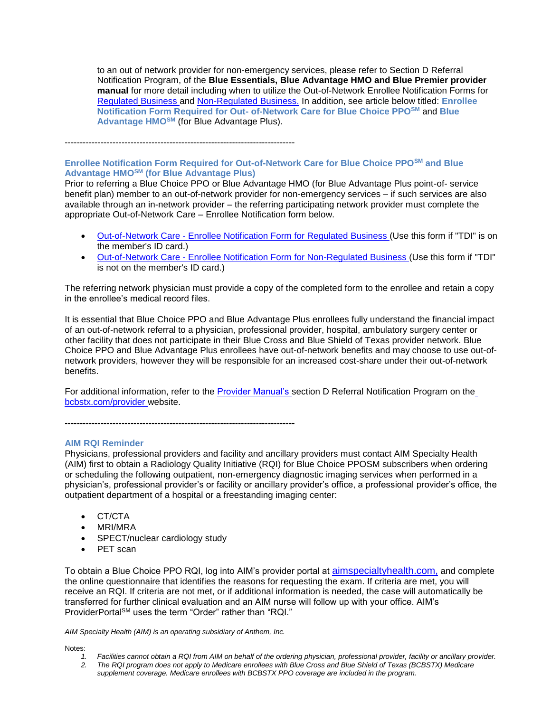to an out of network provider for non-emergency services, please refer to Section D Referral Notification Program, of the **Blue Essentials, Blue Advantage HMO and Blue Premier provider manual** for more detail including when to utilize the Out-of-Network Enrollee Notification Forms for [Regulated](http://www.bcbstx.com/provider/pdf/out-of-network-care-enrollee-notification-form.pdf) [Business a](http://www.bcbstx.com/provider/pdf/out-of-network-care-enrollee-notification-form.pdf)nd [Non-Regulated Business.](http://www.bcbstx.com/provider/pdf/out-of-network-care-enrollee-notification-form-nr.pdf) In addition, see article below titled: **Enrollee Notification Form Required for Out- of-Network Care for Blue Choice PPOSM** and **Blue Advantage HMOSM** (for Blue Advantage Plus).

-----------------------------------------------------------------------------

# **Enrollee Notification Form Required for Out-of-Network Care for Blue Choice PPOSM and Blue Advantage HMOSM (for Blue Advantage Plus)**

Prior to referring a Blue Choice PPO or Blue Advantage HMO (for Blue Advantage Plus point-of- service benefit plan) member to an out-of-network provider for non-emergency services – if such services are also available through an in-network provider – the referring participating network provider must complete the appropriate Out-of-Network Care – Enrollee Notification form below.

- Out-of-Network Care [Enrollee Notification Form for Regulated Business \(](http://www.bcbstx.com/provider/pdf/out-of-network-care-enrollee-notification-form.pdf)Use this form if "TDI" is on the member's ID card.)
- Out-of-Network Care [Enrollee Notification Form for Non-Regulated Business \(](http://www.bcbstx.com/provider/pdf/out-of-network-care-enrollee-notification-form-nr.pdf)Use this form if "TDI" is not on the member's ID card.)

The referring network physician must provide a copy of the completed form to the enrollee and retain a copy in the enrollee's medical record files.

It is essential that Blue Choice PPO and Blue Advantage Plus enrollees fully understand the financial impact of an out-of-network referral to a physician, professional provider, hospital, ambulatory surgery center or other facility that does not participate in their Blue Cross and Blue Shield of Texas provider network. Blue Choice PPO and Blue Advantage Plus enrollees have out-of-network benefits and may choose to use out-ofnetwork providers, however they will be responsible for an increased cost-share under their out-of-network benefits.

For additional information, refer to the [Provider Manual's s](http://www.bcbstx.com/provider/gri/index.html)ection D Referral Notification Program on th[e](http://www.bcbstx.com/provider/index.html) [bcbstx.com/provider w](http://www.bcbstx.com/provider/index.html)ebsite.

**-----------------------------------------------------------------------------**

#### **AIM RQI Reminder**

Physicians, professional providers and facility and ancillary providers must contact AIM Specialty Health (AIM) first to obtain a Radiology Quality Initiative (RQI) for Blue Choice PPOSM subscribers when ordering or scheduling the following outpatient, non-emergency diagnostic imaging services when performed in a physician's, professional provider's or facility or ancillary provider's office, a professional provider's office, the outpatient department of a hospital or a freestanding imaging center:

- CT/CTA
- MRI/MRA
- SPECT/nuclear cardiology study
- PET scan

To obtain a Blue Choice PPO RQI, log into AIM's provider portal at [aimspecialtyhealth.com,](http://www.aimspecialtyhealth.com/) and complete the online questionnaire that identifies the reasons for requesting the exam. If criteria are met, you will receive an RQI. If criteria are not met, or if additional information is needed, the case will automatically be transferred for further clinical evaluation and an AIM nurse will follow up with your office. AIM's ProviderPortalSM uses the term "Order" rather than "RQI."

*AIM Specialty Health (AIM) is an operating subsidiary of Anthem, Inc.*

Notes:

- *1. Facilities cannot obtain a RQI from AIM on behalf of the ordering physician, professional provider, facility or ancillary provider.*
- *2. The RQI program does not apply to Medicare enrollees with Blue Cross and Blue Shield of Texas (BCBSTX) Medicare supplement coverage. Medicare enrollees with BCBSTX PPO coverage are included in the program.*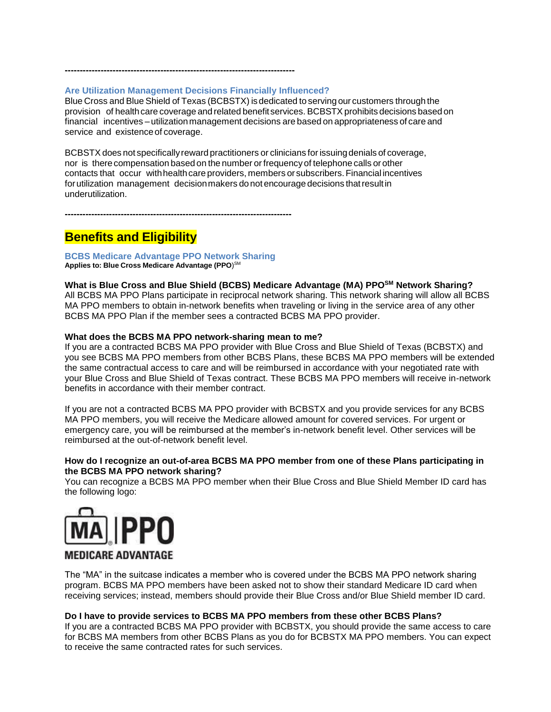#### **Are Utilization Management Decisions Financially Influenced?**

**-----------------------------------------------------------------------------**

Blue Cross and Blue Shield of Texas (BCBSTX) isdedicated to serving our customers through the provision of health care coverage and related benefit services. BCBSTX prohibits decisions based on financial incentives – utilization management decisions are based on appropriateness of care and service and existence of coverage.

BCBSTX does not specifically reward practitioners or clinicians for issuing denials of coverage, nor is therecompensation based on the number orfrequencyof telephone calls or other contacts that occur with health care providers, members or subscribers. Financial incentives forutilization management decisionmakers donot encourage decisions thatresultin underutilization.

**-----------------------------------------------------------------------------**

# **Benefits and Eligibility**

**BCBS Medicare Advantage PPO Network Sharing Applies to: Blue Cross Medicare Advantage (PPO**) SM

#### **What is Blue Cross and Blue Shield (BCBS) Medicare Advantage (MA) PPOSM Network Sharing?**

All BCBS MA PPO Plans participate in reciprocal network sharing. This network sharing will allow all BCBS MA PPO members to obtain in-network benefits when traveling or living in the service area of any other BCBS MA PPO Plan if the member sees a contracted BCBS MA PPO provider.

#### **What does the BCBS MA PPO network-sharing mean to me?**

If you are a contracted BCBS MA PPO provider with Blue Cross and Blue Shield of Texas (BCBSTX) and you see BCBS MA PPO members from other BCBS Plans, these BCBS MA PPO members will be extended the same contractual access to care and will be reimbursed in accordance with your negotiated rate with your Blue Cross and Blue Shield of Texas contract. These BCBS MA PPO members will receive in-network benefits in accordance with their member contract.

If you are not a contracted BCBS MA PPO provider with BCBSTX and you provide services for any BCBS MA PPO members, you will receive the Medicare allowed amount for covered services. For urgent or emergency care, you will be reimbursed at the member's in-network benefit level. Other services will be reimbursed at the out-of-network benefit level.

#### **How do I recognize an out-of-area BCBS MA PPO member from one of these Plans participating in the BCBS MA PPO network sharing?**

You can recognize a BCBS MA PPO member when their Blue Cross and Blue Shield Member ID card has the following logo:



# **MEDICARE ADVANTAGE**

The "MA" in the suitcase indicates a member who is covered under the BCBS MA PPO network sharing program. BCBS MA PPO members have been asked not to show their standard Medicare ID card when receiving services; instead, members should provide their Blue Cross and/or Blue Shield member ID card.

#### **Do I have to provide services to BCBS MA PPO members from these other BCBS Plans?**

If you are a contracted BCBS MA PPO provider with BCBSTX, you should provide the same access to care for BCBS MA members from other BCBS Plans as you do for BCBSTX MA PPO members. You can expect to receive the same contracted rates for such services.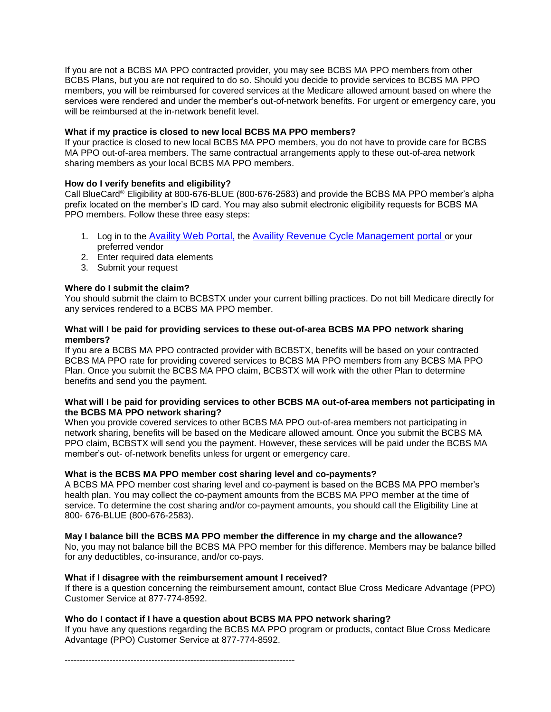If you are not a BCBS MA PPO contracted provider, you may see BCBS MA PPO members from other BCBS Plans, but you are not required to do so. Should you decide to provide services to BCBS MA PPO members, you will be reimbursed for covered services at the Medicare allowed amount based on where the services were rendered and under the member's out-of-network benefits. For urgent or emergency care, you will be reimbursed at the in-network benefit level.

# **What if my practice is closed to new local BCBS MA PPO members?**

If your practice is closed to new local BCBS MA PPO members, you do not have to provide care for BCBS MA PPO out-of-area members. The same contractual arrangements apply to these out-of-area network sharing members as your local BCBS MA PPO members.

# **How do I verify benefits and eligibility?**

Call BlueCard® Eligibility at 800-676-BLUE (800-676-2583) and provide the BCBS MA PPO member's alpha prefix located on the member's ID card. You may also submit electronic eligibility requests for BCBS MA PPO members. Follow these three easy steps:

- 1. Log in to the [Availity Web Portal,](https://www.availity.com/) the [Availity Revenue Cycle Management portal](https://www.availity.com/) or your preferred vendor
- 2. Enter required data elements
- 3. Submit your request

# **Where do I submit the claim?**

You should submit the claim to BCBSTX under your current billing practices. Do not bill Medicare directly for any services rendered to a BCBS MA PPO member.

### **What will I be paid for providing services to these out-of-area BCBS MA PPO network sharing members?**

If you are a BCBS MA PPO contracted provider with BCBSTX, benefits will be based on your contracted BCBS MA PPO rate for providing covered services to BCBS MA PPO members from any BCBS MA PPO Plan. Once you submit the BCBS MA PPO claim, BCBSTX will work with the other Plan to determine benefits and send you the payment.

#### **What will I be paid for providing services to other BCBS MA out-of-area members not participating in the BCBS MA PPO network sharing?**

When you provide covered services to other BCBS MA PPO out-of-area members not participating in network sharing, benefits will be based on the Medicare allowed amount. Once you submit the BCBS MA PPO claim, BCBSTX will send you the payment. However, these services will be paid under the BCBS MA member's out- of-network benefits unless for urgent or emergency care.

#### **What is the BCBS MA PPO member cost sharing level and co-payments?**

A BCBS MA PPO member cost sharing level and co-payment is based on the BCBS MA PPO member's health plan. You may collect the co-payment amounts from the BCBS MA PPO member at the time of service. To determine the cost sharing and/or co-payment amounts, you should call the Eligibility Line at 800- 676-BLUE (800-676-2583).

#### **May I balance bill the BCBS MA PPO member the difference in my charge and the allowance?**

No, you may not balance bill the BCBS MA PPO member for this difference. Members may be balance billed for any deductibles, co-insurance, and/or co-pays.

#### **What if I disagree with the reimbursement amount I received?**

If there is a question concerning the reimbursement amount, contact Blue Cross Medicare Advantage (PPO) Customer Service at 877-774-8592.

#### **Who do I contact if I have a question about BCBS MA PPO network sharing?**

If you have any questions regarding the BCBS MA PPO program or products, contact Blue Cross Medicare Advantage (PPO) Customer Service at 877-774-8592.

-----------------------------------------------------------------------------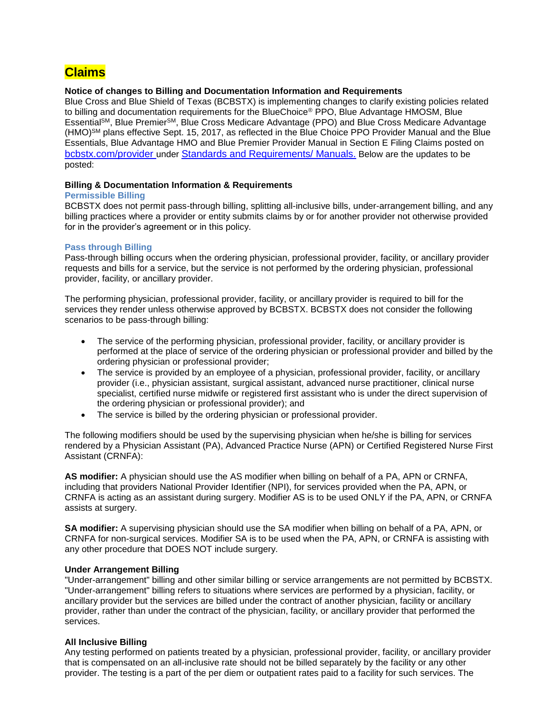# **Claims**

### **Notice of changes to Billing and Documentation Information and Requirements**

Blue Cross and Blue Shield of Texas (BCBSTX) is implementing changes to clarify existing policies related to billing and documentation requirements for the BlueChoice® PPO, Blue Advantage HMOSM, Blue EssentialSM, Blue PremierSM, Blue Cross Medicare Advantage (PPO) and Blue Cross Medicare Advantage (HMO)SM plans effective Sept. 15, 2017, as reflected in the Blue Choice PPO Provider Manual and the Blue Essentials, Blue Advantage HMO and Blue Premier Provider Manual in Section E Filing Claims posted on [bcbstx.com/provider](https://www.bcbstx.com/provider/) under [Standards and Requirements/ Manuals.](https://www.bcbstx.com/provider/gri/index.html) Below are the updates to be posted:

#### **Billing & Documentation Information & Requirements**

#### **Permissible Billing**

BCBSTX does not permit pass-through billing, splitting all-inclusive bills, under-arrangement billing, and any billing practices where a provider or entity submits claims by or for another provider not otherwise provided for in the provider's agreement or in this policy.

# **Pass through Billing**

Pass-through billing occurs when the ordering physician, professional provider, facility, or ancillary provider requests and bills for a service, but the service is not performed by the ordering physician, professional provider, facility, or ancillary provider.

The performing physician, professional provider, facility, or ancillary provider is required to bill for the services they render unless otherwise approved by BCBSTX. BCBSTX does not consider the following scenarios to be pass-through billing:

- The service of the performing physician, professional provider, facility, or ancillary provider is performed at the place of service of the ordering physician or professional provider and billed by the ordering physician or professional provider;
- The service is provided by an employee of a physician, professional provider, facility, or ancillary provider (i.e., physician assistant, surgical assistant, advanced nurse practitioner, clinical nurse specialist, certified nurse midwife or registered first assistant who is under the direct supervision of the ordering physician or professional provider); and
- The service is billed by the ordering physician or professional provider.

The following modifiers should be used by the supervising physician when he/she is billing for services rendered by a Physician Assistant (PA), Advanced Practice Nurse (APN) or Certified Registered Nurse First Assistant (CRNFA):

**AS modifier:** A physician should use the AS modifier when billing on behalf of a PA, APN or CRNFA, including that providers National Provider Identifier (NPI), for services provided when the PA, APN, or CRNFA is acting as an assistant during surgery. Modifier AS is to be used ONLY if the PA, APN, or CRNFA assists at surgery.

**SA modifier:** A supervising physician should use the SA modifier when billing on behalf of a PA, APN, or CRNFA for non-surgical services. Modifier SA is to be used when the PA, APN, or CRNFA is assisting with any other procedure that DOES NOT include surgery.

#### **Under Arrangement Billing**

"Under-arrangement" billing and other similar billing or service arrangements are not permitted by BCBSTX. "Under-arrangement" billing refers to situations where services are performed by a physician, facility, or ancillary provider but the services are billed under the contract of another physician, facility or ancillary provider, rather than under the contract of the physician, facility, or ancillary provider that performed the services.

#### **All Inclusive Billing**

Any testing performed on patients treated by a physician, professional provider, facility, or ancillary provider that is compensated on an all-inclusive rate should not be billed separately by the facility or any other provider. The testing is a part of the per diem or outpatient rates paid to a facility for such services. The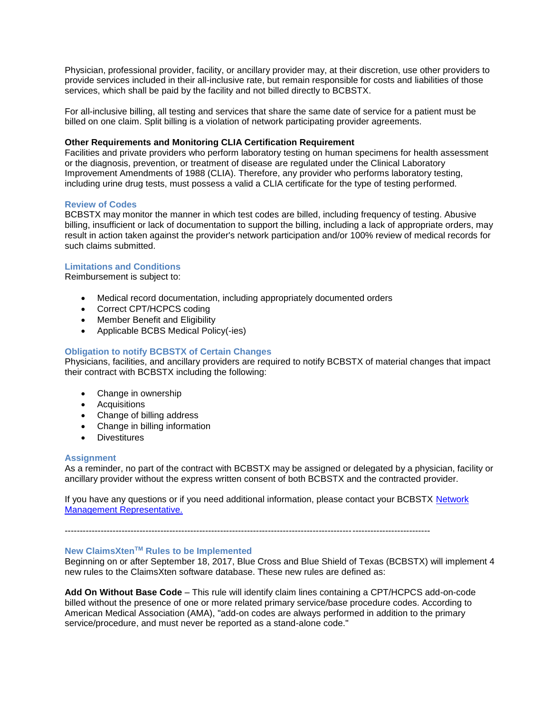Physician, professional provider, facility, or ancillary provider may, at their discretion, use other providers to provide services included in their all-inclusive rate, but remain responsible for costs and liabilities of those services, which shall be paid by the facility and not billed directly to BCBSTX.

For all-inclusive billing, all testing and services that share the same date of service for a patient must be billed on one claim. Split billing is a violation of network participating provider agreements.

#### **Other Requirements and Monitoring CLIA Certification Requirement**

Facilities and private providers who perform laboratory testing on human specimens for health assessment or the diagnosis, prevention, or treatment of disease are regulated under the Clinical Laboratory Improvement Amendments of 1988 (CLIA). Therefore, any provider who performs laboratory testing, including urine drug tests, must possess a valid a CLIA certificate for the type of testing performed.

#### **Review of Codes**

BCBSTX may monitor the manner in which test codes are billed, including frequency of testing. Abusive billing, insufficient or lack of documentation to support the billing, including a lack of appropriate orders, may result in action taken against the provider's network participation and/or 100% review of medical records for such claims submitted.

# **Limitations and Conditions**

Reimbursement is subject to:

- Medical record documentation, including appropriately documented orders
- Correct CPT/HCPCS coding
- Member Benefit and Eligibility
- Applicable BCBS Medical Policy(-ies)

# **Obligation to notify BCBSTX of Certain Changes**

Physicians, facilities, and ancillary providers are required to notify BCBSTX of material changes that impact their contract with BCBSTX including the following:

- Change in ownership
- Acquisitions
- Change of billing address
- Change in billing information
- Divestitures

#### **Assignment**

As a reminder, no part of the contract with BCBSTX may be assigned or delegated by a physician, facility or ancillary provider without the express written consent of both BCBSTX and the contracted provider.

If you have any questions or if you need additional information, please contact your BCBSTX [Network](https://www.bcbstx.com/provider/contact_us.html) [Management Representative.](https://www.bcbstx.com/provider/contact_us.html)

--------------------------------------------------------------------------------------------------------------------------

#### **New ClaimsXtenTM Rules to be Implemented**

Beginning on or after September 18, 2017, Blue Cross and Blue Shield of Texas (BCBSTX) will implement 4 new rules to the ClaimsXten software database. These new rules are defined as:

**Add On Without Base Code** – This rule will identify claim lines containing a CPT/HCPCS add-on-code billed without the presence of one or more related primary service/base procedure codes. According to American Medical Association (AMA), "add-on codes are always performed in addition to the primary service/procedure, and must never be reported as a stand-alone code."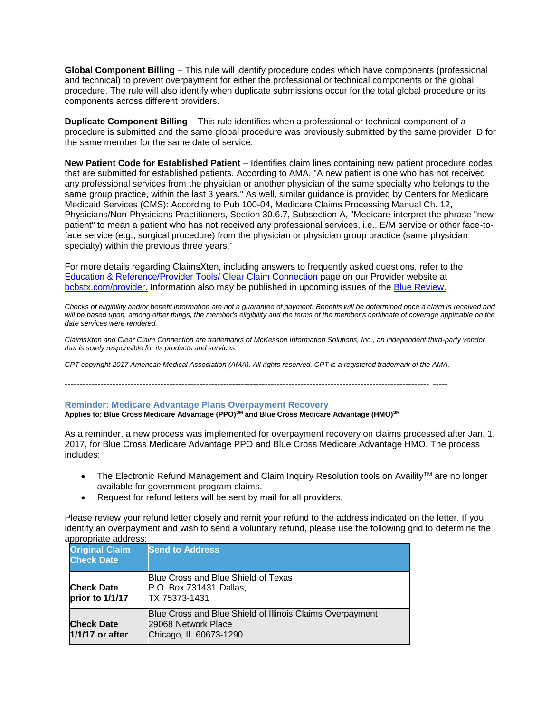**Global Component Billing** – This rule will identify procedure codes which have components (professional and technical) to prevent overpayment for either the professional or technical components or the global procedure. The rule will also identify when duplicate submissions occur for the total global procedure or its components across different providers.

**Duplicate Component Billing** – This rule identifies when a professional or technical component of a procedure is submitted and the same global procedure was previously submitted by the same provider ID for the same member for the same date of service.

**New Patient Code for Established Patient** – Identifies claim lines containing new patient procedure codes that are submitted for established patients. According to AMA, "A new patient is one who has not received any professional services from the physician or another physician of the same specialty who belongs to the same group practice, within the last 3 years." As well, similar guidance is provided by Centers for Medicare Medicaid Services (CMS): According to Pub 100-04, Medicare Claims Processing Manual Ch. 12, Physicians/Non-Physicians Practitioners, Section 30.6.7, Subsection A, "Medicare interpret the phrase "new patient" to mean a patient who has not received any professional services, i.e., E/M service or other face-toface service (e.g., surgical procedure) from the physician or physician group practice (same physician specialty) within the previous three years."

For more details regarding ClaimsXten, including answers to frequently asked questions, refer to the [Education & Reference/Provider Tools/ Clear Claim Connection p](https://www.bcbstx.com/provider/tools/clear_claim_connection.html)age on our Provider website at [bcbstx.com/provider.](https://www.bcbstx.com/provider/index.html) Information also may be published in upcoming issues of the [Blue Review.](https://www.bcbstx.com/provider/news/bluereview.html)

*Checks of eligibility and/or benefit information are not a guarantee of payment. Benefits will be determined once a claim is received and*  will be based upon, among other things, the member's eligibility and the terms of the member's certificate of coverage applicable on the *date services were rendered.*

*ClaimsXten and Clear Claim Connection are trademarks of McKesson Information Solutions, Inc., an independent third-party vendor that is solely responsible for its products and services.*

*CPT copyright 2017 American Medical Association (AMA). All rights reserved. CPT is a registered trademark of the AMA.*

-------------------------------------------------------------------------------------------------------------------------- -----

#### **Reminder: Medicare Advantage Plans Overpayment Recovery**

**Applies to: Blue Cross Medicare Advantage (PPO)SM and Blue Cross Medicare Advantage (HMO)SM**

As a reminder, a new process was implemented for overpayment recovery on claims processed after Jan. 1, 2017, for Blue Cross Medicare Advantage PPO and Blue Cross Medicare Advantage HMO. The process includes:

- The Electronic Refund Management and Claim Inquiry Resolution tools on Availity™ are no longer available for government program claims.
- Request for refund letters will be sent by mail for all providers.

Please review your refund letter closely and remit your refund to the address indicated on the letter. If you identify an overpayment and wish to send a voluntary refund, please use the following grid to determine the appropriate address:

| <b>Original Claim</b><br><b>Check Date</b> | <b>Send to Address</b>                                                                                     |
|--------------------------------------------|------------------------------------------------------------------------------------------------------------|
| <b>Check Date</b><br>prior to 1/1/17       | Blue Cross and Blue Shield of Texas<br>P.O. Box 731431 Dallas,<br>TX 75373-1431                            |
| <b>Check Date</b><br>1/1/17 or after       | Blue Cross and Blue Shield of Illinois Claims Overpayment<br>29068 Network Place<br>Chicago, IL 60673-1290 |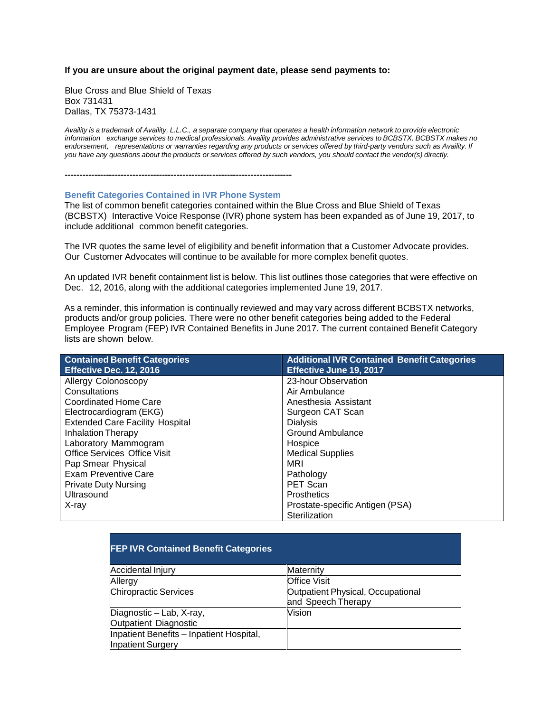#### **If you are unsure about the original payment date, please send payments to:**

Blue Cross and Blue Shield of Texas Box 731431 Dallas, TX 75373-1431

Availity is a trademark of Availity, L.L.C., a separate company that operates a health information network to provide electronic information exchange services to medical professionals. Availity provides administrative services to BCBSTX. BCBSTX makes no *endorsement, representations or warranties regarding any products or services offered by third-party vendors such as Availity. If* you have any questions about the products or services offered by such vendors, you should contact the vendor(s) directly.

**-----------------------------------------------------------------------------**

#### **Benefit Categories Contained in IVR Phone System**

The list of common benefit categories contained within the Blue Cross and Blue Shield of Texas (BCBSTX) Interactive Voice Response (IVR) phone system has been expanded as of June 19, 2017, to include additional common benefit categories.

The IVR quotes the same level of eligibility and benefit information that a Customer Advocate provides. Our Customer Advocates will continue to be available for more complex benefit quotes.

An updated IVR benefit containment list is below. This list outlines those categories that were effective on Dec. 12, 2016, along with the additional categories implemented June 19, 2017.

As a reminder, this information is continually reviewed and may vary across different BCBSTX networks, products and/or group policies. There were no other benefit categories being added to the Federal Employee Program (FEP) IVR Contained Benefits in June 2017. The current contained Benefit Category lists are shown below.

| <b>Contained Benefit Categories</b>    | <b>Additional IVR Contained Benefit Categories</b> |
|----------------------------------------|----------------------------------------------------|
| Effective Dec. 12, 2016                | <b>Effective June 19, 2017</b>                     |
| Allergy Colonoscopy                    | 23-hour Observation                                |
| Consultations                          | Air Ambulance                                      |
| <b>Coordinated Home Care</b>           | Anesthesia Assistant                               |
| Electrocardiogram (EKG)                | Surgeon CAT Scan                                   |
| <b>Extended Care Facility Hospital</b> | <b>Dialvsis</b>                                    |
| <b>Inhalation Therapy</b>              | <b>Ground Ambulance</b>                            |
| Laboratory Mammogram                   | Hospice                                            |
| Office Services Office Visit           | <b>Medical Supplies</b>                            |
| Pap Smear Physical                     | MRI                                                |
| Exam Preventive Care                   | Pathology                                          |
| <b>Private Duty Nursing</b>            | PET Scan                                           |
| Ultrasound                             | <b>Prosthetics</b>                                 |
| X-ray                                  | Prostate-specific Antigen (PSA)                    |
|                                        | Sterilization                                      |

| <b>FEP IVR Contained Benefit Categories</b> |                                   |
|---------------------------------------------|-----------------------------------|
| Accidental Injury                           | Maternity                         |
| Allergy                                     | <b>Office Visit</b>               |
| <b>Chiropractic Services</b>                | Outpatient Physical, Occupational |
|                                             | and Speech Therapy                |
| Diagnostic - Lab, X-ray,                    | Vision                            |
| Outpatient Diagnostic                       |                                   |
| Inpatient Benefits - Inpatient Hospital,    |                                   |
| <b>Inpatient Surgery</b>                    |                                   |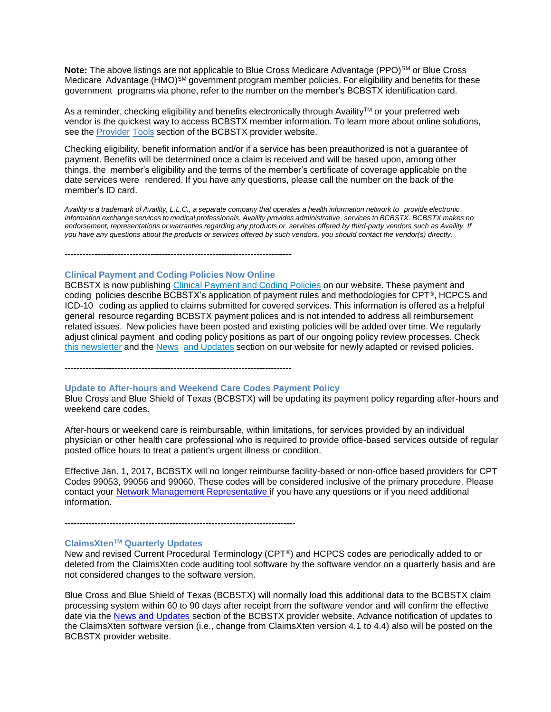Note: The above listings are not applicable to Blue Cross Medicare Advantage (PPO)<sup>SM</sup> or Blue Cross Medicare Advantage (HMO)<sup>SM</sup> government program member policies. For eligibility and benefits for these government programs via phone, refer to the number on the member's BCBSTX identification card.

As a reminder, checking eligibility and benefits electronically through Availity<sup>TM</sup> or your preferred web vendor is the quickest way to access BCBSTX member information. To learn more about online solutions, see the [Provider](https://www.bcbstx.com/provider/tools/index.html) [Tools](https://www.bcbstx.com/provider/tools/index.html) section of the BCBSTX provider website.

Checking eligibility, benefit information and/or if a service has been preauthorized is not a guarantee of payment. Benefits will be determined once a claim is received and will be based upon, among other things, the member's eligibility and the terms of the member's certificate of coverage applicable on the date services were rendered. If you have any questions, please call the number on the back of the member's ID card.

Availity is a trademark of Availity, L.L.C., a separate company that operates a health information network to provide electronic information exchange services to medical professionals. Availity provides administrative services to BCBSTX. BCBSTX makes no *endorsement, representations or warranties regarding any products or services offered by third-party vendors such as Availity. If you have any questions about the products or services offered by such vendors, you should contact the vendor(s) directly.*

**-----------------------------------------------------------------------------**

### **Clinical Payment and Coding Policies Now Online**

BCBSTX is now publishing Clinical [Payment](https://www.bcbstx.com/provider/standards/cpcp.html) and Coding Policies on our website. These payment and coding policies describe BCBSTX's application of payment rules and methodologies for CPT®, HCPCS and ICD-10 coding as applied to claims submitted for covered services. This information is offered as a helpful general resource regarding BCBSTX payment polices and is not intended to address all reimbursement related issues. New policies have been posted and existing policies will be added over time. We regularly adjust clinical payment and coding policy positions as part of our ongoing policy review processes. Check this [newsletter](https://www.bcbstx.com/provider/news/bluereview.html) and the [News](http://links.mkt2527.com/ctt?kn=8&ms=MTA5NTM5MzgS1&r=MTkyODM0MTAxODQwS0&b=3&j=MTE2MDM3MTk5MgS2&mt=1&rt=0) and [Updates](https://www.bcbstx.com/provider/news/index.html) section on our website for newly adapted or revised policies.

**-----------------------------------------------------------------------------**

#### **Update to After-hours and Weekend Care Codes Payment Policy**

Blue Cross and Blue Shield of Texas (BCBSTX) will be updating its payment policy regarding after-hours and weekend care codes.

After-hours or weekend care is reimbursable, within limitations, for services provided by an individual physician or other health care professional who is required to provide office-based services outside of regular posted office hours to treat a patient's urgent illness or condition.

Effective Jan. 1, 2017, BCBSTX will no longer reimburse facility-based or non-office based providers for CPT Codes 99053, 99056 and 99060. These codes will be considered inclusive of the primary procedure. Please contact your [Network Management Representative](https://www.bcbstx.com/provider/contact_us.html) if you have any questions or if you need additional information.

**-----------------------------------------------------------------------------**

# **ClaimsXtenTM Quarterly Updates**

New and revised Current Procedural Terminology (CPT®) and HCPCS codes are periodically added to or deleted from the ClaimsXten code auditing tool software by the software vendor on a quarterly basis and are not considered changes to the software version.

Blue Cross and Blue Shield of Texas (BCBSTX) will normally load this additional data to the BCBSTX claim processing system within 60 to 90 days after receipt from the software vendor and will confirm the effective date via the [News and Updates s](http://www.bcbstx.com/provider/news/index.html)ection of the BCBSTX provider website. Advance notification of updates to the ClaimsXten software version (i.e., change from ClaimsXten version 4.1 to 4.4) also will be posted on the BCBSTX provider website.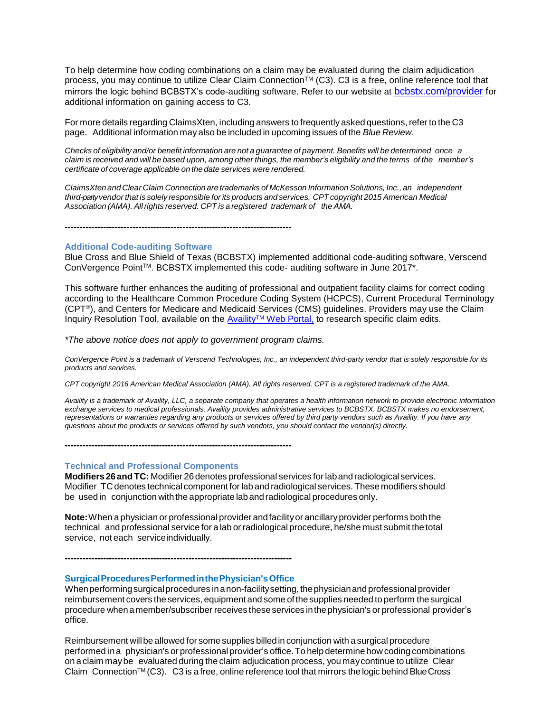To help determine how coding combinations on a claim may be evaluated during the claim adjudication process, you may continue to utilize Clear Claim Connection™ (C3). C3 is a free, online reference tool that mirrors the logic behind BCBSTX's code-auditing software. Refer to our website at [bcbstx.com/provider](http://www.bcbstx.com/provider/) for additional information on gaining access to C3.

For more details regarding ClaimsXten, including answers to frequently asked questions, refer to the C3 page. Additional information may also be included in upcoming issues of the *Blue Review*.

Checks of eligibility and/or benefit information are not a guarantee of payment. Benefits will be determined once a claim is received and will be based upon, among other things, the member's eligibility and the terms of the member's *certificate of coverage applicable on the date services were rendered.*

*ClaimsXten and Clear Claim Connection are trademarks of McKesson Information Solutions, Inc., an independent third-partyvendor that is solely responsible for its products and services. CPTcopyright 2015 American Medical Association (AMA). Allrights reserved. CPT is a registered trademark of the AMA.*

**-----------------------------------------------------------------------------**

#### **Additional Code-auditing Software**

Blue Cross and Blue Shield of Texas (BCBSTX) implemented additional code-auditing software, Verscend ConVergence Point™. BCBSTX implemented this code- auditing software in June 2017\*.

This software further enhances the auditing of professional and outpatient facility claims for correct coding according to the Healthcare Common Procedure Coding System (HCPCS), Current Procedural Terminology (CPT®), and Centers for Medicare and Medicaid Services (CMS) guidelines. Providers may use the Claim Inquiry Resolution Tool, available on the AvailityTM [Web Portal,](https://apps.availity.com/availity/web/public.elegant.login) to research specific claim edits.

*\*The above notice does not apply to government program claims.*

*ConVergence Point is a trademark of Verscend Technologies, Inc., an independent third-party vendor that is solely responsible for its products and services.* 

*CPT copyright 2016 American Medical Association (AMA). All rights reserved. CPT is a registered trademark of the AMA.*

*Availity is a trademark of Availity, LLC, a separate company that operates a health information network to provide electronic information exchange services to medical professionals. Availity provides administrative services to BCBSTX. BCBSTX makes no endorsement, representations or warranties regarding any products or services offered by third party vendors such as Availity. If you have any questions about the products or services offered by such vendors, you should contact the vendor(s) directly.*

**Technical and Professional Components**

**Modifiers26andTC:** Modifier 26denotes professional services forlabandradiological services. Modifier TC denotes technical component forlab and radiological services.These modifiers should be used in conjunction with the appropriate lab and radiological procedures only.

**Note:**When a physician or professional provider andfacilityor ancillaryprovider performs boththe technical and professional service for a lab or radiological procedure, he/she must submit the total service, not each serviceindividually.

**SurgicalProceduresPerformedinthePhysician'sOffice**

**-----------------------------------------------------------------------------**

**-----------------------------------------------------------------------------**

When performing surgical procedures in a non-facility setting, the physician and professional provider reimbursement covers theservices, equipment and some ofthesupplies needed to perform thesurgical procedure whenamember/subscriber receives theseservices inthephysician's or professional provider's office.

Reimbursement willbe allowed for some supplies billedin conjunction with a surgical procedure performed ina physician's or professional provider's office.To help determine how coding combinations on a claim maybe evaluated during the claim adjudication process, you maycontinue to utilize Clear Claim Connection<sup>TM</sup> (C3). C3 is a free, online reference tool that mirrors the logic behind Blue Cross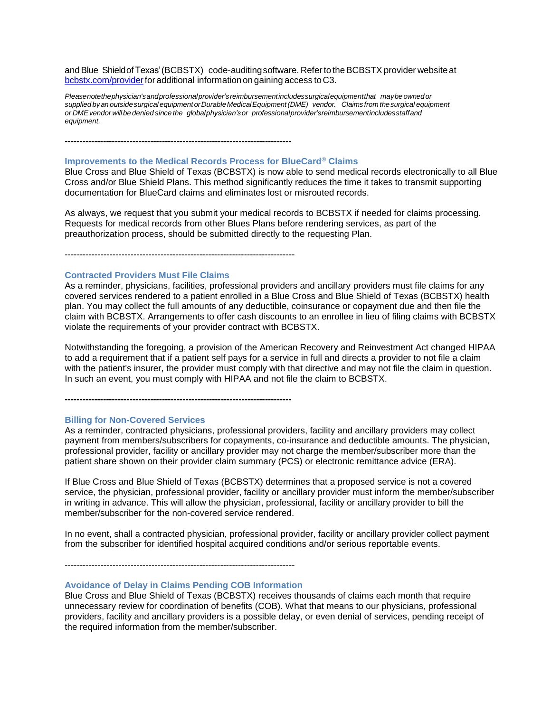and Blue Shield of Texas' (BCBSTX) code-auditing software. Refer to the BCBSTX provider website at [bcbstx.com/providerf](https://www.bcbstx.com/provider/)oradditional information on gaining access toC3.

*Pleasenotethephysician'sandprofessionalprovider's reimbursementincludessurgicalequipmentthat maybeownedor supplied byan outsidesurgical equipment orDurableMedicalEquipment(DME) vendor. Claims from thesurgical equipment or DMEvendor willbe denied since the globalphysician'sor professionalprovider'sreimbursementincludesstaffand equipment.*

**-----------------------------------------------------------------------------**

#### **Improvements to the Medical Records Process for BlueCard® Claims**

Blue Cross and Blue Shield of Texas (BCBSTX) is now able to send medical records electronically to all Blue Cross and/or Blue Shield Plans. This method significantly reduces the time it takes to transmit supporting documentation for BlueCard claims and eliminates lost or misrouted records.

As always, we request that you submit your medical records to BCBSTX if needed for claims processing. Requests for medical records from other Blues Plans before rendering services, as part of the preauthorization process, should be submitted directly to the requesting Plan.

-----------------------------------------------------------------------------

**-----------------------------------------------------------------------------**

#### **Contracted Providers Must File Claims**

As a reminder, physicians, facilities, professional providers and ancillary providers must file claims for any covered services rendered to a patient enrolled in a Blue Cross and Blue Shield of Texas (BCBSTX) health plan. You may collect the full amounts of any deductible, coinsurance or copayment due and then file the claim with BCBSTX. Arrangements to offer cash discounts to an enrollee in lieu of filing claims with BCBSTX violate the requirements of your provider contract with BCBSTX.

Notwithstanding the foregoing, a provision of the American Recovery and Reinvestment Act changed HIPAA to add a requirement that if a patient self pays for a service in full and directs a provider to not file a claim with the patient's insurer, the provider must comply with that directive and may not file the claim in question. In such an event, you must comply with HIPAA and not file the claim to BCBSTX.

**Billing for Non-Covered Services**

As a reminder, contracted physicians, professional providers, facility and ancillary providers may collect payment from members/subscribers for copayments, co-insurance and deductible amounts. The physician, professional provider, facility or ancillary provider may not charge the member/subscriber more than the patient share shown on their provider claim summary (PCS) or electronic remittance advice (ERA).

If Blue Cross and Blue Shield of Texas (BCBSTX) determines that a proposed service is not a covered service, the physician, professional provider, facility or ancillary provider must inform the member/subscriber in writing in advance. This will allow the physician, professional, facility or ancillary provider to bill the member/subscriber for the non-covered service rendered.

In no event, shall a contracted physician, professional provider, facility or ancillary provider collect payment from the subscriber for identified hospital acquired conditions and/or serious reportable events.

-----------------------------------------------------------------------------

#### **Avoidance of Delay in Claims Pending COB Information**

Blue Cross and Blue Shield of Texas (BCBSTX) receives thousands of claims each month that require unnecessary review for coordination of benefits (COB). What that means to our physicians, professional providers, facility and ancillary providers is a possible delay, or even denial of services, pending receipt of the required information from the member/subscriber.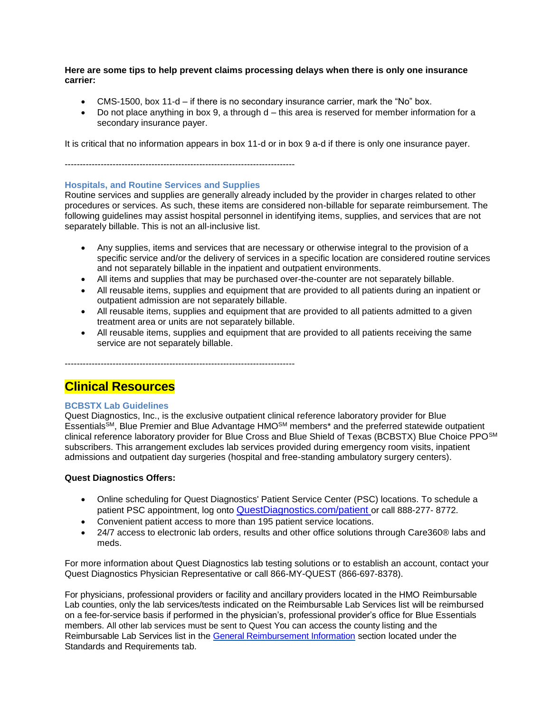**Here are some tips to help prevent claims processing delays when there is only one insurance carrier:**

- CMS-1500, box 11-d if there is no secondary insurance carrier, mark the "No" box.
- Do not place anything in box  $9$ , a through  $d$  this area is reserved for member information for a secondary insurance payer.

It is critical that no information appears in box 11-d or in box 9 a-d if there is only one insurance payer.

-----------------------------------------------------------------------------

# **Hospitals, and Routine Services and Supplies**

Routine services and supplies are generally already included by the provider in charges related to other procedures or services. As such, these items are considered non-billable for separate reimbursement. The following guidelines may assist hospital personnel in identifying items, supplies, and services that are not separately billable. This is not an all-inclusive list.

- Any supplies, items and services that are necessary or otherwise integral to the provision of a specific service and/or the delivery of services in a specific location are considered routine services and not separately billable in the inpatient and outpatient environments.
- All items and supplies that may be purchased over-the-counter are not separately billable.
- All reusable items, supplies and equipment that are provided to all patients during an inpatient or outpatient admission are not separately billable.
- All reusable items, supplies and equipment that are provided to all patients admitted to a given treatment area or units are not separately billable.
- All reusable items, supplies and equipment that are provided to all patients receiving the same service are not separately billable.

-----------------------------------------------------------------------------

# **Clinical Resources**

# **BCBSTX Lab Guidelines**

Quest Diagnostics, Inc., is the exclusive outpatient clinical reference laboratory provider for Blue EssentialsSM, Blue Premier and Blue Advantage HMOSM members\* and the preferred statewide outpatient clinical reference laboratory provider for Blue Cross and Blue Shield of Texas (BCBSTX) Blue Choice PPOSM subscribers. This arrangement excludes lab services provided during emergency room visits, inpatient admissions and outpatient day surgeries (hospital and free-standing ambulatory surgery centers).

#### **Quest Diagnostics Offers:**

- Online scheduling for Quest Diagnostics' Patient Service Center (PSC) locations. To schedule a patient PSC appointment, log onto **QuestDiagnostics.com/patient** or call 888-277-8772.
- Convenient patient access to more than 195 patient service locations.
- 24/7 access to electronic lab orders, results and other office solutions through Care360® labs and meds.

For more information about Quest Diagnostics lab testing solutions or to establish an account, contact your Quest Diagnostics Physician Representative or call 866-MY-QUEST (866-697-8378).

For physicians, professional providers or facility and ancillary providers located in the HMO Reimbursable Lab counties, only the lab services/tests indicated on the Reimbursable Lab Services list will be reimbursed on a fee-for-service basis if performed in the physician's, professional provider's office for Blue Essentials members. All other lab services must be sent to Quest You can access the county listing and the Reimbursable Lab Services list in the [General Reimbursement](https://www.bcbstx.com/provider/gri/index.html) Information section located under the Standards and Requirements tab.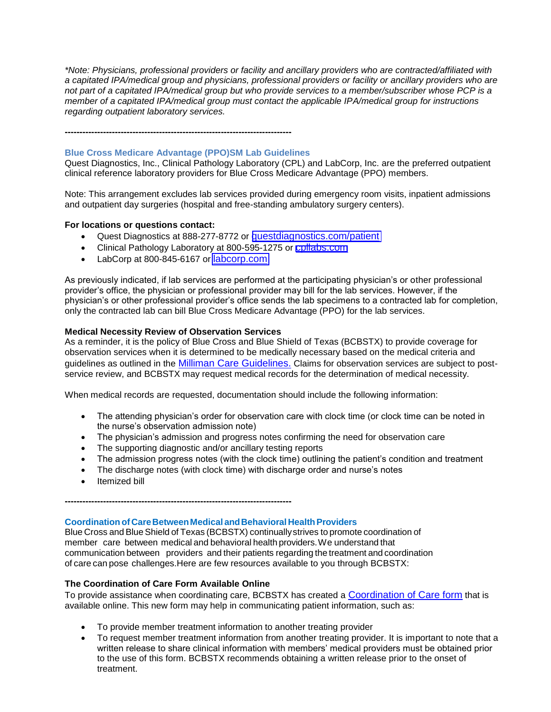*\*Note: Physicians, professional providers or facility and ancillary providers who are contracted/affiliated with a capitated IPA/medical group and physicians, professional providers or facility or ancillary providers who are not part of a capitated IPA/medical group but who provide services to a member/subscriber whose PCP is a member of a capitated IPA/medical group must contact the applicable IPA/medical group for instructions regarding outpatient laboratory services.*

# **Blue Cross Medicare Advantage (PPO)SM Lab Guidelines**

**-----------------------------------------------------------------------------**

Quest Diagnostics, Inc., Clinical Pathology Laboratory (CPL) and LabCorp, Inc. are the preferred outpatient clinical reference laboratory providers for Blue Cross Medicare Advantage (PPO) members.

Note: This arrangement excludes lab services provided during emergency room visits, inpatient admissions and outpatient day surgeries (hospital and free-standing ambulatory surgery centers).

# **For locations or questions contact:**

- Quest Diagnostics at 888-277-8772 or [questdiagnostics.com/patient](https://www.questdiagnostics.com/home/patients)
- Clinical Pathology Laboratory at 800-595-1275 or [cpllabs.com](http://www.cpllabs.com/)
- LabCorp at 800-845-6167 or [labcorp.com](https://www.labcorp.com/)

As previously indicated, if lab services are performed at the participating physician's or other professional provider's office, the physician or professional provider may bill for the lab services. However, if the physician's or other professional provider's office sends the lab specimens to a contracted lab for completion, only the contracted lab can bill Blue Cross Medicare Advantage (PPO) for the lab services.

# **Medical Necessity Review of Observation Services**

As a reminder, it is the policy of Blue Cross and Blue Shield of Texas (BCBSTX) to provide coverage for observation services when it is determined to be medically necessary based on the medical criteria and guidelines as outlined in the [Milliman Care Guidelines.](https://www.mcg.com/care-guidelines/care-guidelines/?gclid=EAIaIQobChMI_PTXromB3QIVBgtpCh09pw0pEAAYASAAEgJaQfD_BwE) Claims for observation services are subject to postservice review, and BCBSTX may request medical records for the determination of medical necessity.

When medical records are requested, documentation should include the following information:

- The attending physician's order for observation care with clock time (or clock time can be noted in the nurse's observation admission note)
- The physician's admission and progress notes confirming the need for observation care
- The supporting diagnostic and/or ancillary testing reports
- The admission progress notes (with the clock time) outlining the patient's condition and treatment
- The discharge notes (with clock time) with discharge order and nurse's notes
- Itemized bill

**Coordination of CareBetweenMedical andBehavioralHealthProviders**

Blue Cross and BlueShield of Texas (BCBSTX) continuallystrives to promote coordination of member care between medical and behavioral health providers.We understand that communication between providers and their patients regarding the treatment and coordination of care can pose challenges.Here are few resources available to you through BCBSTX:

# **The Coordination of Care Form Available Online**

**-----------------------------------------------------------------------------**

To provide assistance when coordinating care, BCBSTX has created a [Coordination of Care form](http://www.bcbstx.com/provider/pdf/bh_coordination_care.pdf) that is available online. This new form may help in communicating patient information, such as:

- To provide member treatment information to another treating provider
- To request member treatment information from another treating provider. It is important to note that a written release to share clinical information with members' medical providers must be obtained prior to the use of this form. BCBSTX recommends obtaining a written release prior to the onset of treatment.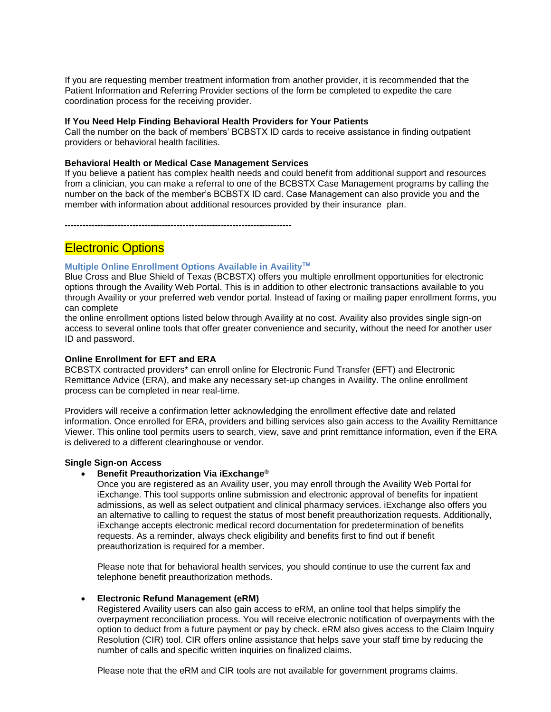If you are requesting member treatment information from another provider, it is recommended that the Patient Information and Referring Provider sections of the form be completed to expedite the care coordination process for the receiving provider.

#### **If You Need Help Finding Behavioral Health Providers for Your Patients**

Call the number on the back of members' BCBSTX ID cards to receive assistance in finding outpatient providers or behavioral health facilities.

# **Behavioral Health or Medical Case Management Services**

If you believe a patient has complex health needs and could benefit from additional support and resources from a clinician, you can make a referral to one of the BCBSTX Case Management programs by calling the number on the back of the member's BCBSTX ID card. Case Management can also provide you and the member with information about additional resources provided by their insurance plan.

**-----------------------------------------------------------------------------**

# **Electronic Options**

#### **Multiple Online Enrollment Options Available in AvailityTM**

Blue Cross and Blue Shield of Texas (BCBSTX) offers you multiple enrollment opportunities for electronic options through the Availity Web Portal. This is in addition to other electronic transactions available to you through Availity or your preferred web vendor portal. Instead of faxing or mailing paper enrollment forms, you can complete

the online enrollment options listed below through Availity at no cost. Availity also provides single sign-on access to several online tools that offer greater convenience and security, without the need for another user ID and password.

#### **Online Enrollment for EFT and ERA**

BCBSTX contracted providers\* can enroll online for Electronic Fund Transfer (EFT) and Electronic Remittance Advice (ERA), and make any necessary set-up changes in Availity. The online enrollment process can be completed in near real-time.

Providers will receive a confirmation letter acknowledging the enrollment effective date and related information. Once enrolled for ERA, providers and billing services also gain access to the Availity Remittance Viewer. This online tool permits users to search, view, save and print remittance information, even if the ERA is delivered to a different clearinghouse or vendor.

#### **Single Sign-on Access**

#### • **Benefit Preauthorization Via iExchange®**

Once you are registered as an Availity user, you may enroll through the Availity Web Portal for iExchange. This tool supports online submission and electronic approval of benefits for inpatient admissions, as well as select outpatient and clinical pharmacy services. iExchange also offers you an alternative to calling to request the status of most benefit preauthorization requests. Additionally, iExchange accepts electronic medical record documentation for predetermination of benefits requests. As a reminder, always check eligibility and benefits first to find out if benefit preauthorization is required for a member.

Please note that for behavioral health services, you should continue to use the current fax and telephone benefit preauthorization methods.

# • **Electronic Refund Management (eRM)**

Registered Availity users can also gain access to eRM, an online tool that helps simplify the overpayment reconciliation process. You will receive electronic notification of overpayments with the option to deduct from a future payment or pay by check. eRM also gives access to the Claim Inquiry Resolution (CIR) tool. CIR offers online assistance that helps save your staff time by reducing the number of calls and specific written inquiries on finalized claims.

Please note that the eRM and CIR tools are not available for government programs claims.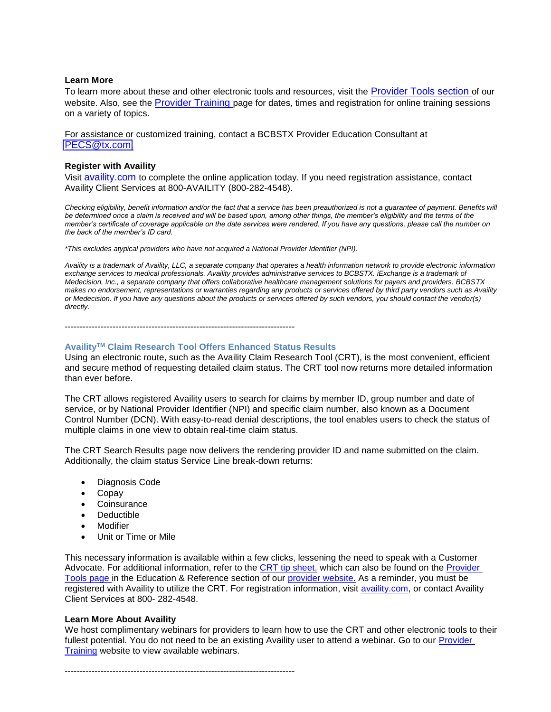#### **Learn More**

To learn more about these and other electronic tools and resources, visit the [Provider Tools section](https://www.bcbstx.com/provider/tools/index.html) of our website. Also, see the [Provider Training](https://www.bcbstx.com/provider/training/) page for dates, times and registration for online training sessions on a variety of topics.

For assistance or customized training, contact a BCBSTX Provider Education Consultant at [PECS@tx.com.](PECS@tx.com)

#### **Register with Availity**

Visit [availity.com](https://www.availity.com/) to complete the online application today. If you need registration assistance, contact Availity Client Services at 800-AVAILITY (800-282-4548).

*Checking eligibility, benefit information and/or the fact that a service has been preauthorized is not a guarantee of payment. Benefits will be determined once a claim is received and will be based upon, among other things, the member's eligibility and the terms of the member's certificate of coverage applicable on the date services were rendered. If you have any questions, please call the number on the back of the member's ID card.*

*\*This excludes atypical providers who have not acquired a National Provider Identifier (NPI).*

*Availity is a trademark of Availity, LLC, a separate company that operates a health information network to provide electronic information exchange services to medical professionals. Availity provides administrative services to BCBSTX. iExchange is a trademark of Medecision, Inc., a separate company that offers collaborative healthcare management solutions for payers and providers. BCBSTX makes no endorsement, representations or warranties regarding any products or services offered by third party vendors such as Availity or Medecision. If you have any questions about the products or services offered by such vendors, you should contact the vendor(s) directly.*

-----------------------------------------------------------------------------

#### **AvailityTM Claim Research Tool Offers Enhanced Status Results**

Using an electronic route, such as the Availity Claim Research Tool (CRT), is the most convenient, efficient and secure method of requesting detailed claim status. The CRT tool now returns more detailed information than ever before.

The CRT allows registered Availity users to search for claims by member ID, group number and date of service, or by National Provider Identifier (NPI) and specific claim number, also known as a Document Control Number (DCN). With easy-to-read denial descriptions, the tool enables users to check the status of multiple claims in one view to obtain real-time claim status.

The CRT Search Results page now delivers the rendering provider ID and name submitted on the claim. Additionally, the claim status Service Line break-down returns:

- Diagnosis Code
- Copay
- Coinsurance
- **Deductible**
- **Modifier**
- Unit or Time or Mile

This necessary information is available within a few clicks, lessening the need to speak with a Customer Advocate. For additional information, refer to the [CRT tip sheet,](https://www.bcbstx.com/provider/pdf/availity_crt_online_tip_sheet.pdf) which can also be found on the Provider [Tools](https://www.bcbstx.com/provider/tools/index.html) [page](http://www.pages02.net/hcscnosuppression/blue_review_february_2017/LPT.url?kn=973884&vs=M2NiYzBjMDUtOGEzNy00ZmYxLTlmMzEtOWQ4YzAwMWI3ZjEyOzA6MTAzNjA4ODM6MjQ4NjYyOTUwNjE6MTEwMDI1ODAzODoxMTAwMjU4MDM4OwS2) in the Education & Reference section of our [provider website.](https://www.bcbstx.com/provider/) As a reminder, you must be registered with Availity to utilize the CRT. For registration information, visit [availity.com,](https://www.availity.com/) or contact Availity Client Services at 800- 282-4548.

#### **Learn More About Availity**

We host complimentary webinars for providers to learn how to use the CRT and other electronic tools to their fullest potential. You do not need to be an existing Availity user to attend a webinar. Go to our [Provider](https://www.bcbstx.com/provider/training/)  [Training](https://www.bcbstx.com/provider/training/) website to view available webinars.

-----------------------------------------------------------------------------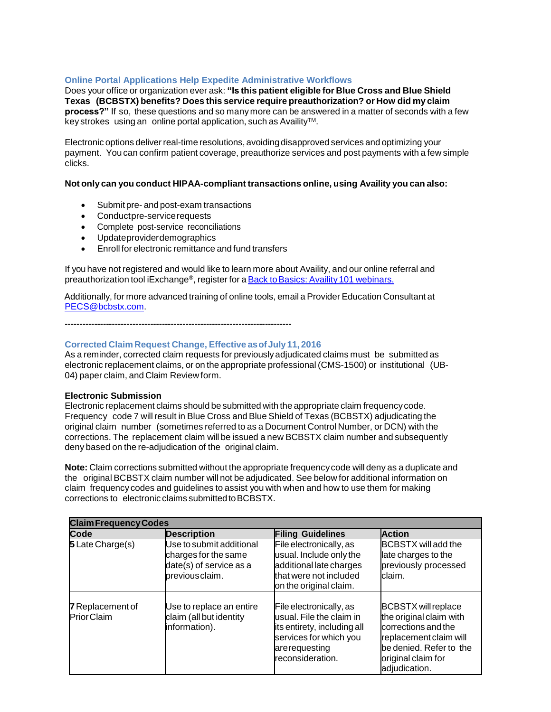# **Online Portal Applications Help Expedite Administrative Workflows**

Does your office or organization ever ask: **"Is this patient eligible for Blue Cross and Blue Shield Texas (BCBSTX) benefits? Does this service require preauthorization? or How did my claim process?"** If so, these questions and so many more can be answered in a matter of seconds with a few key strokes using an online portal application, such as Availity™.

Electronic options deliver real-time resolutions, avoiding disapproved services and optimizing your payment. You can confirm patient coverage, preauthorize services and post payments with a few simple clicks.

# **Not only can you conduct HIPAA-compliant transactions online, using Availity you can also:**

- Submitpre- and post-exam transactions
- Conductpre-servicerequests
- Complete post-service reconciliations
- Updateproviderdemographics
- Enroll for electronic remittance and fund transfers

If you have not registered and would like to learn more about Availity, and our online referral and preauthorization tool iExchange®, register for a Back to Basics: Availity 101 webinars.

Additionally, for more advanced training of online tools, email a Provider Education Consultant at [PECS@bcbstx.com.](mailto:PECS@bcbstx.com)

**-----------------------------------------------------------------------------**

#### **Corrected Claim Request Change, Effective asofJuly 11, 2016**

As a reminder, corrected claim requests for previously adjudicated claims must be submitted as electronic replacement claims, or on the appropriate professional (CMS-1500) or institutional (UB-04) paper claim, and Claim Review form.

#### **Electronic Submission**

Electronic replacement claims should be submitted with the appropriate claim frequencycode. Frequency code 7 willresult in Blue Cross and Blue Shield of Texas (BCBSTX) adjudicating the original claim number (sometimes referred to as a Document Control Number, or DCN) with the corrections. The replacement claim will be issued a new BCBSTX claim number and subsequently deny based on the re-adjudication of the original claim.

**Note:** Claim corrections submitted without the appropriate frequencycode will deny as a duplicate and the original BCBSTX claim number will not be adjudicated. See below for additional information on claim frequency codes and guidelines to assist you with when and how to use them for making corrections to electronic claims submitted to BCBSTX.

| <b>Claim Frequency Codes</b>                 |                                                                                                |                                                                                                                                                   |                                                                                                                                                                          |  |
|----------------------------------------------|------------------------------------------------------------------------------------------------|---------------------------------------------------------------------------------------------------------------------------------------------------|--------------------------------------------------------------------------------------------------------------------------------------------------------------------------|--|
| <b>Code</b>                                  | <b>Description</b>                                                                             | <b>Filing Guidelines</b>                                                                                                                          | <b>Action</b>                                                                                                                                                            |  |
| 5 Late Charge(s)                             | Use to submit additional<br>charges for the same<br>date(s) of service as a<br>previous claim. | File electronically, as<br>usual. Include only the<br>additional late charges<br>that were not included<br>on the original claim.                 | <b>BCBSTX</b> will add the<br>late charges to the<br>previously processed<br>claim.                                                                                      |  |
| <b>7</b> Replacement of<br><b>PriorClaim</b> | Use to replace an entire<br>claim (all but identity<br>information).                           | File electronically, as<br>usual. File the claim in<br>its entirety, including all<br>services for which you<br>arerequesting<br>reconsideration. | <b>BCBSTX</b> will replace<br>the original claim with<br>corrections and the<br>replacement claim will<br>be denied. Refer to the<br>original claim for<br>adjudication. |  |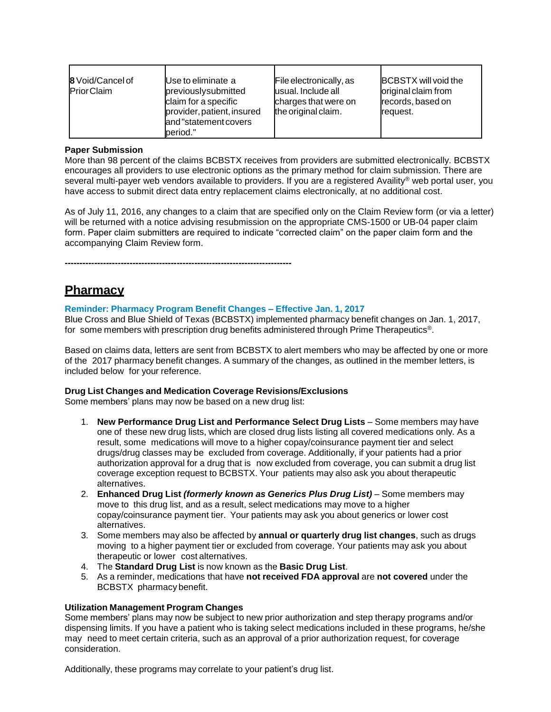| <b>8</b> Void/Cancel of<br><b>PriorClaim</b> | Use to eliminate a<br>previouslysubmitted<br>claim for a specific<br>provider, patient, insured<br>and "statement covers<br>period." | File electronically, as<br>usual. Include all<br>charges that were on<br>the original claim. | <b>BCBSTX</b> will void the<br>original claim from<br>records, based on<br>request. |
|----------------------------------------------|--------------------------------------------------------------------------------------------------------------------------------------|----------------------------------------------------------------------------------------------|-------------------------------------------------------------------------------------|
|----------------------------------------------|--------------------------------------------------------------------------------------------------------------------------------------|----------------------------------------------------------------------------------------------|-------------------------------------------------------------------------------------|

### **Paper Submission**

More than 98 percent of the claims BCBSTX receives from providers are submitted electronically. BCBSTX encourages all providers to use electronic options as the primary method for claim submission. There are several multi-payer web vendors available to providers. If you are a registered Availity® web portal user, you have access to submit direct data entry replacement claims electronically, at no additional cost.

As of July 11, 2016, any changes to a claim that are specified only on the Claim Review form (or via a letter) will be returned with a notice advising resubmission on the appropriate CMS-1500 or UB-04 paper claim form. Paper claim submitters are required to indicate "corrected claim" on the paper claim form and the accompanying Claim Review form.

**-----------------------------------------------------------------------------**

# **Pharmacy**

# **Reminder: Pharmacy Program Benefit Changes – Effective Jan. 1, 2017**

Blue Cross and Blue Shield of Texas (BCBSTX) implemented pharmacy benefit changes on Jan. 1, 2017, for some members with prescription drug benefits administered through Prime Therapeutics<sup>®</sup>.

Based on claims data, letters are sent from BCBSTX to alert members who may be affected by one or more of the 2017 pharmacy benefit changes. A summary of the changes, as outlined in the member letters, is included below for your reference.

#### **Drug List Changes and Medication Coverage Revisions/Exclusions**

Some members' plans may now be based on a new drug list:

- 1. **New Performance Drug List and Performance Select Drug Lists** Some members may have one of these new drug lists, which are closed drug lists listing all covered medications only. As a result, some medications will move to a higher copay/coinsurance payment tier and select drugs/drug classes may be excluded from coverage. Additionally, if your patients had a prior authorization approval for a drug that is now excluded from coverage, you can submit a drug list coverage exception request to BCBSTX. Your patients may also ask you about therapeutic alternatives.
- 2. **Enhanced Drug List** *(formerly known as Generics Plus Drug List)* Some members may move to this drug list, and as a result, select medications may move to a higher copay/coinsurance payment tier. Your patients may ask you about generics or lower cost alternatives.
- 3. Some members may also be affected by **annual or quarterly drug list changes**, such as drugs moving to a higher payment tier or excluded from coverage. Your patients may ask you about therapeutic or lower cost alternatives.
- 4. The **Standard Drug List** is now known as the **Basic Drug List**.
- 5. As a reminder, medications that have **not received FDA approval** are **not covered** under the BCBSTX pharmacy benefit.

# **Utilization Management Program Changes**

Some members' plans may now be subject to new prior authorization and step therapy programs and/or dispensing limits. If you have a patient who is taking select medications included in these programs, he/she may need to meet certain criteria, such as an approval of a prior authorization request, for coverage consideration.

Additionally, these programs may correlate to your patient's drug list.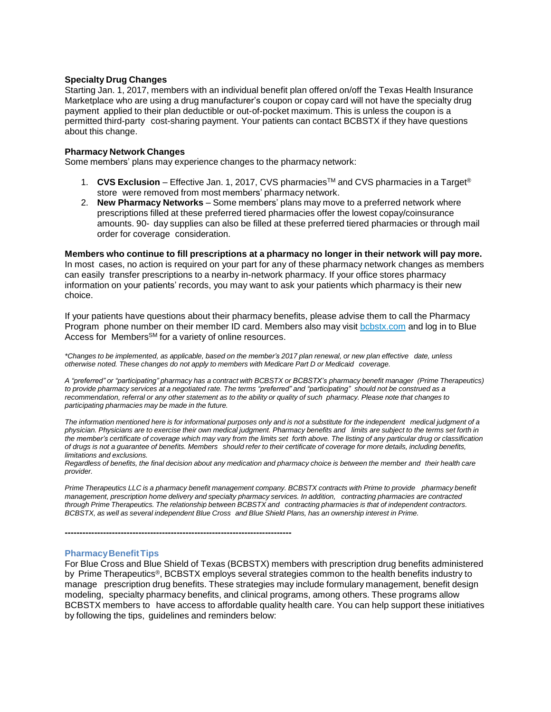#### **Specialty Drug Changes**

Starting Jan. 1, 2017, members with an individual benefit plan offered on/off the Texas Health Insurance Marketplace who are using a drug manufacturer's coupon or copay card will not have the specialty drug payment applied to their plan deductible or out-of-pocket maximum. This is unless the coupon is a permitted third-party cost-sharing payment. Your patients can contact BCBSTX if they have questions about this change.

#### **Pharmacy Network Changes**

Some members' plans may experience changes to the pharmacy network:

- 1. **CVS Exclusion** Effective Jan. 1, 2017, CVS pharmaciesTM and CVS pharmacies in a Target® store were removed from most members' pharmacy network.
- 2. **New Pharmacy Networks** Some members' plans may move to a preferred network where prescriptions filled at these preferred tiered pharmacies offer the lowest copay/coinsurance amounts. 90- day supplies can also be filled at these preferred tiered pharmacies or through mail order for coverage consideration.

**Members who continue to fill prescriptions at a pharmacy no longer in their network will pay more.** In most cases, no action is required on your part for any of these pharmacy network changes as members can easily transfer prescriptions to a nearby in-network pharmacy. If your office stores pharmacy information on your patients' records, you may want to ask your patients which pharmacy is their new choice.

If your patients have questions about their pharmacy benefits, please advise them to call the Pharmacy Program phone number on their member ID card. Members also may visit [bcbstx.com](https://www.bcbstx.com/member) and log in to Blue Access for Members<sup>SM</sup> for a variety of online resources.

\*Changes to be implemented, as applicable, based on the member's 2017 plan renewal, or new plan effective date, unless *otherwise noted. These changes do not apply to members with Medicare Part D or Medicaid coverage.*

A "preferred" or "participating" pharmacy has a contract with BCBSTX or BCBSTX's pharmacy benefit manager (Prime Therapeutics) to provide pharmacy services at a negotiated rate. The terms "preferred" and "participating" should not be construed as a recommendation, referral or any other statement as to the ability or quality of such pharmacy. Please note that changes to *participating pharmacies may be made in the future.*

The information mentioned here is for informational purposes only and is not a substitute for the independent medical judgment of a physician. Physicians are to exercise their own medical judgment. Pharmacy benefits and limits are subject to the terms set forth in the member's certificate of coverage which may vary from the limits set forth above. The listing of any particular drug or classification of drugs is not a quarantee of benefits. Members should refer to their certificate of coverage for more details, including benefits, *limitations and exclusions.*

Regardless of benefits, the final decision about any medication and pharmacy choice is between the member and their health care *provider.*

Prime Therapeutics LLC is a pharmacy benefit management company. BCBSTX contracts with Prime to provide pharmacy benefit *management, prescription home delivery and specialty pharmacy services. In addition, contracting pharmacies are contracted* through Prime Therapeutics. The relationship between BCBSTX and contracting pharmacies is that of independent contractors. BCBSTX, as well as several independent Blue Cross and Blue Shield Plans, has an ownership interest in Prime.

#### **Pharmacy Benefit Tips**

**-----------------------------------------------------------------------------**

For Blue Cross and Blue Shield of Texas (BCBSTX) members with prescription drug benefits administered by Prime Therapeutics®, BCBSTX employs several strategies common to the health benefits industry to manage prescription drug benefits. These strategies may include formulary management, benefit design modeling, specialty pharmacy benefits, and clinical programs, among others. These programs allow BCBSTX members to have access to affordable quality health care. You can help support these initiatives by following the tips, guidelines and reminders below: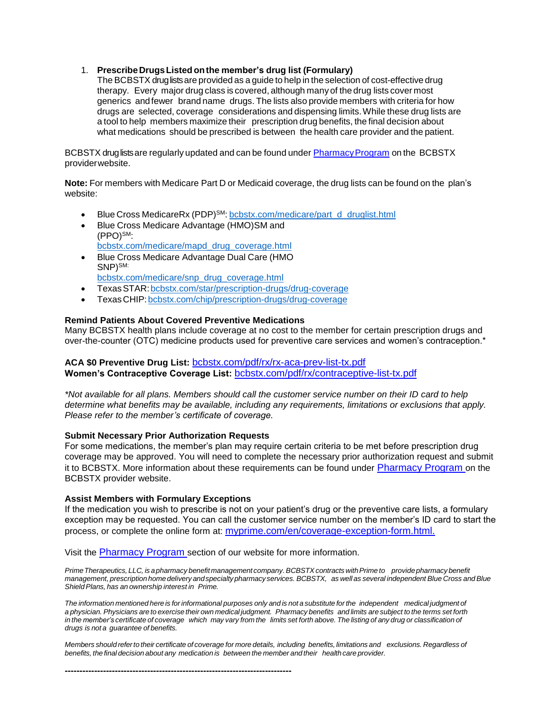# 1. **PrescribeDrugsListedonthe member's drug list (Formulary)**

The BCBSTX druglistsare provided as a guide to help in the selection of cost-effective drug therapy. Every major drug class is covered, although manyof the drug lists cover most generics andfewer brand name drugs. The lists also provide members with criteria for how drugs are selected, coverage considerations and dispensing limits.While these drug lists are a tool to help members maximize their prescription drug benefits, the final decision about what medications should be prescribed is between the health care provider and the patient.

BCBSTX druglists are regularly updated and can be found under Pharmacy Program on the BCBSTX providerwebsite.

**Note:** For members with Medicare Part D or Medicaid coverage, the drug lists can be found on the plan's website:

- Blue Cross MedicareRx (PDP)<sup>SM</sup>: [bcbstx.com/medicare/part\\_d\\_druglist.html](http://www.bcbstx.com/medicare/part_d_druglist.html)
- Blue Cross Medicare Advantage (HMO)SM and (PPO)SM: [bcbstx.com/medicare/mapd\\_drug\\_coverage.html](http://www.bcbstx.com/medicare/mapd_drug_coverage.html)
- Blue Cross Medicare Advantage Dual Care (HMO SNP)SM: [bcbstx.com/medicare/snp\\_drug\\_coverage.html](http://www.bcbstx.com/medicare/snp_drug_coverage.html)
- TexasSTAR[:bcbstx.com/star/prescription-drugs/drug-coverage](http://www.bcbstx.com/star/prescription-drugs/drug-coverage)
- TexasCHIP[:bcbstx.com/chip/prescription-drugs/drug-coverage](http://www.bcbstx.com/chip/prescription-drugs/drug-coverage)

#### **Remind Patients About Covered Preventive Medications**

Many BCBSTX health plans include coverage at no cost to the member for certain prescription drugs and over-the-counter (OTC) medicine products used for preventive care services and women's contraception.\*

**ACA \$0 Preventive Drug List:** [bcbstx.com/pdf/rx/rx-aca-prev-list-tx.pdf](http://www.bcbstx.com/pdf/rx/rx-aca-prev-list-tx.pdf) **Women's Contraceptive Coverage List:** [bcbstx.com/pdf/rx/contraceptive-list-tx.pdf](http://www.bcbstx.com/pdf/rx/contraceptive-list-tx.pdf)

*\*Not available for all plans. Members should call the customer service number on their ID card to help determine what benefits may be available, including any requirements, limitations or exclusions that apply. Please refer to the member's certificate of coverage.*

#### **Submit Necessary Prior Authorization Requests**

For some medications, the member's plan may require certain criteria to be met before prescription drug coverage may be approved. You will need to complete the necessary prior authorization request and submit it to BCBSTX. More information about these requirements can be found under [Pharmacy Program](https://www.bcbstx.com/provider/pharmacy/pa_step_therapy.html) on the BCBSTX provider website.

### **Assist Members with Formulary Exceptions**

**-----------------------------------------------------------------------------**

If the medication you wish to prescribe is not on your patient's drug or the preventive care lists, a formulary exception may be requested. You can call the customer service number on the member's ID card to start the process, or complete the online form at: [myprime.com/en/coverage-exception-form.html.](http://www.myprime.com/en/coverage-exception-form.html)

Visit the [Pharmacy Program](http://www.bcbstx.com/provider/pharmacy/index.html) section of our website for more information.

*PrimeTherapeutics, LLC, is apharmacy benefit management company.BCBSTXcontracts withPrime to providepharmacy benefit management, prescriptionhomedelivery andspecialty pharmacy services. BCBSTX, as well as several independent Blue Cross andBlue ShieldPlans, has an ownership interest in Prime.*

The information mentioned here is for informational purposes only and is not a substitute for the independent medical judgment of a physician. Physicians are to exercise their own medical judgment. Pharmacy benefits and limits are subject to the terms set forth in the member's certificate of coverage which may vary from the limits set forth above. The listing of any drug or classification of *drugs is not a guarantee of benefits.*

Members should refer to their certificate of coverage for more details, including benefits, limitations and exclusions. Regardless of *benefits, the final decision about any medication is between the member and their healthcare provider.*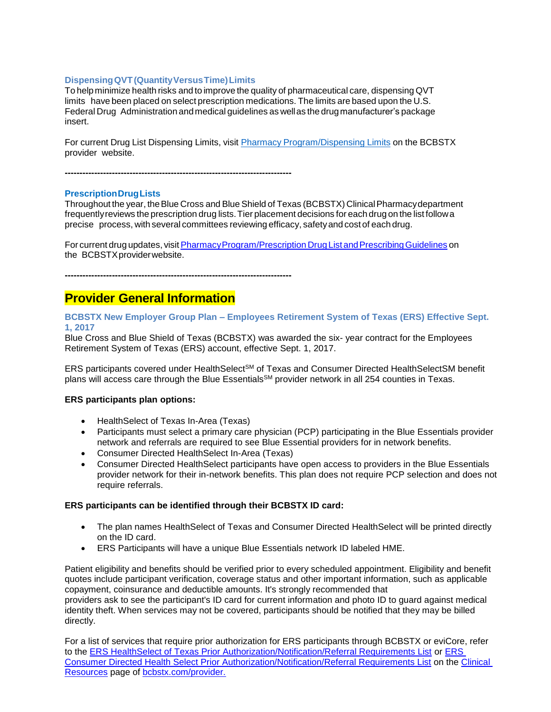### **DispensingQVT(QuantityVersusTime)Limits**

To helpminimize health risks and to improve the quality of pharmaceutical care, dispensing QVT limits have been placed on select prescription medications. The limits are based upon the U.S. Federal Drug Administration andmedical guidelines as wellas the drugmanufacturer's package insert.

For current Drug List Dispensing Limits, visit Pharmacy [Program/Dispensing](https://www.bcbstx.com/provider/pharmacy/quantity_time.html) Limits on the BCBSTX provider website.

**-----------------------------------------------------------------------------**

#### **PrescriptionDrugLists**

Throughout the year, the Blue Cross and Blue Shield of Texas (BCBSTX) Clinical Pharmacy department frequentlyreviews the prescription drug lists.Tier placement decisions for each drug on the list followa precise process, with several committees reviewing efficacy, safetyand cost of each drug.

For current drug updates, visit Pharmacy Program/Prescription Drug List and Prescribing Guidelines on the BCBSTXproviderwebsite.

**-----------------------------------------------------------------------------**

# **Provider General Information**

**BCBSTX New Employer Group Plan – Employees Retirement System of Texas (ERS) Effective Sept. 1, 2017**

Blue Cross and Blue Shield of Texas (BCBSTX) was awarded the six- year contract for the Employees Retirement System of Texas (ERS) account, effective Sept. 1, 2017.

ERS participants covered under HealthSelect<sup>SM</sup> of Texas and Consumer Directed HealthSelectSM benefit plans will access care through the Blue Essentials<sup>SM</sup> provider network in all 254 counties in Texas.

#### **ERS participants plan options:**

- HealthSelect of Texas In-Area (Texas)
- Participants must select a primary care physician (PCP) participating in the Blue Essentials provider network and referrals are required to see Blue Essential providers for in network benefits.
- Consumer Directed HealthSelect In-Area (Texas)
- Consumer Directed HealthSelect participants have open access to providers in the Blue Essentials provider network for their in-network benefits. This plan does not require PCP selection and does not require referrals.

#### **ERS participants can be identified through their BCBSTX ID card:**

- The plan names HealthSelect of Texas and Consumer Directed HealthSelect will be printed directly on the ID card.
- ERS Participants will have a unique Blue Essentials network ID labeled HME.

Patient eligibility and benefits should be verified prior to every scheduled appointment. Eligibility and benefit quotes include participant verification, coverage status and other important information, such as applicable copayment, coinsurance and deductible amounts. It's strongly recommended that providers ask to see the participant's ID card for current information and photo ID to guard against medical identity theft. When services may not be covered, participants should be notified that they may be billed directly.

For a list of services that require prior authorization for ERS participants through BCBSTX or eviCore, refer to the [ERS HealthSelect of Texas Prior Authorization/Notification/Referral Requirements List](https://www.bcbstx.com/provider/pdf/hs-prior-auth.pdf) or ERS [Consumer Directed Health Select Prior Authorization/Notification/Referral Requirements List](https://www.bcbstx.com/provider/pdf/hs-prior-auth-consumer.pdf) on the [Clinical](https://www.bcbstx.com/provider/clinical/index.html)  [Resources](https://www.bcbstx.com/provider/clinical/index.html) page of [bcbstx.com/provider.](https://www.bcbstx.com/provider/)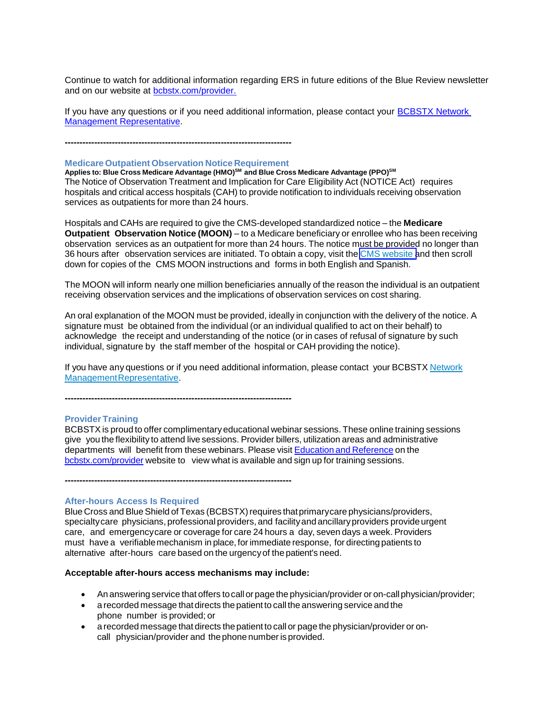Continue to watch for additional information regarding ERS in future editions of the Blue Review newsletter and on our website at [bcbstx.com/provider.](https://www.bcbstx.com/provider/)

If you have any questions or if you need additional information, please contact your [BCBSTX Network](https://www.bcbstx.com/provider/contact_us.html#localnetwork)  [Management Representative.](https://www.bcbstx.com/provider/contact_us.html#localnetwork)

**-----------------------------------------------------------------------------**

### **Medicare Outpatient Observation Notice Requirement**

**Applies to: Blue Cross Medicare Advantage (HMO)SM and Blue Cross Medicare Advantage (PPO)SM** The Notice of Observation Treatment and Implication for Care Eligibility Act (NOTICE Act) requires hospitals and critical access hospitals (CAH) to provide notification to individuals receiving observation services as outpatients for more than 24 hours.

Hospitals and CAHs are required to give the CMS-developed standardized notice – the **Medicare Outpatient Observation Notice (MOON)** – to a Medicare beneficiary or enrollee who has been receiving observation services as an outpatient for more than 24 hours. The notice must be provided no longer than 36 hours after observation services are initiated. To obtain a copy, visit the CMS [website](https://www.cms.gov/Medicare/Medicare-General-Information/BNI/index.html) and then scroll down for copies of the CMS MOON instructions and forms in both English and Spanish.

The MOON will inform nearly one million beneficiaries annually of the reason the individual is an outpatient receiving observation services and the implications of observation services on cost sharing.

An oral explanation of the MOON must be provided, ideally in conjunction with the delivery of the notice. A signature must be obtained from the individual (or an individual qualified to act on their behalf) to acknowledge the receipt and understanding of the notice (or in cases of refusal of signature by such individual, signature by the staff member of the hospital or CAH providing the notice).

If you have any questions or if you need additional information, please contact your BCBSTX [Network](https://www.bcbstx.com/provider/contact_us.html) [ManagementRepresentative.](https://www.bcbstx.com/provider/contact_us.html)

**-----------------------------------------------------------------------------**

#### **Provider Training**

BCBSTX is proud to offer complimentaryeducational webinar sessions. These online training sessions give you the flexibility to attend live sessions. Provider billers, utilization areas and administrative departments will benefit from these webinars. Please visit Education and [Reference](http://www.bcbstx.com/provider/training/index.html) on the [bcbstx.com/provider](http://www.bcbstx.com/provider/index.html) website to view what is available and sign up for training sessions.

**-----------------------------------------------------------------------------**

#### **After-hours Access Is Required**

Blue Cross and Blue Shield of Texas (BCBSTX) requires that primary care physicians/providers, specialtycare physicians, professional providers, and facilityand ancillaryproviders provideurgent care, and emergencycare or coverage for care 24 hours a day, seven days a week. Providers must have a verifiablemechanism in place, forimmediate response, for directing patients to alternative after-hours care based on the urgencyof the patient's need.

#### **Acceptable after-hours access mechanisms may include:**

- An answering service that offers tocall or page the physician/provider or on-call physician/provider;
- a recorded message thatdirects the patient to call the answering service and the phone number is provided; or
- a recorded message that directs thepatient to call or page the physician/provider or oncall physician/provider and the phone number is provided.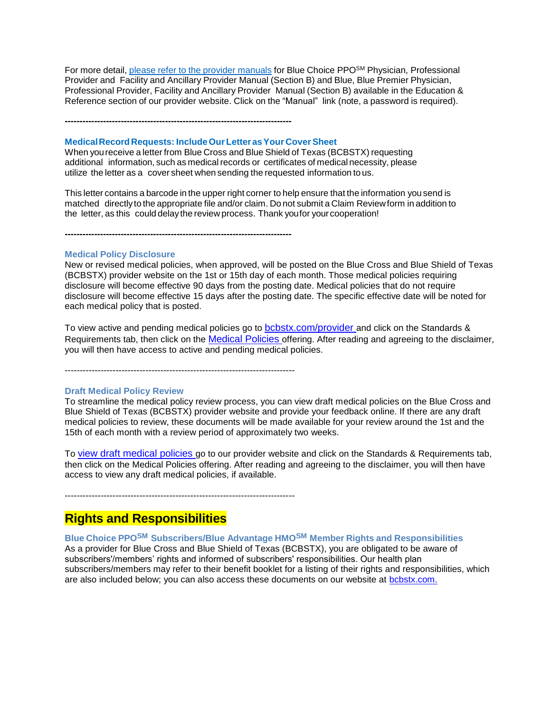For more detail, please refer to the provider [manuals](https://www.bcbstx.com/provider/gri/index.html) for Blue Choice PPO<sup>SM</sup> Physician, Professional Provider and Facility and Ancillary Provider Manual (Section B) and Blue, Blue Premier Physician, Professional Provider, Facility and Ancillary Provider Manual (Section B) available in the Education & Reference section of our provider website. Click on the "Manual" link (note, a password is required).

**-----------------------------------------------------------------------------**

#### **MedicalRecord Requests: IncludeOurLetterasYour CoverSheet**

When youreceive a letter from Blue Cross and Blue Shield of Texas (BCBSTX) requesting additional information, such as medical records or certificates of medical necessity, please utilize the letter as a cover sheet when sending the requested information to us.

This letter contains a barcode in the upper right corner to help ensure that the information you send is matched directlyto the appropriate file and/or claim. Do not submit a Claim Reviewform in addition to the letter, as this could delaythe review process. Thank youfor your cooperation!

**-----------------------------------------------------------------------------**

### **Medical Policy Disclosure**

New or revised medical policies, when approved, will be posted on the Blue Cross and Blue Shield of Texas (BCBSTX) provider website on the 1st or 15th day of each month. Those medical policies requiring disclosure will become effective 90 days from the posting date. Medical policies that do not require disclosure will become effective 15 days after the posting date. The specific effective date will be noted for each medical policy that is posted.

To view active and pending medical policies go to [bcbstx.com/provider](https://www.bcbstx.com/provider/) and click on the Standards & Requirements tab, then click on the [Medical Policies](http://www.medicalpolicy.hcsc.net/medicalpolicy/disclaimer?corpEntCd=TX1) offering. After reading and agreeing to the disclaimer, you will then have access to active and pending medical policies.

-----------------------------------------------------------------------------

#### **Draft Medical Policy Review**

To streamline the medical policy review process, you can view draft medical policies on the Blue Cross and Blue Shield of Texas (BCBSTX) provider website and provide your feedback online. If there are any draft medical policies to review, these documents will be made available for your review around the 1st and the 15th of each month with a review period of approximately two weeks.

To [view draft medical policies](http://www.medicalpolicy.hcsc.net/medicalpolicy/disclaimer?corpEntCd=TX1) go to our provider website and click on the Standards & Requirements tab, then click on the Medical Policies offering. After reading and agreeing to the disclaimer, you will then have access to view any draft medical policies, if available.

-----------------------------------------------------------------------------

# **Rights and Responsibilities**

**Blue Choice PPOSM Subscribers/Blue Advantage HMOSM Member Rights and Responsibilities** As a provider for Blue Cross and Blue Shield of Texas (BCBSTX), you are obligated to be aware of subscribers'/members' rights and informed of subscribers' responsibilities. Our health plan subscribers/members may refer to their benefit booklet for a listing of their rights and responsibilities, which are also included below; you can also access these documents on our website at [bcbstx.com.](https://www.bcbstx.com/member)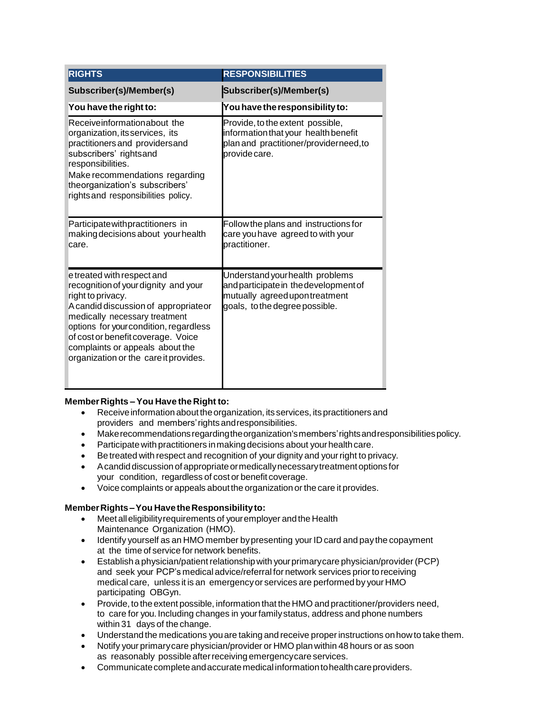| <b>RIGHTS</b>                                                                                                                                                                                                                                                                                                                | <b>RESPONSIBILITIES</b>                                                                                                                      |
|------------------------------------------------------------------------------------------------------------------------------------------------------------------------------------------------------------------------------------------------------------------------------------------------------------------------------|----------------------------------------------------------------------------------------------------------------------------------------------|
| Subscriber(s)/Member(s)                                                                                                                                                                                                                                                                                                      | Subscriber(s)/Member(s)                                                                                                                      |
| You have the right to:                                                                                                                                                                                                                                                                                                       | You have the responsibility to:                                                                                                              |
| Receiveinformationabout the<br>organization, its services, its<br>practitioners and providers and<br>subscribers' rightsand<br>responsibilities.<br>Make recommendations regarding<br>theorganization's subscribers'<br>rights and responsibilities policy.                                                                  | Provide, to the extent possible,<br>information that your health benefit<br>plan and practitioner/providerneed,to<br>provide care.           |
| Participate with practitioners in<br>making decisions about your health<br>care.                                                                                                                                                                                                                                             | Follow the plans and instructions for<br>care you have agreed to with your<br>practitioner.                                                  |
| e treated with respect and<br>recognition of your dignity and your<br>right to privacy.<br>A candid discussion of appropriateor<br>medically necessary treatment<br>options for your condition, regardless<br>of cost or benefit coverage. Voice<br>complaints or appeals about the<br>organization or the care it provides. | Understand your health problems<br>and participate in the development of<br>mutually agreed upon treatment<br>goals, to the degree possible. |

# **MemberRights –You Have the Right to:**

- Receiveinformation about theorganization, its services, its practitioners and providers and members'rights andresponsibilities.
- Makerecommendationsregardingtheorganization'smembers'rightsandresponsibilitiespolicy.
- Participate with practitioners in making decisions about your health care.
- Be treated with respect and recognition of your dignity and your right to privacy.
- Acandiddiscussionof appropriate ormedicallynecessarytreatmentoptions for your condition, regardless of cost or benefit coverage.
- Voice complaints or appeals about the organization or the care it provides.

# **MemberRights–You HavetheResponsibilityto:**

- Meetalleligibilityrequirements of youremployer andthe Health Maintenance Organization (HMO).
- Identify yourself as an HMO member bypresenting your ID card and pay the copayment at the time of service for network benefits.
- Establish a physician/patient relationship with your primary care physician/provider (PCP) and seek your PCP's medical advice/referral for network services priorto receiving medical care, unless it is an emergencyor services are performed by your HMO participating OBGyn.
- Provide, to the extent possible, information that the HMO and practitioner/providers need, to care for you. Including changes in yourfamilystatus, address and phone numbers within 31 days of the change.
- Understand the medications youare taking and receive properinstructions onhowto take them.
- Notify your primarycare physician/provider or HMO plan within 48 hours or as soon as reasonably possible after receiving emergency care services.
- Communicate complete and accurate medical information to health care providers.